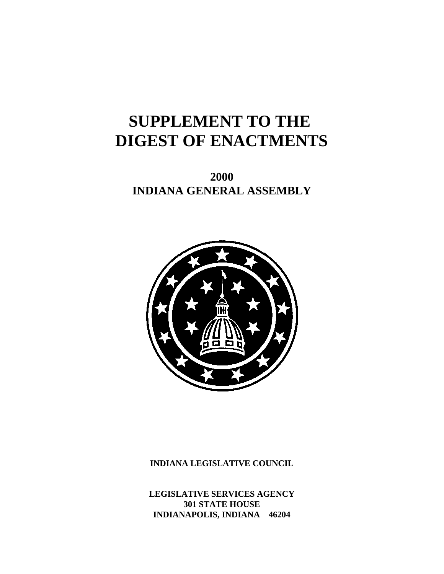# **SUPPLEMENT TO THE DIGEST OF ENACTMENTS**

**2000 INDIANA GENERAL ASSEMBLY**



**INDIANA LEGISLATIVE COUNCIL**

**LEGISLATIVE SERVICES AGENCY 301 STATE HOUSE INDIANAPOLIS, INDIANA 46204**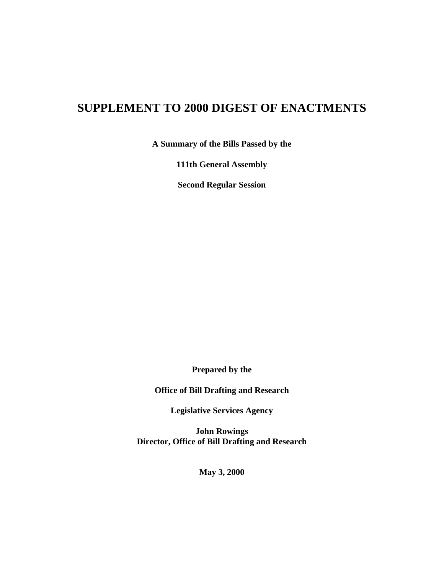## **SUPPLEMENT TO 2000 DIGEST OF ENACTMENTS**

**A Summary of the Bills Passed by the**

**111th General Assembly**

**Second Regular Session**

**Prepared by the**

**Office of Bill Drafting and Research**

**Legislative Services Agency**

**John Rowings Director, Office of Bill Drafting and Research**

**May 3, 2000**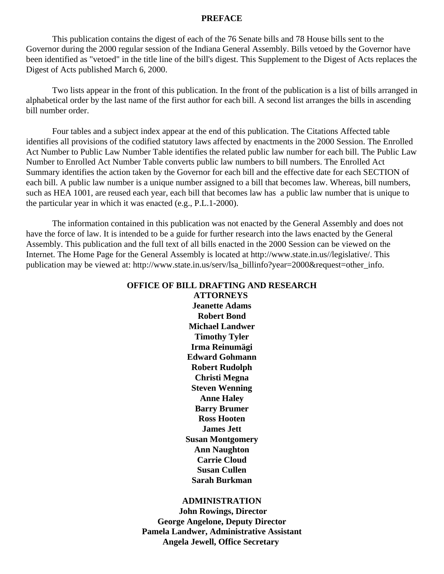#### **PREFACE**

This publication contains the digest of each of the 76 Senate bills and 78 House bills sent to the Governor during the 2000 regular session of the Indiana General Assembly. Bills vetoed by the Governor have been identified as "vetoed" in the title line of the bill's digest. This Supplement to the Digest of Acts replaces the Digest of Acts published March 6, 2000.

Two lists appear in the front of this publication. In the front of the publication is a list of bills arranged in alphabetical order by the last name of the first author for each bill. A second list arranges the bills in ascending bill number order.

Four tables and a subject index appear at the end of this publication. The Citations Affected table identifies all provisions of the codified statutory laws affected by enactments in the 2000 Session. The Enrolled Act Number to Public Law Number Table identifies the related public law number for each bill. The Public Law Number to Enrolled Act Number Table converts public law numbers to bill numbers. The Enrolled Act Summary identifies the action taken by the Governor for each bill and the effective date for each SECTION of each bill. A public law number is a unique number assigned to a bill that becomes law. Whereas, bill numbers, such as HEA 1001, are reused each year, each bill that becomes law has a public law number that is unique to the particular year in which it was enacted (e.g., P.L.1-2000).

The information contained in this publication was not enacted by the General Assembly and does not have the force of law. It is intended to be a guide for further research into the laws enacted by the General Assembly. This publication and the full text of all bills enacted in the 2000 Session can be viewed on the Internet. The Home Page for the General Assembly is located at http://www.state.in.us//legislative/. This publication may be viewed at: http://www.state.in.us/serv/lsa\_billinfo?year=2000&request=other\_info.

## **OFFICE OF BILL DRAFTING AND RESEARCH**

**ATTORNEYS Jeanette Adams Robert Bond Michael Landwer Timothy Tyler Irma Reinumägi Edward Gohmann Robert Rudolph Christi Megna Steven Wenning Anne Haley Barry Brumer Ross Hooten James Jett Susan Montgomery Ann Naughton Carrie Cloud Susan Cullen Sarah Burkman**

#### **ADMINISTRATION**

 **John Rowings, Director George Angelone, Deputy Director Pamela Landwer, Administrative Assistant Angela Jewell, Office Secretary**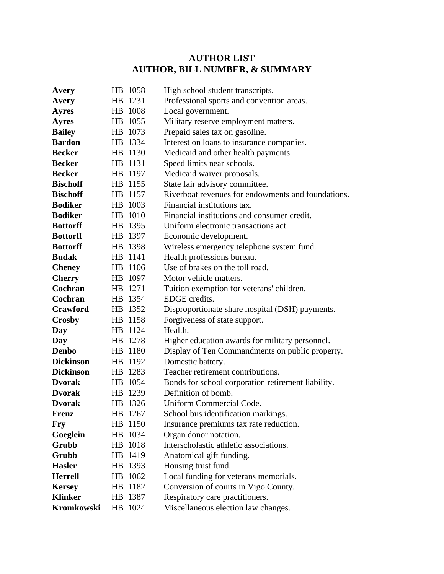## **AUTHOR LIST AUTHOR, BILL NUMBER, & SUMMARY**

| Avery            | HB 1058 | High school student transcripts.                   |
|------------------|---------|----------------------------------------------------|
| Avery            | HB 1231 | Professional sports and convention areas.          |
| <b>Ayres</b>     | HB 1008 | Local government.                                  |
| <b>Ayres</b>     | HB 1055 | Military reserve employment matters.               |
| <b>Bailey</b>    | HB 1073 | Prepaid sales tax on gasoline.                     |
| <b>Bardon</b>    | HB 1334 | Interest on loans to insurance companies.          |
| <b>Becker</b>    | HB 1130 | Medicaid and other health payments.                |
| <b>Becker</b>    | HB 1131 | Speed limits near schools.                         |
| <b>Becker</b>    | HB 1197 | Medicaid waiver proposals.                         |
| <b>Bischoff</b>  | HB 1155 | State fair advisory committee.                     |
| <b>Bischoff</b>  | HB 1157 | Riverboat revenues for endowments and foundations. |
| <b>Bodiker</b>   | HB 1003 | Financial institutions tax.                        |
| <b>Bodiker</b>   | HB 1010 | Financial institutions and consumer credit.        |
| <b>Bottorff</b>  | HB 1395 | Uniform electronic transactions act.               |
| <b>Bottorff</b>  | HB 1397 | Economic development.                              |
| <b>Bottorff</b>  | HB 1398 | Wireless emergency telephone system fund.          |
| <b>Budak</b>     | HB 1141 | Health professions bureau.                         |
| <b>Cheney</b>    | HB 1106 | Use of brakes on the toll road.                    |
| <b>Cherry</b>    | HB 1097 | Motor vehicle matters.                             |
| Cochran          | HB 1271 | Tuition exemption for veterans' children.          |
| Cochran          | HB 1354 | EDGE credits.                                      |
| <b>Crawford</b>  | HB 1352 | Disproportionate share hospital (DSH) payments.    |
| <b>Crosby</b>    | HB 1158 | Forgiveness of state support.                      |
| Day              | HB 1124 | Health.                                            |
| Day              | HB 1278 | Higher education awards for military personnel.    |
| <b>Denbo</b>     | HB 1180 | Display of Ten Commandments on public property.    |
| <b>Dickinson</b> | HB 1192 | Domestic battery.                                  |
| <b>Dickinson</b> | HB 1283 | Teacher retirement contributions.                  |
| <b>Dvorak</b>    | HB 1054 | Bonds for school corporation retirement liability. |
| <b>Dvorak</b>    | HB 1239 | Definition of bomb.                                |
| <b>Dvorak</b>    | HB 1326 | Uniform Commercial Code.                           |
| <b>Frenz</b>     | HB 1267 | School bus identification markings.                |
| <b>Fry</b>       | HB 1150 | Insurance premiums tax rate reduction.             |
| Goeglein         | HB 1034 | Organ donor notation.                              |
| Grubb            | HB 1018 | Interscholastic athletic associations.             |
| Grubb            | HB 1419 | Anatomical gift funding.                           |
| <b>Hasler</b>    | HB 1393 | Housing trust fund.                                |
| <b>Herrell</b>   | HB 1062 | Local funding for veterans memorials.              |
| <b>Kersey</b>    | HB 1182 | Conversion of courts in Vigo County.               |
| <b>Klinker</b>   | HB 1387 | Respiratory care practitioners.                    |
| Kromkowski       | HB 1024 | Miscellaneous election law changes.                |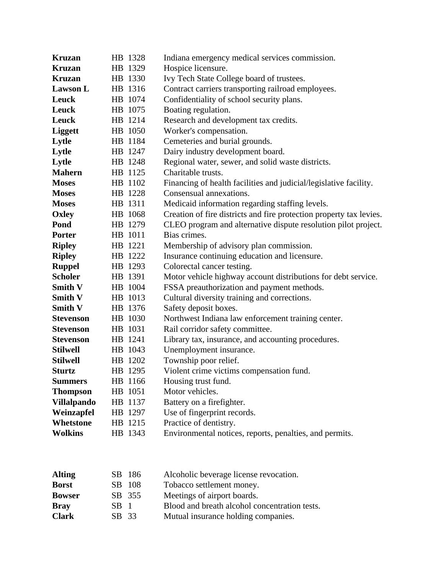| <b>Kruzan</b>      | HB 1328 | Indiana emergency medical services commission.                      |
|--------------------|---------|---------------------------------------------------------------------|
| <b>Kruzan</b>      | HB 1329 | Hospice licensure.                                                  |
| <b>Kruzan</b>      | HB 1330 | Ivy Tech State College board of trustees.                           |
| <b>Lawson L</b>    | HB 1316 | Contract carriers transporting railroad employees.                  |
| Leuck              | HB 1074 | Confidentiality of school security plans.                           |
| Leuck              | HB 1075 | Boating regulation.                                                 |
| <b>Leuck</b>       | HB 1214 | Research and development tax credits.                               |
| <b>Liggett</b>     | HB 1050 | Worker's compensation.                                              |
| Lytle              | HB 1184 | Cemeteries and burial grounds.                                      |
| Lytle              | HB 1247 | Dairy industry development board.                                   |
| Lytle              | HB 1248 | Regional water, sewer, and solid waste districts.                   |
| <b>Mahern</b>      | HB 1125 | Charitable trusts.                                                  |
| <b>Moses</b>       | HB 1102 | Financing of health facilities and judicial/legislative facility.   |
| <b>Moses</b>       | HB 1228 | Consensual annexations.                                             |
| <b>Moses</b>       | HB 1311 | Medicaid information regarding staffing levels.                     |
| <b>Oxley</b>       | HB 1068 | Creation of fire districts and fire protection property tax levies. |
| Pond               | HB 1279 | CLEO program and alternative dispute resolution pilot project.      |
| <b>Porter</b>      | HB 1011 | Bias crimes.                                                        |
| <b>Ripley</b>      | HB 1221 | Membership of advisory plan commission.                             |
| <b>Ripley</b>      | HB 1222 | Insurance continuing education and licensure.                       |
| <b>Ruppel</b>      | HB 1293 | Colorectal cancer testing.                                          |
| <b>Scholer</b>     | HB 1391 | Motor vehicle highway account distributions for debt service.       |
| <b>Smith V</b>     | HB 1004 | FSSA preauthorization and payment methods.                          |
| <b>Smith V</b>     | HB 1013 | Cultural diversity training and corrections.                        |
| <b>Smith V</b>     | HB 1376 | Safety deposit boxes.                                               |
| <b>Stevenson</b>   | HB 1030 | Northwest Indiana law enforcement training center.                  |
| <b>Stevenson</b>   | HB 1031 | Rail corridor safety committee.                                     |
| <b>Stevenson</b>   | HB 1241 | Library tax, insurance, and accounting procedures.                  |
| <b>Stilwell</b>    | HB 1043 | Unemployment insurance.                                             |
| <b>Stilwell</b>    | HB 1202 | Township poor relief.                                               |
| <b>Sturtz</b>      | HB 1295 | Violent crime victims compensation fund.                            |
| <b>Summers</b>     | HB 1166 | Housing trust fund.                                                 |
| <b>Thompson</b>    | HB 1051 | Motor vehicles.                                                     |
| <b>Villalpando</b> | HB 1137 | Battery on a firefighter.                                           |
| Weinzapfel         | HB 1297 | Use of fingerprint records.                                         |
| <b>Whetstone</b>   | HB 1215 | Practice of dentistry.                                              |
| <b>Wolkins</b>     | HB 1343 | Environmental notices, reports, penalties, and permits.             |
|                    |         |                                                                     |
|                    |         |                                                                     |

| <b>Alting</b> |       | SB 186 | Alcoholic beverage license revocation.        |
|---------------|-------|--------|-----------------------------------------------|
| <b>Borst</b>  | SB -  | 108    | Tobacco settlement money.                     |
| <b>Bowser</b> |       | SB 355 | Meetings of airport boards.                   |
| <b>Bray</b>   | SB 1  |        | Blood and breath alcohol concentration tests. |
| <b>Clark</b>  | SB 33 |        | Mutual insurance holding companies.           |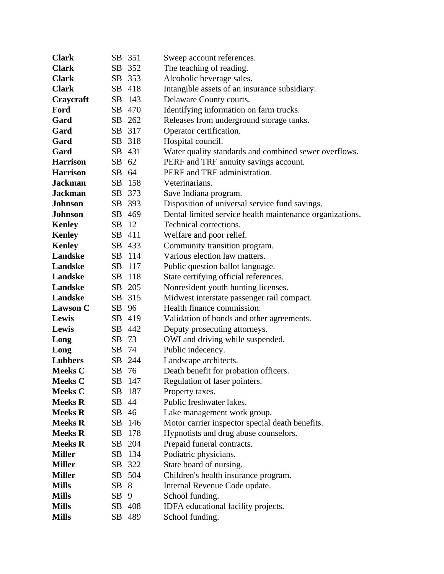| <b>Clark</b>    |                 | SB 351 | Sweep account references.                                |
|-----------------|-----------------|--------|----------------------------------------------------------|
| <b>Clark</b>    |                 | SB 352 | The teaching of reading.                                 |
| <b>Clark</b>    |                 | SB 353 | Alcoholic beverage sales.                                |
| <b>Clark</b>    |                 | SB 418 | Intangible assets of an insurance subsidiary.            |
| Craycraft       |                 | SB 143 | Delaware County courts.                                  |
| Ford            |                 | SB 470 | Identifying information on farm trucks.                  |
| Gard            |                 | SB 262 | Releases from underground storage tanks.                 |
| Gard            |                 | SB 317 | Operator certification.                                  |
| Gard            |                 | SB 318 | Hospital council.                                        |
| Gard            |                 | SB 431 | Water quality standards and combined sewer overflows.    |
| <b>Harrison</b> | SB 62           |        | PERF and TRF annuity savings account.                    |
| <b>Harrison</b> | SB 64           |        | PERF and TRF administration.                             |
| <b>Jackman</b>  |                 | SB 158 | Veterinarians.                                           |
| <b>Jackman</b>  |                 | SB 373 | Save Indiana program.                                    |
| Johnson         |                 | SB 393 | Disposition of universal service fund savings.           |
| Johnson         |                 | SB 469 | Dental limited service health maintenance organizations. |
| <b>Kenley</b>   | SB 12           |        | Technical corrections.                                   |
| <b>Kenley</b>   |                 | SB 411 | Welfare and poor relief.                                 |
| <b>Kenley</b>   |                 | SB 433 | Community transition program.                            |
| Landske         |                 | SB 114 | Various election law matters.                            |
| Landske         |                 | SB 117 | Public question ballot language.                         |
| Landske         |                 | SB 118 | State certifying official references.                    |
| Landske         |                 | SB 205 | Nonresident youth hunting licenses.                      |
| Landske         |                 | SB 315 | Midwest interstate passenger rail compact.               |
| <b>Lawson C</b> | SB 96           |        | Health finance commission.                               |
| Lewis           |                 | SB 419 | Validation of bonds and other agreements.                |
| Lewis           |                 | SB 442 | Deputy prosecuting attorneys.                            |
| Long            | SB 73           |        | OWI and driving while suspended.                         |
| Long            | SB 74           |        | Public indecency.                                        |
| <b>Lubbers</b>  |                 | SB 244 | Landscape architects.                                    |
| <b>Meeks C</b>  | SB 76           |        | Death benefit for probation officers.                    |
| <b>Meeks C</b>  |                 | SB 147 | Regulation of laser pointers.                            |
| <b>Meeks C</b>  |                 | SB 187 | Property taxes.                                          |
| <b>Meeks R</b>  | SB 44           |        | Public freshwater lakes.                                 |
| <b>Meeks R</b>  | SB 46           |        | Lake management work group.                              |
| <b>Meeks R</b>  |                 | SB 146 | Motor carrier inspector special death benefits.          |
| <b>Meeks R</b>  |                 | SB 178 | Hypnotists and drug abuse counselors.                    |
| <b>Meeks R</b>  | SB              | 204    | Prepaid funeral contracts.                               |
| <b>Miller</b>   |                 | SB 134 | Podiatric physicians.                                    |
| <b>Miller</b>   |                 | SB 322 | State board of nursing.                                  |
| <b>Miller</b>   |                 | SB 504 | Children's health insurance program.                     |
| <b>Mills</b>    | SB 8            |        | Internal Revenue Code update.                            |
| <b>Mills</b>    | SB <sub>9</sub> |        | School funding.                                          |
| <b>Mills</b>    |                 | SB 408 | IDFA educational facility projects.                      |
| <b>Mills</b>    |                 | SB 489 | School funding.                                          |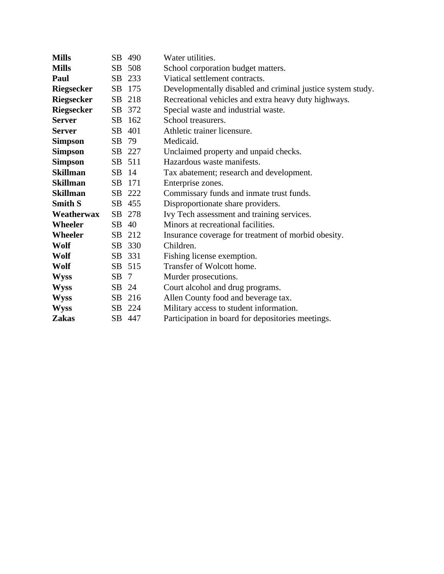| <b>Mills</b>      |        | SB 490 | Water utilities.                                            |
|-------------------|--------|--------|-------------------------------------------------------------|
| <b>Mills</b>      |        | SB 508 | School corporation budget matters.                          |
| Paul              |        | SB 233 | Viatical settlement contracts.                              |
| <b>Riegsecker</b> |        | SB 175 | Developmentally disabled and criminal justice system study. |
| <b>Riegsecker</b> |        | SB 218 | Recreational vehicles and extra heavy duty highways.        |
| <b>Riegsecker</b> |        | SB 372 | Special waste and industrial waste.                         |
| <b>Server</b>     |        | SB 162 | School treasurers.                                          |
| <b>Server</b>     |        | SB 401 | Athletic trainer licensure.                                 |
| <b>Simpson</b>    | SB 79  |        | Medicaid.                                                   |
| <b>Simpson</b>    |        | SB 227 | Unclaimed property and unpaid checks.                       |
| <b>Simpson</b>    |        | SB 511 | Hazardous waste manifests.                                  |
| <b>Skillman</b>   | SB 14  |        | Tax abatement; research and development.                    |
| <b>Skillman</b>   |        | SB 171 | Enterprise zones.                                           |
| <b>Skillman</b>   |        | SB 222 | Commissary funds and inmate trust funds.                    |
| <b>Smith S</b>    |        | SB 455 | Disproportionate share providers.                           |
| Weatherwax        |        | SB 278 | Ivy Tech assessment and training services.                  |
| Wheeler           | SB 40  |        | Minors at recreational facilities.                          |
| Wheeler           |        | SB 212 | Insurance coverage for treatment of morbid obesity.         |
| Wolf              |        | SB 330 | Children.                                                   |
| Wolf              |        | SB 331 | Fishing license exemption.                                  |
| Wolf              |        | SB 515 | Transfer of Wolcott home.                                   |
| <b>Wyss</b>       | $SB$ 7 |        | Murder prosecutions.                                        |
| <b>Wyss</b>       | SB 24  |        | Court alcohol and drug programs.                            |
| <b>Wyss</b>       |        | SB 216 | Allen County food and beverage tax.                         |
| <b>Wyss</b>       |        | SB 224 | Military access to student information.                     |
| <b>Zakas</b>      |        | SB 447 | Participation in board for depositories meetings.           |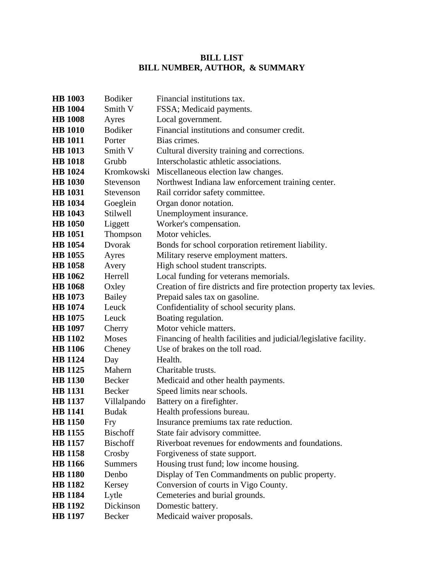## **BILL LIST BILL NUMBER, AUTHOR, & SUMMARY**

| <b>HB</b> 1003 | <b>Bodiker</b>  | Financial institutions tax.                                         |
|----------------|-----------------|---------------------------------------------------------------------|
| <b>HB</b> 1004 | Smith V         | FSSA; Medicaid payments.                                            |
| <b>HB</b> 1008 | Ayres           | Local government.                                                   |
| <b>HB</b> 1010 | <b>Bodiker</b>  | Financial institutions and consumer credit.                         |
| <b>HB</b> 1011 | Porter          | Bias crimes.                                                        |
| <b>HB</b> 1013 | Smith V         | Cultural diversity training and corrections.                        |
| <b>HB</b> 1018 | Grubb           | Interscholastic athletic associations.                              |
| <b>HB</b> 1024 | Kromkowski      | Miscellaneous election law changes.                                 |
| <b>HB</b> 1030 | Stevenson       | Northwest Indiana law enforcement training center.                  |
| <b>HB</b> 1031 | Stevenson       | Rail corridor safety committee.                                     |
| <b>HB</b> 1034 | Goeglein        | Organ donor notation.                                               |
| <b>HB</b> 1043 | Stilwell        | Unemployment insurance.                                             |
| <b>HB</b> 1050 | Liggett         | Worker's compensation.                                              |
| <b>HB</b> 1051 | Thompson        | Motor vehicles.                                                     |
| <b>HB</b> 1054 | Dvorak          | Bonds for school corporation retirement liability.                  |
| <b>HB</b> 1055 | Ayres           | Military reserve employment matters.                                |
| <b>HB</b> 1058 | Avery           | High school student transcripts.                                    |
| <b>HB</b> 1062 | Herrell         | Local funding for veterans memorials.                               |
| <b>HB</b> 1068 | Oxley           | Creation of fire districts and fire protection property tax levies. |
| <b>HB</b> 1073 | Bailey          | Prepaid sales tax on gasoline.                                      |
| <b>HB</b> 1074 | Leuck           | Confidentiality of school security plans.                           |
| <b>HB</b> 1075 | Leuck           | Boating regulation.                                                 |
| <b>HB</b> 1097 | Cherry          | Motor vehicle matters.                                              |
| <b>HB</b> 1102 | <b>Moses</b>    | Financing of health facilities and judicial/legislative facility.   |
| <b>HB</b> 1106 | Cheney          | Use of brakes on the toll road.                                     |
| <b>HB</b> 1124 | Day             | Health.                                                             |
| <b>HB</b> 1125 | Mahern          | Charitable trusts.                                                  |
| <b>HB</b> 1130 | Becker          | Medicaid and other health payments.                                 |
| <b>HB</b> 1131 | Becker          | Speed limits near schools.                                          |
| <b>HB</b> 1137 | Villalpando     | Battery on a firefighter.                                           |
| <b>HB</b> 1141 | <b>Budak</b>    | Health professions bureau.                                          |
| <b>HB</b> 1150 | Fry             | Insurance premiums tax rate reduction.                              |
| <b>HB</b> 1155 | <b>Bischoff</b> | State fair advisory committee.                                      |
| <b>HB</b> 1157 | <b>Bischoff</b> | Riverboat revenues for endowments and foundations.                  |
| <b>HB</b> 1158 | Crosby          | Forgiveness of state support.                                       |
| <b>HB</b> 1166 | <b>Summers</b>  | Housing trust fund; low income housing.                             |
| <b>HB</b> 1180 | Denbo           | Display of Ten Commandments on public property.                     |
| <b>HB</b> 1182 | Kersey          | Conversion of courts in Vigo County.                                |
| <b>HB</b> 1184 | Lytle           | Cemeteries and burial grounds.                                      |
| <b>HB</b> 1192 | Dickinson       | Domestic battery.                                                   |
| <b>HB</b> 1197 | Becker          | Medicaid waiver proposals.                                          |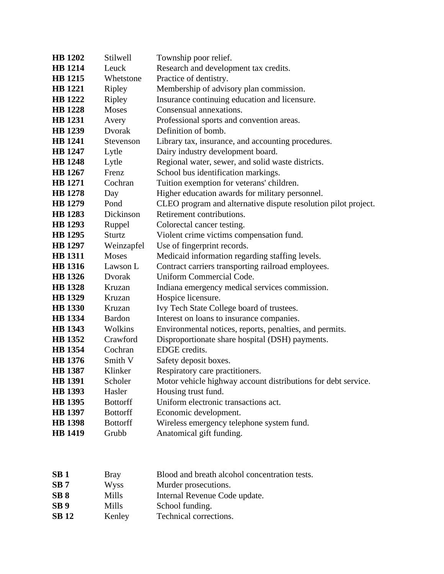| <b>HB</b> 1202 | Stilwell        | Township poor relief.                                          |
|----------------|-----------------|----------------------------------------------------------------|
| <b>HB</b> 1214 | Leuck           | Research and development tax credits.                          |
| <b>HB</b> 1215 | Whetstone       | Practice of dentistry.                                         |
| <b>HB</b> 1221 | Ripley          | Membership of advisory plan commission.                        |
| <b>HB</b> 1222 | <b>Ripley</b>   | Insurance continuing education and licensure.                  |
| <b>HB</b> 1228 | <b>Moses</b>    | Consensual annexations.                                        |
| <b>HB</b> 1231 | Avery           | Professional sports and convention areas.                      |
| <b>HB</b> 1239 | Dvorak          | Definition of bomb.                                            |
| <b>HB</b> 1241 | Stevenson       | Library tax, insurance, and accounting procedures.             |
| <b>HB</b> 1247 | Lytle           | Dairy industry development board.                              |
| <b>HB</b> 1248 | Lytle           | Regional water, sewer, and solid waste districts.              |
| <b>HB</b> 1267 | Frenz           | School bus identification markings.                            |
| <b>HB</b> 1271 | Cochran         | Tuition exemption for veterans' children.                      |
| <b>HB</b> 1278 | Day             | Higher education awards for military personnel.                |
| <b>HB</b> 1279 | Pond            | CLEO program and alternative dispute resolution pilot project. |
| <b>HB</b> 1283 | Dickinson       | Retirement contributions.                                      |
| <b>HB</b> 1293 | Ruppel          | Colorectal cancer testing.                                     |
| <b>HB</b> 1295 | <b>Sturtz</b>   | Violent crime victims compensation fund.                       |
| <b>HB</b> 1297 | Weinzapfel      | Use of fingerprint records.                                    |
| <b>HB</b> 1311 | <b>Moses</b>    | Medicaid information regarding staffing levels.                |
| <b>HB</b> 1316 | Lawson L        | Contract carriers transporting railroad employees.             |
| <b>HB</b> 1326 | Dvorak          | Uniform Commercial Code.                                       |
| <b>HB</b> 1328 | Kruzan          | Indiana emergency medical services commission.                 |
| <b>HB</b> 1329 | Kruzan          | Hospice licensure.                                             |
| <b>HB</b> 1330 | Kruzan          | Ivy Tech State College board of trustees.                      |
| <b>HB</b> 1334 | <b>Bardon</b>   | Interest on loans to insurance companies.                      |
| <b>HB</b> 1343 | Wolkins         | Environmental notices, reports, penalties, and permits.        |
| <b>HB</b> 1352 | Crawford        | Disproportionate share hospital (DSH) payments.                |
| <b>HB</b> 1354 | Cochran         | EDGE credits.                                                  |
| <b>HB</b> 1376 | Smith V         | Safety deposit boxes.                                          |
| <b>HB</b> 1387 | Klinker         | Respiratory care practitioners.                                |
| <b>HB</b> 1391 | Scholer         | Motor vehicle highway account distributions for debt service.  |
| <b>HB</b> 1393 | Hasler          | Housing trust fund.                                            |
| <b>HB</b> 1395 | <b>Bottorff</b> | Uniform electronic transactions act.                           |
| <b>HB</b> 1397 | <b>Bottorff</b> | Economic development.                                          |
| <b>HB</b> 1398 | <b>Bottorff</b> | Wireless emergency telephone system fund.                      |
| <b>HB</b> 1419 | Grubb           | Anatomical gift funding.                                       |
|                |                 |                                                                |

| SB <sub>1</sub> | <b>Bray</b> | Blood and breath alcohol concentration tests. |
|-----------------|-------------|-----------------------------------------------|
| SB <sub>7</sub> | Wyss        | Murder prosecutions.                          |
| SB <sub>8</sub> | Mills       | Internal Revenue Code update.                 |
| SB <sub>9</sub> | Mills       | School funding.                               |
| <b>SB</b> 12    | Kenley      | Technical corrections.                        |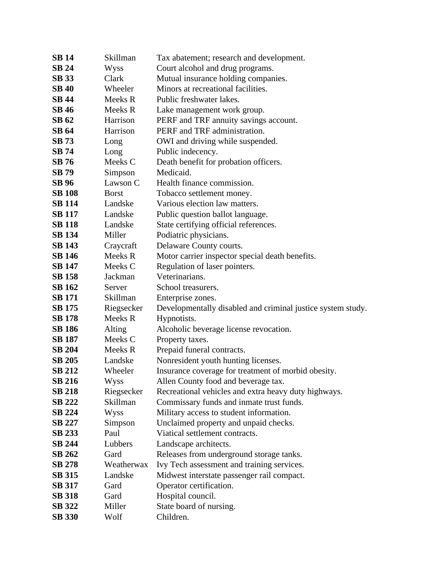| <b>SB 14</b>  | Skillman     | Tax abatement; research and development.                    |
|---------------|--------------|-------------------------------------------------------------|
| <b>SB 24</b>  | Wyss         | Court alcohol and drug programs.                            |
| <b>SB</b> 33  | Clark        | Mutual insurance holding companies.                         |
| <b>SB 40</b>  | Wheeler      | Minors at recreational facilities.                          |
| <b>SB 44</b>  | Meeks R      | Public freshwater lakes.                                    |
| <b>SB 46</b>  | Meeks R      | Lake management work group.                                 |
| <b>SB 62</b>  | Harrison     | PERF and TRF annuity savings account.                       |
| <b>SB 64</b>  | Harrison     | PERF and TRF administration.                                |
| <b>SB 73</b>  | Long         | OWI and driving while suspended.                            |
| <b>SB</b> 74  | Long         | Public indecency.                                           |
| <b>SB</b> 76  | Meeks C      | Death benefit for probation officers.                       |
| <b>SB</b> 79  | Simpson      | Medicaid.                                                   |
| <b>SB</b> 96  | Lawson C     | Health finance commission.                                  |
| <b>SB 108</b> | <b>Borst</b> | Tobacco settlement money.                                   |
| <b>SB</b> 114 | Landske      | Various election law matters.                               |
| <b>SB 117</b> | Landske      | Public question ballot language.                            |
| <b>SB 118</b> | Landske      | State certifying official references.                       |
| <b>SB 134</b> | Miller       | Podiatric physicians.                                       |
| <b>SB 143</b> | Craycraft    | Delaware County courts.                                     |
| <b>SB 146</b> | Meeks R      | Motor carrier inspector special death benefits.             |
| <b>SB 147</b> | Meeks C      | Regulation of laser pointers.                               |
| <b>SB 158</b> | Jackman      | Veterinarians.                                              |
| <b>SB 162</b> | Server       | School treasurers.                                          |
| <b>SB</b> 171 | Skillman     | Enterprise zones.                                           |
| <b>SB</b> 175 | Riegsecker   | Developmentally disabled and criminal justice system study. |
| <b>SB</b> 178 | Meeks R      | Hypnotists.                                                 |
| <b>SB 186</b> | Alting       | Alcoholic beverage license revocation.                      |
| <b>SB 187</b> | Meeks C      | Property taxes.                                             |
| <b>SB 204</b> | Meeks R      | Prepaid funeral contracts.                                  |
| <b>SB 205</b> | Landske      | Nonresident youth hunting licenses.                         |
| <b>SB 212</b> | Wheeler      | Insurance coverage for treatment of morbid obesity.         |
| <b>SB 216</b> | Wyss         | Allen County food and beverage tax.                         |
| <b>SB 218</b> | Riegsecker   | Recreational vehicles and extra heavy duty highways.        |
| <b>SB 222</b> | Skillman     | Commissary funds and inmate trust funds.                    |
| <b>SB 224</b> | Wyss         | Military access to student information.                     |
| <b>SB 227</b> | Simpson      | Unclaimed property and unpaid checks.                       |
| SB 233        | Paul         | Viatical settlement contracts.                              |
| <b>SB 244</b> | Lubbers      | Landscape architects.                                       |
| <b>SB 262</b> | Gard         | Releases from underground storage tanks.                    |
| <b>SB 278</b> | Weatherwax   | Ivy Tech assessment and training services.                  |
| <b>SB 315</b> | Landske      | Midwest interstate passenger rail compact.                  |
| <b>SB 317</b> | Gard         | Operator certification.                                     |
| <b>SB 318</b> | Gard         | Hospital council.                                           |
| <b>SB 322</b> | Miller       | State board of nursing.                                     |
| <b>SB 330</b> | Wolf         | Children.                                                   |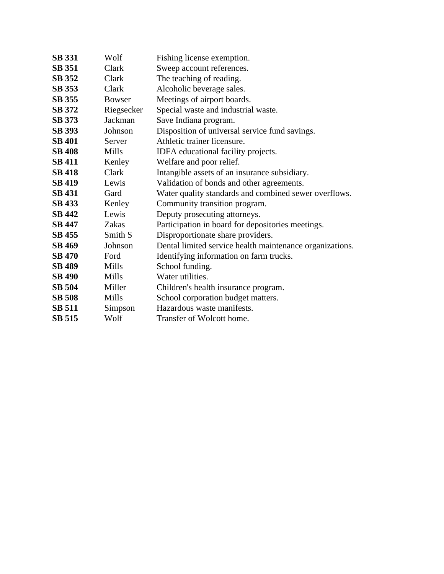| <b>SB 331</b> | Wolf          | Fishing license exemption.                               |
|---------------|---------------|----------------------------------------------------------|
| <b>SB 351</b> | Clark         | Sweep account references.                                |
| <b>SB 352</b> | Clark         | The teaching of reading.                                 |
| <b>SB 353</b> | Clark         | Alcoholic beverage sales.                                |
| <b>SB 355</b> | <b>Bowser</b> | Meetings of airport boards.                              |
| <b>SB 372</b> | Riegsecker    | Special waste and industrial waste.                      |
| <b>SB</b> 373 | Jackman       | Save Indiana program.                                    |
| <b>SB 393</b> | Johnson       | Disposition of universal service fund savings.           |
| <b>SB 401</b> | Server        | Athletic trainer licensure.                              |
| <b>SB 408</b> | Mills         | IDFA educational facility projects.                      |
| <b>SB 411</b> | Kenley        | Welfare and poor relief.                                 |
| <b>SB 418</b> | Clark         | Intangible assets of an insurance subsidiary.            |
| <b>SB 419</b> | Lewis         | Validation of bonds and other agreements.                |
| <b>SB 431</b> | Gard          | Water quality standards and combined sewer overflows.    |
| <b>SB 433</b> | Kenley        | Community transition program.                            |
| <b>SB 442</b> | Lewis         | Deputy prosecuting attorneys.                            |
| <b>SB 447</b> | Zakas         | Participation in board for depositories meetings.        |
| <b>SB 455</b> | Smith S       | Disproportionate share providers.                        |
| <b>SB 469</b> | Johnson       | Dental limited service health maintenance organizations. |
| <b>SB 470</b> | Ford          | Identifying information on farm trucks.                  |
| <b>SB 489</b> | Mills         | School funding.                                          |
| <b>SB 490</b> | Mills         | Water utilities.                                         |
| <b>SB 504</b> | Miller        | Children's health insurance program.                     |
| <b>SB 508</b> | Mills         | School corporation budget matters.                       |
| <b>SB 511</b> | Simpson       | Hazardous waste manifests.                               |
| <b>SB 515</b> | Wolf          | Transfer of Wolcott home.                                |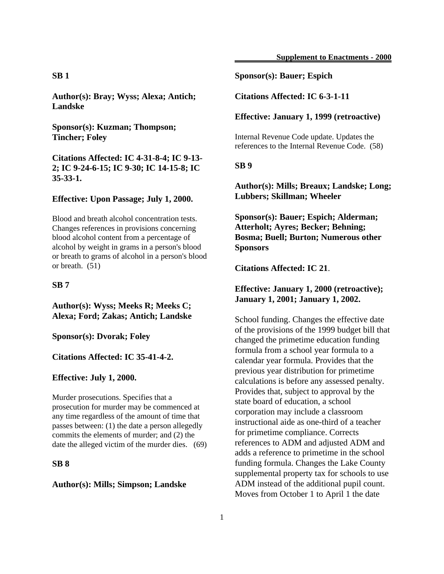## **SB 1**

**Author(s): Bray; Wyss; Alexa; Antich; Landske**

**Sponsor(s): Kuzman; Thompson; Tincher; Foley**

**Citations Affected: IC 4-31-8-4; IC 9-13- 2; IC 9-24-6-15; IC 9-30; IC 14-15-8; IC 35-33-1.**

## **Effective: Upon Passage; July 1, 2000.**

Blood and breath alcohol concentration tests. Changes references in provisions concerning blood alcohol content from a percentage of alcohol by weight in grams in a person's blood or breath to grams of alcohol in a person's blood or breath. (51)

#### **SB 7**

**Author(s): Wyss; Meeks R; Meeks C; Alexa; Ford; Zakas; Antich; Landske**

**Sponsor(s): Dvorak; Foley**

**Citations Affected: IC 35-41-4-2.**

#### **Effective: July 1, 2000.**

Murder prosecutions. Specifies that a prosecution for murder may be commenced at any time regardless of the amount of time that passes between: (1) the date a person allegedly commits the elements of murder; and (2) the date the alleged victim of the murder dies. (69)

## **SB 8**

#### **Author(s): Mills; Simpson; Landske**

## **Sponsor(s): Bauer; Espich**

**Citations Affected: IC 6-3-1-11**

#### **Effective: January 1, 1999 (retroactive)**

Internal Revenue Code update. Updates the references to the Internal Revenue Code. (58)

**SB 9**

## **Author(s): Mills; Breaux; Landske; Long; Lubbers; Skillman; Wheeler**

**Sponsor(s): Bauer; Espich; Alderman; Atterholt; Ayres; Becker; Behning; Bosma; Buell; Burton; Numerous other Sponsors**

**Citations Affected: IC 21**.

## **Effective: January 1, 2000 (retroactive); January 1, 2001; January 1, 2002.**

School funding. Changes the effective date of the provisions of the 1999 budget bill that changed the primetime education funding formula from a school year formula to a calendar year formula. Provides that the previous year distribution for primetime calculations is before any assessed penalty. Provides that, subject to approval by the state board of education, a school corporation may include a classroom instructional aide as one-third of a teacher for primetime compliance. Corrects references to ADM and adjusted ADM and adds a reference to primetime in the school funding formula. Changes the Lake County supplemental property tax for schools to use ADM instead of the additional pupil count. Moves from October 1 to April 1 the date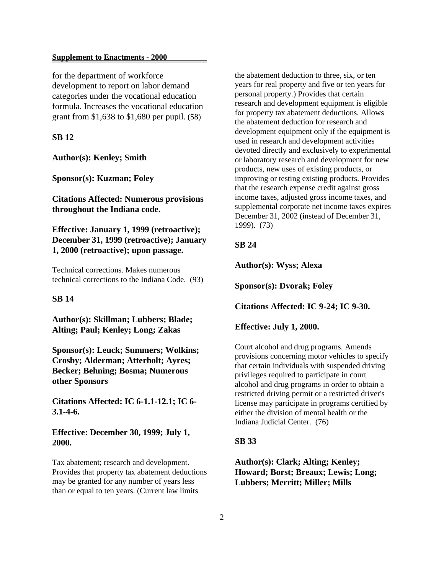for the department of workforce development to report on labor demand categories under the vocational education formula. Increases the vocational education grant from \$1,638 to \$1,680 per pupil. (58)

## **SB 12**

**Author(s): Kenley; Smith**

**Sponsor(s): Kuzman; Foley**

**Citations Affected: Numerous provisions throughout the Indiana code.**

**Effective: January 1, 1999 (retroactive); December 31, 1999 (retroactive); January 1, 2000 (retroactive); upon passage.**

Technical corrections. Makes numerous technical corrections to the Indiana Code. (93)

## **SB 14**

**Author(s): Skillman; Lubbers; Blade; Alting; Paul; Kenley; Long; Zakas**

**Sponsor(s): Leuck; Summers; Wolkins; Crosby; Alderman; Atterholt; Ayres; Becker; Behning; Bosma; Numerous other Sponsors**

**Citations Affected: IC 6-1.1-12.1; IC 6- 3.1-4-6.**

## **Effective: December 30, 1999; July 1, 2000.**

Tax abatement; research and development. Provides that property tax abatement deductions may be granted for any number of years less than or equal to ten years. (Current law limits

the abatement deduction to three, six, or ten years for real property and five or ten years for personal property.) Provides that certain research and development equipment is eligible for property tax abatement deductions. Allows the abatement deduction for research and development equipment only if the equipment is used in research and development activities devoted directly and exclusively to experimental or laboratory research and development for new products, new uses of existing products, or improving or testing existing products. Provides that the research expense credit against gross income taxes, adjusted gross income taxes, and supplemental corporate net income taxes expires December 31, 2002 (instead of December 31, 1999). (73)

## **SB 24**

**Author(s): Wyss; Alexa**

**Sponsor(s): Dvorak; Foley**

**Citations Affected: IC 9-24; IC 9-30.**

**Effective: July 1, 2000.**

Court alcohol and drug programs. Amends provisions concerning motor vehicles to specify that certain individuals with suspended driving privileges required to participate in court alcohol and drug programs in order to obtain a restricted driving permit or a restricted driver's license may participate in programs certified by either the division of mental health or the Indiana Judicial Center. (76)

#### **SB 33**

## **Author(s): Clark; Alting; Kenley; Howard; Borst; Breaux; Lewis; Long; Lubbers; Merritt; Miller; Mills**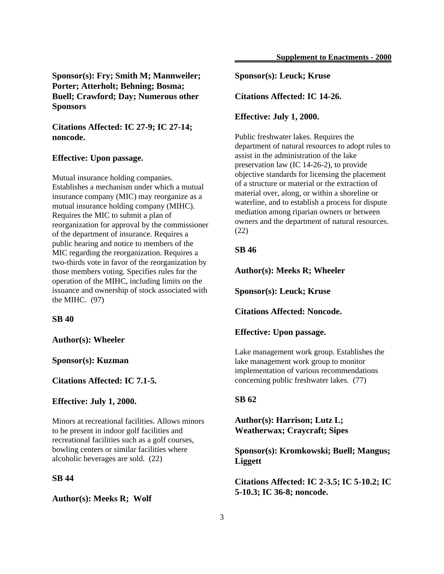## **Sponsor(s): Fry; Smith M; Mannweiler; Porter; Atterholt; Behning; Bosma; Buell; Crawford; Day; Numerous other Sponsors**

**Citations Affected: IC 27-9; IC 27-14; noncode.**

#### **Effective: Upon passage.**

Mutual insurance holding companies. Establishes a mechanism under which a mutual insurance company (MIC) may reorganize as a mutual insurance holding company (MIHC). Requires the MIC to submit a plan of reorganization for approval by the commissioner of the department of insurance. Requires a public hearing and notice to members of the MIC regarding the reorganization. Requires a two-thirds vote in favor of the reorganization by those members voting. Specifies rules for the operation of the MIHC, including limits on the issuance and ownership of stock associated with the MIHC. (97)

#### **SB 40**

**Author(s): Wheeler**

**Sponsor(s): Kuzman**

**Citations Affected: IC 7.1-5.**

**Effective: July 1, 2000.**

Minors at recreational facilities. Allows minors to be present in indoor golf facilities and recreational facilities such as a golf courses, bowling centers or similar facilities where alcoholic beverages are sold. (22)

## **SB 44**

#### **Author(s): Meeks R; Wolf**

## **Sponsor(s): Leuck; Kruse**

**Citations Affected: IC 14-26.**

## **Effective: July 1, 2000.**

Public freshwater lakes. Requires the department of natural resources to adopt rules to assist in the administration of the lake preservation law (IC 14-26-2), to provide objective standards for licensing the placement of a structure or material or the extraction of material over, along, or within a shoreline or waterline, and to establish a process for dispute mediation among riparian owners or between owners and the department of natural resources. (22)

#### **SB 46**

**Author(s): Meeks R; Wheeler**

**Sponsor(s): Leuck; Kruse**

**Citations Affected: Noncode.**

**Effective: Upon passage.**

Lake management work group. Establishes the lake management work group to monitor implementation of various recommendations concerning public freshwater lakes. (77)

## **SB 62**

**Author(s): Harrison; Lutz L; Weatherwax; Craycraft; Sipes**

**Sponsor(s): Kromkowski; Buell; Mangus; Liggett**

**Citations Affected: IC 2-3.5; IC 5-10.2; IC 5-10.3; IC 36-8; noncode.**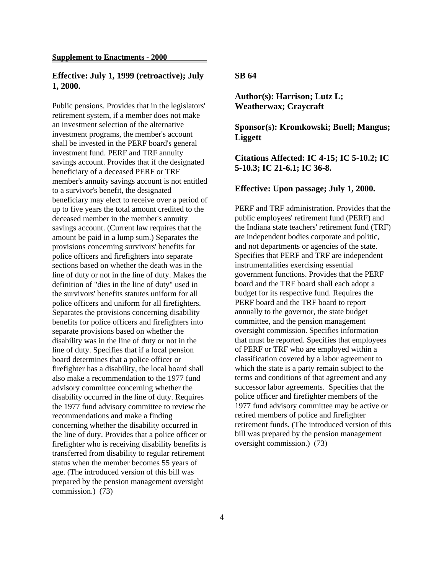## **Effective: July 1, 1999 (retroactive); July 1, 2000.**

Public pensions. Provides that in the legislators' retirement system, if a member does not make an investment selection of the alternative investment programs, the member's account shall be invested in the PERF board's general investment fund. PERF and TRF annuity savings account. Provides that if the designated beneficiary of a deceased PERF or TRF member's annuity savings account is not entitled to a survivor's benefit, the designated beneficiary may elect to receive over a period of up to five years the total amount credited to the deceased member in the member's annuity savings account. (Current law requires that the amount be paid in a lump sum.) Separates the provisions concerning survivors' benefits for police officers and firefighters into separate sections based on whether the death was in the line of duty or not in the line of duty. Makes the definition of "dies in the line of duty" used in the survivors' benefits statutes uniform for all police officers and uniform for all firefighters. Separates the provisions concerning disability benefits for police officers and firefighters into separate provisions based on whether the disability was in the line of duty or not in the line of duty. Specifies that if a local pension board determines that a police officer or firefighter has a disability, the local board shall also make a recommendation to the 1977 fund advisory committee concerning whether the disability occurred in the line of duty. Requires the 1977 fund advisory committee to review the recommendations and make a finding concerning whether the disability occurred in the line of duty. Provides that a police officer or firefighter who is receiving disability benefits is transferred from disability to regular retirement status when the member becomes 55 years of age. (The introduced version of this bill was prepared by the pension management oversight commission.) (73)

#### **SB 64**

**Author(s): Harrison; Lutz L; Weatherwax; Craycraft**

**Sponsor(s): Kromkowski; Buell; Mangus; Liggett**

**Citations Affected: IC 4-15; IC 5-10.2; IC 5-10.3; IC 21-6.1; IC 36-8.**

#### **Effective: Upon passage; July 1, 2000.**

PERF and TRF administration. Provides that the public employees' retirement fund (PERF) and the Indiana state teachers' retirement fund (TRF) are independent bodies corporate and politic, and not departments or agencies of the state. Specifies that PERF and TRF are independent instrumentalities exercising essential government functions. Provides that the PERF board and the TRF board shall each adopt a budget for its respective fund. Requires the PERF board and the TRF board to report annually to the governor, the state budget committee, and the pension management oversight commission. Specifies information that must be reported. Specifies that employees of PERF or TRF who are employed within a classification covered by a labor agreement to which the state is a party remain subject to the terms and conditions of that agreement and any successor labor agreements. Specifies that the police officer and firefighter members of the 1977 fund advisory committee may be active or retired members of police and firefighter retirement funds. (The introduced version of this bill was prepared by the pension management oversight commission.) (73)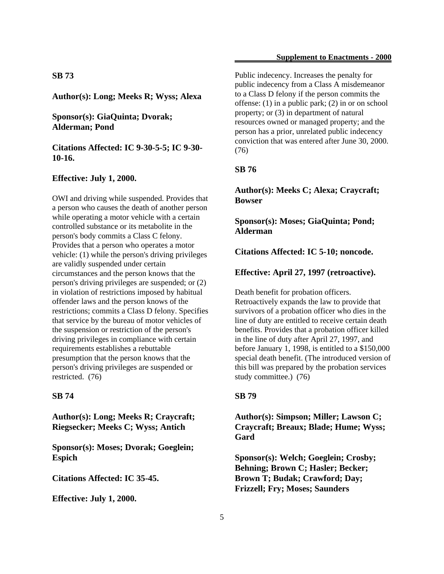## **SB 73**

**Author(s): Long; Meeks R; Wyss; Alexa**

## **Sponsor(s): GiaQuinta; Dvorak; Alderman; Pond**

**Citations Affected: IC 9-30-5-5; IC 9-30- 10-16.**

#### **Effective: July 1, 2000.**

OWI and driving while suspended. Provides that a person who causes the death of another person while operating a motor vehicle with a certain controlled substance or its metabolite in the person's body commits a Class C felony. Provides that a person who operates a motor vehicle: (1) while the person's driving privileges are validly suspended under certain circumstances and the person knows that the person's driving privileges are suspended; or (2) in violation of restrictions imposed by habitual offender laws and the person knows of the restrictions; commits a Class D felony. Specifies that service by the bureau of motor vehicles of the suspension or restriction of the person's driving privileges in compliance with certain requirements establishes a rebuttable presumption that the person knows that the person's driving privileges are suspended or restricted. (76)

## **SB 74**

**Author(s): Long; Meeks R; Craycraft; Riegsecker; Meeks C; Wyss; Antich**

**Sponsor(s): Moses; Dvorak; Goeglein; Espich**

**Citations Affected: IC 35-45.**

**Effective: July 1, 2000.**

Public indecency. Increases the penalty for public indecency from a Class A misdemeanor to a Class D felony if the person commits the offense: (1) in a public park; (2) in or on school property; or (3) in department of natural resources owned or managed property; and the person has a prior, unrelated public indecency conviction that was entered after June 30, 2000. (76)

#### **SB 76**

**Author(s): Meeks C; Alexa; Craycraft; Bowser**

**Sponsor(s): Moses; GiaQuinta; Pond; Alderman**

**Citations Affected: IC 5-10; noncode.**

**Effective: April 27, 1997 (retroactive).**

Death benefit for probation officers. Retroactively expands the law to provide that survivors of a probation officer who dies in the line of duty are entitled to receive certain death benefits. Provides that a probation officer killed in the line of duty after April 27, 1997, and before January 1, 1998, is entitled to a \$150,000 special death benefit. (The introduced version of this bill was prepared by the probation services study committee.) (76)

## **SB 79**

**Author(s): Simpson; Miller; Lawson C; Craycraft; Breaux; Blade; Hume; Wyss; Gard**

**Sponsor(s): Welch; Goeglein; Crosby; Behning; Brown C; Hasler; Becker; Brown T; Budak; Crawford; Day; Frizzell; Fry; Moses; Saunders**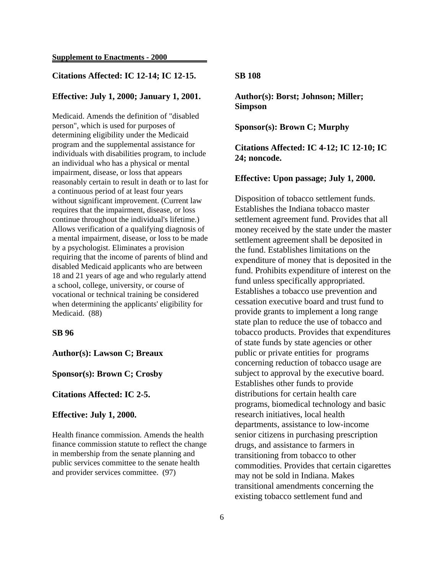## **Citations Affected: IC 12-14; IC 12-15.**

## **Effective: July 1, 2000; January 1, 2001.**

Medicaid. Amends the definition of "disabled person", which is used for purposes of determining eligibility under the Medicaid program and the supplemental assistance for individuals with disabilities program, to include an individual who has a physical or mental impairment, disease, or loss that appears reasonably certain to result in death or to last for a continuous period of at least four years without significant improvement. (Current law requires that the impairment, disease, or loss continue throughout the individual's lifetime.) Allows verification of a qualifying diagnosis of a mental impairment, disease, or loss to be made by a psychologist. Eliminates a provision requiring that the income of parents of blind and disabled Medicaid applicants who are between 18 and 21 years of age and who regularly attend a school, college, university, or course of vocational or technical training be considered when determining the applicants' eligibility for Medicaid. (88)

### **SB 96**

## **Author(s): Lawson C; Breaux**

## **Sponsor(s): Brown C; Crosby**

#### **Citations Affected: IC 2-5.**

#### **Effective: July 1, 2000.**

Health finance commission. Amends the health finance commission statute to reflect the change in membership from the senate planning and public services committee to the senate health and provider services committee. (97)

#### **SB 108**

**Author(s): Borst; Johnson; Miller; Simpson**

**Sponsor(s): Brown C; Murphy**

**Citations Affected: IC 4-12; IC 12-10; IC 24; noncode.**

## **Effective: Upon passage; July 1, 2000.**

Disposition of tobacco settlement funds. Establishes the Indiana tobacco master settlement agreement fund. Provides that all money received by the state under the master settlement agreement shall be deposited in the fund. Establishes limitations on the expenditure of money that is deposited in the fund. Prohibits expenditure of interest on the fund unless specifically appropriated. Establishes a tobacco use prevention and cessation executive board and trust fund to provide grants to implement a long range state plan to reduce the use of tobacco and tobacco products. Provides that expenditures of state funds by state agencies or other public or private entities for programs concerning reduction of tobacco usage are subject to approval by the executive board. Establishes other funds to provide distributions for certain health care programs, biomedical technology and basic research initiatives, local health departments, assistance to low-income senior citizens in purchasing prescription drugs, and assistance to farmers in transitioning from tobacco to other commodities. Provides that certain cigarettes may not be sold in Indiana. Makes transitional amendments concerning the existing tobacco settlement fund and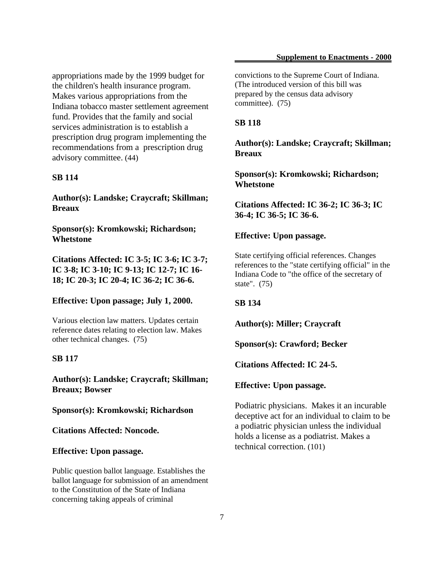appropriations made by the 1999 budget for the children's health insurance program. Makes various appropriations from the Indiana tobacco master settlement agreement fund. Provides that the family and social services administration is to establish a prescription drug program implementing the recommendations from a prescription drug advisory committee. (44)

## **SB 114**

**Author(s): Landske; Craycraft; Skillman; Breaux**

**Sponsor(s): Kromkowski; Richardson; Whetstone**

**Citations Affected: IC 3-5; IC 3-6; IC 3-7; IC 3-8; IC 3-10; IC 9-13; IC 12-7; IC 16- 18; IC 20-3; IC 20-4; IC 36-2; IC 36-6.**

## **Effective: Upon passage; July 1, 2000.**

Various election law matters. Updates certain reference dates relating to election law. Makes other technical changes. (75)

## **SB 117**

**Author(s): Landske; Craycraft; Skillman; Breaux; Bowser**

**Sponsor(s): Kromkowski; Richardson**

**Citations Affected: Noncode.**

**Effective: Upon passage.**

Public question ballot language. Establishes the ballot language for submission of an amendment to the Constitution of the State of Indiana concerning taking appeals of criminal

convictions to the Supreme Court of Indiana. (The introduced version of this bill was prepared by the census data advisory committee). (75)

#### **SB 118**

**Author(s): Landske; Craycraft; Skillman; Breaux**

**Sponsor(s): Kromkowski; Richardson; Whetstone**

**Citations Affected: IC 36-2; IC 36-3; IC 36-4; IC 36-5; IC 36-6.**

## **Effective: Upon passage.**

State certifying official references. Changes references to the "state certifying official" in the Indiana Code to "the office of the secretary of state". (75)

## **SB 134**

**Author(s): Miller; Craycraft**

**Sponsor(s): Crawford; Becker**

**Citations Affected: IC 24-5.**

#### **Effective: Upon passage.**

Podiatric physicians. Makes it an incurable deceptive act for an individual to claim to be a podiatric physician unless the individual holds a license as a podiatrist. Makes a technical correction. (101)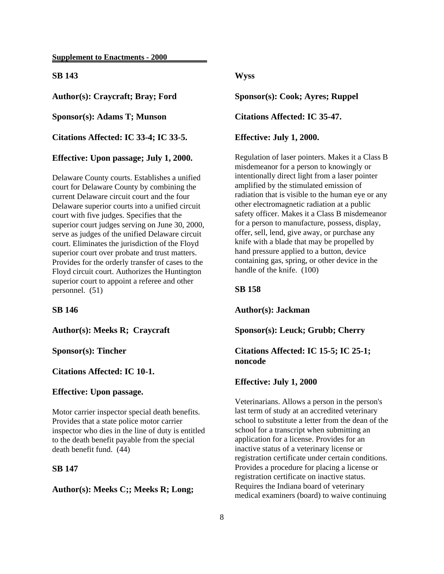## **SB 143**

**Author(s): Craycraft; Bray; Ford**

**Sponsor(s): Adams T; Munson**

**Citations Affected: IC 33-4; IC 33-5.**

**Effective: Upon passage; July 1, 2000.**

Delaware County courts. Establishes a unified court for Delaware County by combining the current Delaware circuit court and the four Delaware superior courts into a unified circuit court with five judges. Specifies that the superior court judges serving on June 30, 2000, serve as judges of the unified Delaware circuit court. Eliminates the jurisdiction of the Floyd superior court over probate and trust matters. Provides for the orderly transfer of cases to the Floyd circuit court. Authorizes the Huntington superior court to appoint a referee and other personnel. (51)

#### **SB 146**

**Author(s): Meeks R; Craycraft**

### **Sponsor(s): Tincher**

**Citations Affected: IC 10-1.**

#### **Effective: Upon passage.**

Motor carrier inspector special death benefits. Provides that a state police motor carrier inspector who dies in the line of duty is entitled to the death benefit payable from the special death benefit fund. (44)

## **SB 147**

## **Author(s): Meeks C;; Meeks R; Long;**

## **Wyss**

**Sponsor(s): Cook; Ayres; Ruppel**

**Citations Affected: IC 35-47.**

#### **Effective: July 1, 2000.**

Regulation of laser pointers. Makes it a Class B misdemeanor for a person to knowingly or intentionally direct light from a laser pointer amplified by the stimulated emission of radiation that is visible to the human eye or any other electromagnetic radiation at a public safety officer. Makes it a Class B misdemeanor for a person to manufacture, possess, display, offer, sell, lend, give away, or purchase any knife with a blade that may be propelled by hand pressure applied to a button, device containing gas, spring, or other device in the handle of the knife. (100)

#### **SB 158**

**Author(s): Jackman**

**Sponsor(s): Leuck; Grubb; Cherry**

**Citations Affected: IC 15-5; IC 25-1; noncode**

#### **Effective: July 1, 2000**

Veterinarians. Allows a person in the person's last term of study at an accredited veterinary school to substitute a letter from the dean of the school for a transcript when submitting an application for a license. Provides for an inactive status of a veterinary license or registration certificate under certain conditions. Provides a procedure for placing a license or registration certificate on inactive status. Requires the Indiana board of veterinary medical examiners (board) to waive continuing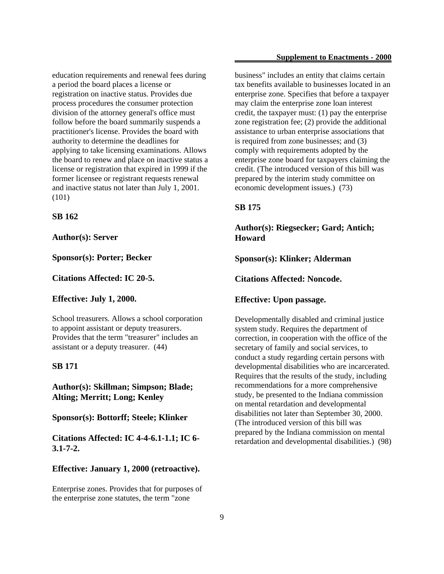education requirements and renewal fees during a period the board places a license or registration on inactive status. Provides due process procedures the consumer protection division of the attorney general's office must follow before the board summarily suspends a practitioner's license. Provides the board with authority to determine the deadlines for applying to take licensing examinations. Allows the board to renew and place on inactive status a license or registration that expired in 1999 if the former licensee or registrant requests renewal and inactive status not later than July 1, 2001. (101)

## **SB 162**

#### **Author(s): Server**

**Sponsor(s): Porter; Becker**

**Citations Affected: IC 20-5.**

#### **Effective: July 1, 2000.**

School treasurers. Allows a school corporation to appoint assistant or deputy treasurers. Provides that the term "treasurer" includes an assistant or a deputy treasurer. (44)

## **SB 171**

**Author(s): Skillman; Simpson; Blade; Alting; Merritt; Long; Kenley**

**Sponsor(s): Bottorff; Steele; Klinker**

**Citations Affected: IC 4-4-6.1-1.1; IC 6- 3.1-7-2.**

#### **Effective: January 1, 2000 (retroactive).**

Enterprise zones. Provides that for purposes of the enterprise zone statutes, the term "zone

business" includes an entity that claims certain tax benefits available to businesses located in an enterprise zone. Specifies that before a taxpayer may claim the enterprise zone loan interest credit, the taxpayer must: (1) pay the enterprise zone registration fee; (2) provide the additional assistance to urban enterprise associations that is required from zone businesses; and (3) comply with requirements adopted by the enterprise zone board for taxpayers claiming the credit. (The introduced version of this bill was prepared by the interim study committee on economic development issues.) (73)

## **SB 175**

**Author(s): Riegsecker; Gard; Antich; Howard**

**Sponsor(s): Klinker; Alderman**

**Citations Affected: Noncode.**

## **Effective: Upon passage.**

Developmentally disabled and criminal justice system study. Requires the department of correction, in cooperation with the office of the secretary of family and social services, to conduct a study regarding certain persons with developmental disabilities who are incarcerated. Requires that the results of the study, including recommendations for a more comprehensive study, be presented to the Indiana commission on mental retardation and developmental disabilities not later than September 30, 2000. (The introduced version of this bill was prepared by the Indiana commission on mental retardation and developmental disabilities.) (98)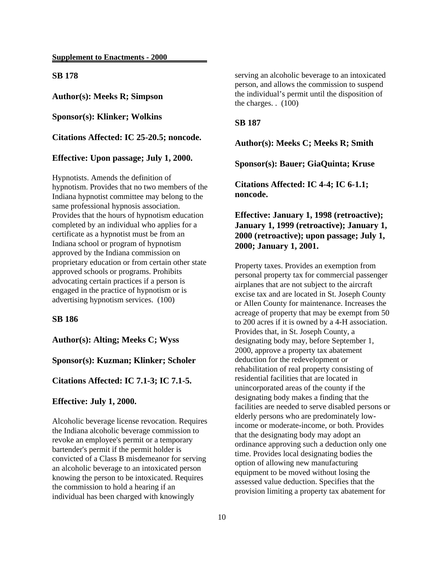**SB 178**

**Author(s): Meeks R; Simpson**

**Sponsor(s): Klinker; Wolkins**

**Citations Affected: IC 25-20.5; noncode.**

**Effective: Upon passage; July 1, 2000.**

Hypnotists. Amends the definition of hypnotism. Provides that no two members of the Indiana hypnotist committee may belong to the same professional hypnosis association. Provides that the hours of hypnotism education completed by an individual who applies for a certificate as a hypnotist must be from an Indiana school or program of hypnotism approved by the Indiana commission on proprietary education or from certain other state approved schools or programs. Prohibits advocating certain practices if a person is engaged in the practice of hypnotism or is advertising hypnotism services. (100)

## **SB 186**

**Author(s): Alting; Meeks C; Wyss**

**Sponsor(s): Kuzman; Klinker; Scholer**

**Citations Affected: IC 7.1-3; IC 7.1-5.**

#### **Effective: July 1, 2000.**

Alcoholic beverage license revocation. Requires the Indiana alcoholic beverage commission to revoke an employee's permit or a temporary bartender's permit if the permit holder is convicted of a Class B misdemeanor for serving an alcoholic beverage to an intoxicated person knowing the person to be intoxicated. Requires the commission to hold a hearing if an individual has been charged with knowingly

serving an alcoholic beverage to an intoxicated person, and allows the commission to suspend the individual's permit until the disposition of the charges. . (100)

#### **SB 187**

**Author(s): Meeks C; Meeks R; Smith**

**Sponsor(s): Bauer; GiaQuinta; Kruse**

**Citations Affected: IC 4-4; IC 6-1.1; noncode.**

**Effective: January 1, 1998 (retroactive); January 1, 1999 (retroactive); January 1, 2000 (retroactive); upon passage; July 1, 2000; January 1, 2001.**

Property taxes. Provides an exemption from personal property tax for commercial passenger airplanes that are not subject to the aircraft excise tax and are located in St. Joseph County or Allen County for maintenance. Increases the acreage of property that may be exempt from 50 to 200 acres if it is owned by a 4-H association. Provides that, in St. Joseph County, a designating body may, before September 1, 2000, approve a property tax abatement deduction for the redevelopment or rehabilitation of real property consisting of residential facilities that are located in unincorporated areas of the county if the designating body makes a finding that the facilities are needed to serve disabled persons or elderly persons who are predominately lowincome or moderate-income, or both. Provides that the designating body may adopt an ordinance approving such a deduction only one time. Provides local designating bodies the option of allowing new manufacturing equipment to be moved without losing the assessed value deduction. Specifies that the provision limiting a property tax abatement for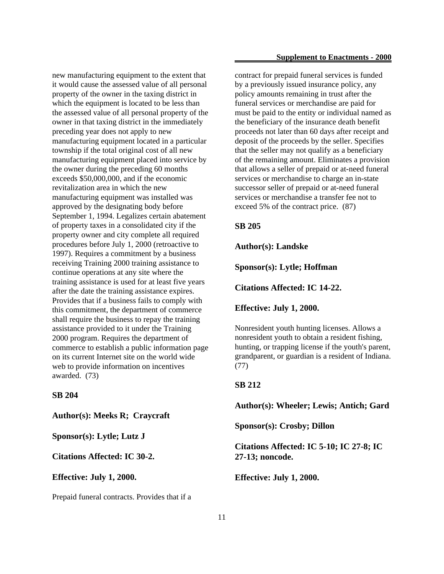new manufacturing equipment to the extent that it would cause the assessed value of all personal property of the owner in the taxing district in which the equipment is located to be less than the assessed value of all personal property of the owner in that taxing district in the immediately preceding year does not apply to new manufacturing equipment located in a particular township if the total original cost of all new manufacturing equipment placed into service by the owner during the preceding 60 months exceeds \$50,000,000, and if the economic revitalization area in which the new manufacturing equipment was installed was approved by the designating body before September 1, 1994. Legalizes certain abatement of property taxes in a consolidated city if the property owner and city complete all required procedures before July 1, 2000 (retroactive to 1997). Requires a commitment by a business receiving Training 2000 training assistance to continue operations at any site where the training assistance is used for at least five years after the date the training assistance expires. Provides that if a business fails to comply with this commitment, the department of commerce shall require the business to repay the training assistance provided to it under the Training 2000 program. Requires the department of commerce to establish a public information page on its current Internet site on the world wide web to provide information on incentives awarded. (73)

**SB 204**

**Author(s): Meeks R; Craycraft**

**Sponsor(s): Lytle; Lutz J**

**Citations Affected: IC 30-2.**

**Effective: July 1, 2000.**

Prepaid funeral contracts. Provides that if a

contract for prepaid funeral services is funded by a previously issued insurance policy, any policy amounts remaining in trust after the funeral services or merchandise are paid for must be paid to the entity or individual named as the beneficiary of the insurance death benefit proceeds not later than 60 days after receipt and deposit of the proceeds by the seller. Specifies that the seller may not qualify as a beneficiary of the remaining amount. Eliminates a provision that allows a seller of prepaid or at-need funeral services or merchandise to charge an in-state successor seller of prepaid or at-need funeral services or merchandise a transfer fee not to exceed 5% of the contract price. (87)

**SB 205**

**Author(s): Landske**

**Sponsor(s): Lytle; Hoffman**

**Citations Affected: IC 14-22.**

**Effective: July 1, 2000.**

Nonresident youth hunting licenses. Allows a nonresident youth to obtain a resident fishing, hunting, or trapping license if the youth's parent, grandparent, or guardian is a resident of Indiana. (77)

## **SB 212**

**Author(s): Wheeler; Lewis; Antich; Gard**

**Sponsor(s): Crosby; Dillon**

**Citations Affected: IC 5-10; IC 27-8; IC 27-13; noncode.**

**Effective: July 1, 2000.**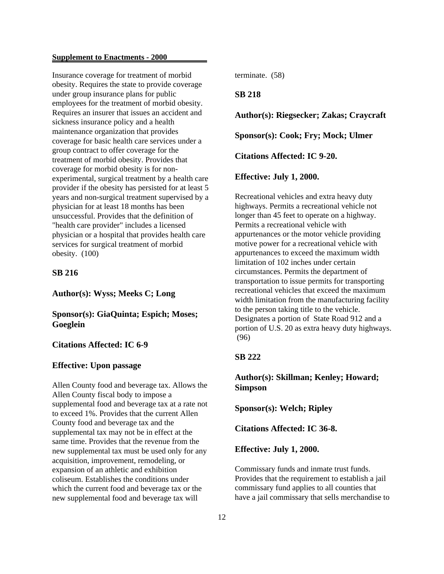Insurance coverage for treatment of morbid obesity. Requires the state to provide coverage under group insurance plans for public employees for the treatment of morbid obesity. Requires an insurer that issues an accident and sickness insurance policy and a health maintenance organization that provides coverage for basic health care services under a group contract to offer coverage for the treatment of morbid obesity. Provides that coverage for morbid obesity is for nonexperimental, surgical treatment by a health care provider if the obesity has persisted for at least 5 years and non-surgical treatment supervised by a physician for at least 18 months has been unsuccessful. Provides that the definition of "health care provider" includes a licensed physician or a hospital that provides health care services for surgical treatment of morbid obesity. (100)

## **SB 216**

**Author(s): Wyss; Meeks C; Long**

**Sponsor(s): GiaQuinta; Espich; Moses; Goeglein**

## **Citations Affected: IC 6-9**

#### **Effective: Upon passage**

Allen County food and beverage tax. Allows the Allen County fiscal body to impose a supplemental food and beverage tax at a rate not to exceed 1%. Provides that the current Allen County food and beverage tax and the supplemental tax may not be in effect at the same time. Provides that the revenue from the new supplemental tax must be used only for any acquisition, improvement, remodeling, or expansion of an athletic and exhibition coliseum. Establishes the conditions under which the current food and beverage tax or the new supplemental food and beverage tax will

terminate. (58)

## **SB 218**

**Author(s): Riegsecker; Zakas; Craycraft**

**Sponsor(s): Cook; Fry; Mock; Ulmer**

**Citations Affected: IC 9-20.**

#### **Effective: July 1, 2000.**

Recreational vehicles and extra heavy duty highways. Permits a recreational vehicle not longer than 45 feet to operate on a highway. Permits a recreational vehicle with appurtenances or the motor vehicle providing motive power for a recreational vehicle with appurtenances to exceed the maximum width limitation of 102 inches under certain circumstances. Permits the department of transportation to issue permits for transporting recreational vehicles that exceed the maximum width limitation from the manufacturing facility to the person taking title to the vehicle. Designates a portion of State Road 912 and a portion of U.S. 20 as extra heavy duty highways. (96)

## **SB 222**

## **Author(s): Skillman; Kenley; Howard; Simpson**

**Sponsor(s): Welch; Ripley**

**Citations Affected: IC 36-8.**

#### **Effective: July 1, 2000.**

Commissary funds and inmate trust funds. Provides that the requirement to establish a jail commissary fund applies to all counties that have a jail commissary that sells merchandise to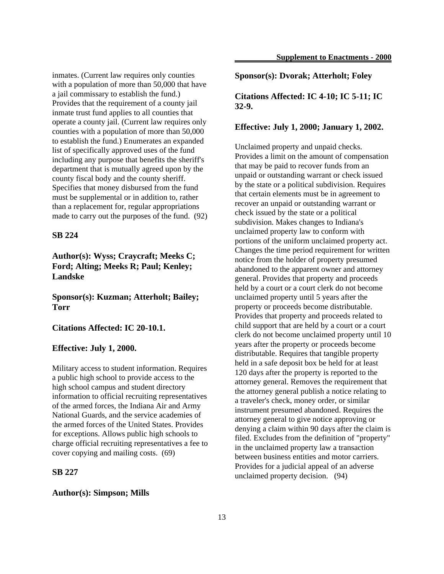inmates. (Current law requires only counties with a population of more than 50,000 that have a jail commissary to establish the fund.) Provides that the requirement of a county jail inmate trust fund applies to all counties that operate a county jail. (Current law requires only counties with a population of more than 50,000 to establish the fund.) Enumerates an expanded list of specifically approved uses of the fund including any purpose that benefits the sheriff's department that is mutually agreed upon by the county fiscal body and the county sheriff. Specifies that money disbursed from the fund must be supplemental or in addition to, rather than a replacement for, regular appropriations made to carry out the purposes of the fund. (92)

## **SB 224**

**Author(s): Wyss; Craycraft; Meeks C; Ford; Alting; Meeks R; Paul; Kenley; Landske**

**Sponsor(s): Kuzman; Atterholt; Bailey; Torr**

## **Citations Affected: IC 20-10.1.**

## **Effective: July 1, 2000.**

Military access to student information. Requires a public high school to provide access to the high school campus and student directory information to official recruiting representatives of the armed forces, the Indiana Air and Army National Guards, and the service academies of the armed forces of the United States. Provides for exceptions. Allows public high schools to charge official recruiting representatives a fee to cover copying and mailing costs. (69)

## **SB 227**

#### **Author(s): Simpson; Mills**

**Sponsor(s): Dvorak; Atterholt; Foley**

**Citations Affected: IC 4-10; IC 5-11; IC 32-9.**

#### **Effective: July 1, 2000; January 1, 2002.**

Unclaimed property and unpaid checks. Provides a limit on the amount of compensation that may be paid to recover funds from an unpaid or outstanding warrant or check issued by the state or a political subdivision. Requires that certain elements must be in agreement to recover an unpaid or outstanding warrant or check issued by the state or a political subdivision. Makes changes to Indiana's unclaimed property law to conform with portions of the uniform unclaimed property act. Changes the time period requirement for written notice from the holder of property presumed abandoned to the apparent owner and attorney general. Provides that property and proceeds held by a court or a court clerk do not become unclaimed property until 5 years after the property or proceeds become distributable. Provides that property and proceeds related to child support that are held by a court or a court clerk do not become unclaimed property until 10 years after the property or proceeds become distributable. Requires that tangible property held in a safe deposit box be held for at least 120 days after the property is reported to the attorney general. Removes the requirement that the attorney general publish a notice relating to a traveler's check, money order, or similar instrument presumed abandoned. Requires the attorney general to give notice approving or denying a claim within 90 days after the claim is filed. Excludes from the definition of "property" in the unclaimed property law a transaction between business entities and motor carriers. Provides for a judicial appeal of an adverse unclaimed property decision. (94)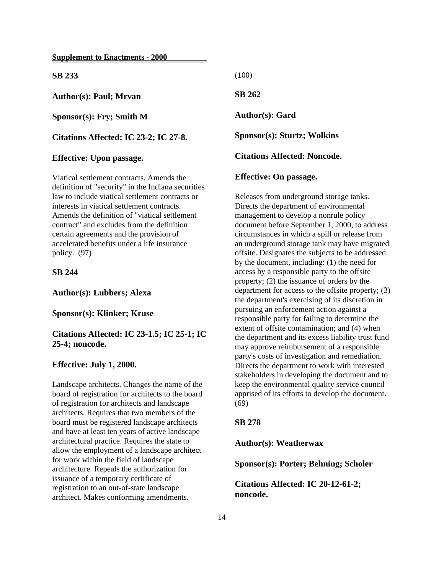**SB 233**

**Author(s): Paul; Mrvan**

**Sponsor(s): Fry; Smith M**

**Citations Affected: IC 23-2; IC 27-8.**

#### **Effective: Upon passage.**

Viatical settlement contracts. Amends the definition of "security" in the Indiana securities law to include viatical settlement contracts or interests in viatical settlement contracts. Amends the definition of "viatical settlement contract" and excludes from the definition certain agreements and the provision of accelerated benefits under a life insurance policy. (97)

## **SB 244**

**Author(s): Lubbers; Alexa**

**Sponsor(s): Klinker; Kruse**

**Citations Affected: IC 23-1.5; IC 25-1; IC 25-4; noncode.**

## **Effective: July 1, 2000.**

Landscape architects. Changes the name of the board of registration for architects to the board of registration for architects and landscape architects. Requires that two members of the board must be registered landscape architects and have at least ten years of active landscape architectural practice. Requires the state to allow the employment of a landscape architect for work within the field of landscape architecture. Repeals the authorization for issuance of a temporary certificate of registration to an out-of-state landscape architect. Makes conforming amendments.

(100)

**SB 262**

**Author(s): Gard**

**Sponsor(s): Sturtz; Wolkins**

**Citations Affected: Noncode.**

## **Effective: On passage.**

Releases from underground storage tanks. Directs the department of environmental management to develop a nonrule policy document before September 1, 2000, to address circumstances in which a spill or release from an underground storage tank may have migrated offsite. Designates the subjects to be addressed by the document, including: (1) the need for access by a responsible party to the offsite property; (2) the issuance of orders by the department for access to the offsite property; (3) the department's exercising of its discretion in pursuing an enforcement action against a responsible party for failing to determine the extent of offsite contamination; and (4) when the department and its excess liability trust fund may approve reimbursement of a responsible party's costs of investigation and remediation. Directs the department to work with interested stakeholders in developing the document and to keep the environmental quality service council apprised of its efforts to develop the document. (69)

### **SB 278**

**Author(s): Weatherwax**

**Sponsor(s): Porter; Behning; Scholer**

**Citations Affected: IC 20-12-61-2; noncode.**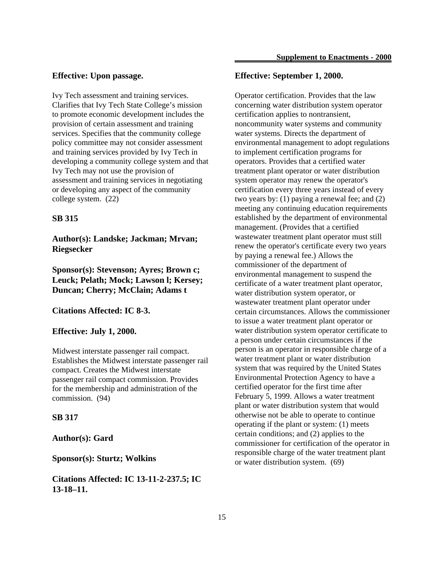## **Effective: Upon passage.**

Ivy Tech assessment and training services. Clarifies that Ivy Tech State College's mission to promote economic development includes the provision of certain assessment and training services. Specifies that the community college policy committee may not consider assessment and training services provided by Ivy Tech in developing a community college system and that Ivy Tech may not use the provision of assessment and training services in negotiating or developing any aspect of the community college system. (22)

#### **SB 315**

**Author(s): Landske; Jackman; Mrvan; Riegsecker**

**Sponsor(s): Stevenson; Ayres; Brown c; Leuck; Pelath; Mock; Lawson l; Kersey; Duncan; Cherry; McClain; Adams t**

**Citations Affected: IC 8-3.**

#### **Effective: July 1, 2000.**

Midwest interstate passenger rail compact. Establishes the Midwest interstate passenger rail compact. Creates the Midwest interstate passenger rail compact commission. Provides for the membership and administration of the commission. (94)

#### **SB 317**

## **Author(s): Gard**

**Sponsor(s): Sturtz; Wolkins**

**Citations Affected: IC 13-11-2-237.5; IC 13-18–11.**

## **Effective: September 1, 2000.**

Operator certification. Provides that the law concerning water distribution system operator certification applies to nontransient, noncommunity water systems and community water systems. Directs the department of environmental management to adopt regulations to implement certification programs for operators. Provides that a certified water treatment plant operator or water distribution system operator may renew the operator's certification every three years instead of every two years by: (1) paying a renewal fee; and (2) meeting any continuing education requirements established by the department of environmental management. (Provides that a certified wastewater treatment plant operator must still renew the operator's certificate every two years by paying a renewal fee.) Allows the commissioner of the department of environmental management to suspend the certificate of a water treatment plant operator, water distribution system operator, or wastewater treatment plant operator under certain circumstances. Allows the commissioner to issue a water treatment plant operator or water distribution system operator certificate to a person under certain circumstances if the person is an operator in responsible charge of a water treatment plant or water distribution system that was required by the United States Environmental Protection Agency to have a certified operator for the first time after February 5, 1999. Allows a water treatment plant or water distribution system that would otherwise not be able to operate to continue operating if the plant or system: (1) meets certain conditions; and (2) applies to the commissioner for certification of the operator in responsible charge of the water treatment plant or water distribution system. (69)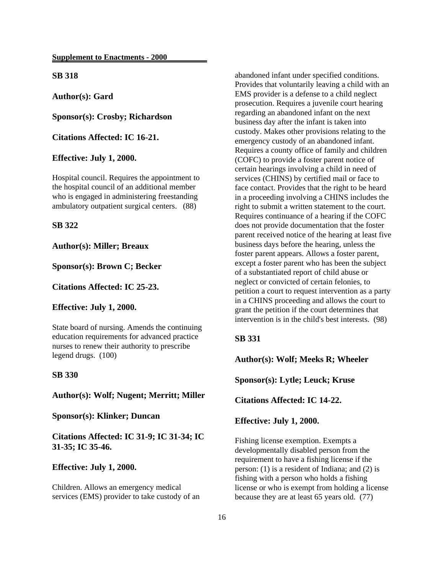**SB 318**

**Author(s): Gard**

**Sponsor(s): Crosby; Richardson**

**Citations Affected: IC 16-21.**

**Effective: July 1, 2000.**

Hospital council. Requires the appointment to the hospital council of an additional member who is engaged in administering freestanding ambulatory outpatient surgical centers. (88)

#### **SB 322**

**Author(s): Miller; Breaux**

**Sponsor(s): Brown C; Becker**

**Citations Affected: IC 25-23.**

#### **Effective: July 1, 2000.**

State board of nursing. Amends the continuing education requirements for advanced practice nurses to renew their authority to prescribe legend drugs. (100)

## **SB 330**

**Author(s): Wolf; Nugent; Merritt; Miller**

**Sponsor(s): Klinker; Duncan**

**Citations Affected: IC 31-9; IC 31-34; IC 31-35; IC 35-46.**

### **Effective: July 1, 2000.**

Children. Allows an emergency medical services (EMS) provider to take custody of an abandoned infant under specified conditions. Provides that voluntarily leaving a child with an EMS provider is a defense to a child neglect prosecution. Requires a juvenile court hearing regarding an abandoned infant on the next business day after the infant is taken into custody. Makes other provisions relating to the emergency custody of an abandoned infant. Requires a county office of family and children (COFC) to provide a foster parent notice of certain hearings involving a child in need of services (CHINS) by certified mail or face to face contact. Provides that the right to be heard in a proceeding involving a CHINS includes the right to submit a written statement to the court. Requires continuance of a hearing if the COFC does not provide documentation that the foster parent received notice of the hearing at least five business days before the hearing, unless the foster parent appears. Allows a foster parent, except a foster parent who has been the subject of a substantiated report of child abuse or neglect or convicted of certain felonies, to petition a court to request intervention as a party in a CHINS proceeding and allows the court to grant the petition if the court determines that intervention is in the child's best interests. (98)

## **SB 331**

**Author(s): Wolf; Meeks R; Wheeler**

**Sponsor(s): Lytle; Leuck; Kruse**

**Citations Affected: IC 14-22.**

**Effective: July 1, 2000.**

Fishing license exemption. Exempts a developmentally disabled person from the requirement to have a fishing license if the person: (1) is a resident of Indiana; and (2) is fishing with a person who holds a fishing license or who is exempt from holding a license because they are at least 65 years old. (77)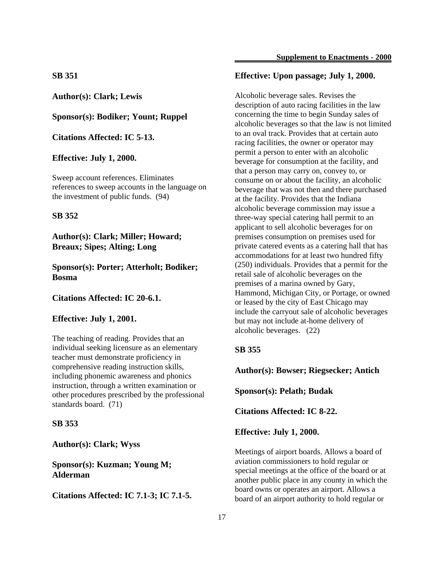**Author(s): Clark; Lewis**

**Sponsor(s): Bodiker; Yount; Ruppel**

**Citations Affected: IC 5-13.**

**Effective: July 1, 2000.**

Sweep account references. Eliminates references to sweep accounts in the language on the investment of public funds. (94)

#### **SB 352**

**Author(s): Clark; Miller; Howard; Breaux; Sipes; Alting; Long**

**Sponsor(s): Porter; Atterholt; Bodiker; Bosma**

**Citations Affected: IC 20-6.1.**

## **Effective: July 1, 2001.**

The teaching of reading. Provides that an individual seeking licensure as an elementary teacher must demonstrate proficiency in comprehensive reading instruction skills, including phonemic awareness and phonics instruction, through a written examination or other procedures prescribed by the professional standards board. (71)

#### **SB 353**

**Author(s): Clark; Wyss**

**Sponsor(s): Kuzman; Young M; Alderman**

**Citations Affected: IC 7.1-3; IC 7.1-5.**

## **Effective: Upon passage; July 1, 2000.**

Alcoholic beverage sales. Revises the description of auto racing facilities in the law concerning the time to begin Sunday sales of alcoholic beverages so that the law is not limited to an oval track. Provides that at certain auto racing facilities, the owner or operator may permit a person to enter with an alcoholic beverage for consumption at the facility, and that a person may carry on, convey to, or consume on or about the facility, an alcoholic beverage that was not then and there purchased at the facility. Provides that the Indiana alcoholic beverage commission may issue a three-way special catering hall permit to an applicant to sell alcoholic beverages for on premises consumption on premises used for private catered events as a catering hall that has accommodations for at least two hundred fifty (250) individuals. Provides that a permit for the retail sale of alcoholic beverages on the premises of a marina owned by Gary, Hammond, Michigan City, or Portage, or owned or leased by the city of East Chicago may include the carryout sale of alcoholic beverages but may not include at-home delivery of alcoholic beverages. (22)

#### **SB 355**

**Author(s): Bowser; Riegsecker; Antich**

**Sponsor(s): Pelath; Budak**

**Citations Affected: IC 8-22.**

**Effective: July 1, 2000.**

Meetings of airport boards. Allows a board of aviation commissioners to hold regular or special meetings at the office of the board or at another public place in any county in which the board owns or operates an airport. Allows a board of an airport authority to hold regular or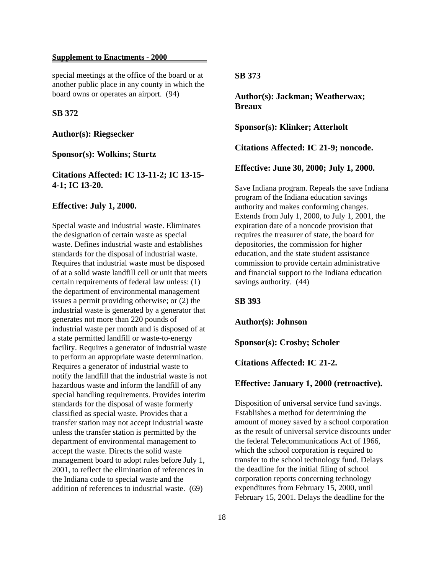special meetings at the office of the board or at another public place in any county in which the board owns or operates an airport. (94)

### **SB 372**

**Author(s): Riegsecker**

**Sponsor(s): Wolkins; Sturtz**

**Citations Affected: IC 13-11-2; IC 13-15- 4-1; IC 13-20.**

#### **Effective: July 1, 2000.**

Special waste and industrial waste. Eliminates the designation of certain waste as special waste. Defines industrial waste and establishes standards for the disposal of industrial waste. Requires that industrial waste must be disposed of at a solid waste landfill cell or unit that meets certain requirements of federal law unless: (1) the department of environmental management issues a permit providing otherwise; or (2) the industrial waste is generated by a generator that generates not more than 220 pounds of industrial waste per month and is disposed of at a state permitted landfill or waste-to-energy facility. Requires a generator of industrial waste to perform an appropriate waste determination. Requires a generator of industrial waste to notify the landfill that the industrial waste is not hazardous waste and inform the landfill of any special handling requirements. Provides interim standards for the disposal of waste formerly classified as special waste. Provides that a transfer station may not accept industrial waste unless the transfer station is permitted by the department of environmental management to accept the waste. Directs the solid waste management board to adopt rules before July 1, 2001, to reflect the elimination of references in the Indiana code to special waste and the addition of references to industrial waste. (69)

## **SB 373**

**Author(s): Jackman; Weatherwax; Breaux**

**Sponsor(s): Klinker; Atterholt**

**Citations Affected: IC 21-9; noncode.**

**Effective: June 30, 2000; July 1, 2000.**

Save Indiana program. Repeals the save Indiana program of the Indiana education savings authority and makes conforming changes. Extends from July 1, 2000, to July 1, 2001, the expiration date of a noncode provision that requires the treasurer of state, the board for depositories, the commission for higher education, and the state student assistance commission to provide certain administrative and financial support to the Indiana education savings authority. (44)

**SB 393**

**Author(s): Johnson**

**Sponsor(s): Crosby; Scholer**

**Citations Affected: IC 21-2.**

#### **Effective: January 1, 2000 (retroactive).**

Disposition of universal service fund savings. Establishes a method for determining the amount of money saved by a school corporation as the result of universal service discounts under the federal Telecommunications Act of 1966, which the school corporation is required to transfer to the school technology fund. Delays the deadline for the initial filing of school corporation reports concerning technology expenditures from February 15, 2000, until February 15, 2001. Delays the deadline for the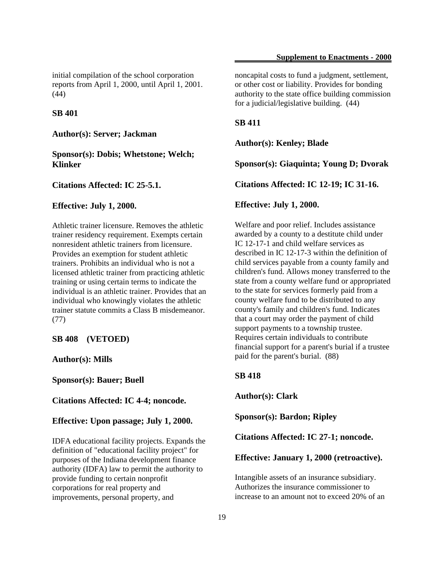initial compilation of the school corporation reports from April 1, 2000, until April 1, 2001. (44)

#### **SB 401**

**Author(s): Server; Jackman**

**Sponsor(s): Dobis; Whetstone; Welch; Klinker**

**Citations Affected: IC 25-5.1.**

#### **Effective: July 1, 2000.**

Athletic trainer licensure. Removes the athletic trainer residency requirement. Exempts certain nonresident athletic trainers from licensure. Provides an exemption for student athletic trainers. Prohibits an individual who is not a licensed athletic trainer from practicing athletic training or using certain terms to indicate the individual is an athletic trainer. Provides that an individual who knowingly violates the athletic trainer statute commits a Class B misdemeanor. (77)

## **SB 408 (VETOED)**

**Author(s): Mills**

**Sponsor(s): Bauer; Buell**

**Citations Affected: IC 4-4; noncode.**

**Effective: Upon passage; July 1, 2000.**

IDFA educational facility projects. Expands the definition of "educational facility project" for purposes of the Indiana development finance authority (IDFA) law to permit the authority to provide funding to certain nonprofit corporations for real property and improvements, personal property, and

noncapital costs to fund a judgment, settlement, or other cost or liability. Provides for bonding authority to the state office building commission for a judicial/legislative building. (44)

#### **SB 411**

**Author(s): Kenley; Blade**

**Sponsor(s): Giaquinta; Young D; Dvorak**

**Citations Affected: IC 12-19; IC 31-16.**

#### **Effective: July 1, 2000.**

Welfare and poor relief. Includes assistance awarded by a county to a destitute child under IC 12-17-1 and child welfare services as described in IC 12-17-3 within the definition of child services payable from a county family and children's fund. Allows money transferred to the state from a county welfare fund or appropriated to the state for services formerly paid from a county welfare fund to be distributed to any county's family and children's fund. Indicates that a court may order the payment of child support payments to a township trustee. Requires certain individuals to contribute financial support for a parent's burial if a trustee paid for the parent's burial. (88)

#### **SB 418**

**Author(s): Clark**

**Sponsor(s): Bardon; Ripley**

**Citations Affected: IC 27-1; noncode.**

#### **Effective: January 1, 2000 (retroactive).**

Intangible assets of an insurance subsidiary. Authorizes the insurance commissioner to increase to an amount not to exceed 20% of an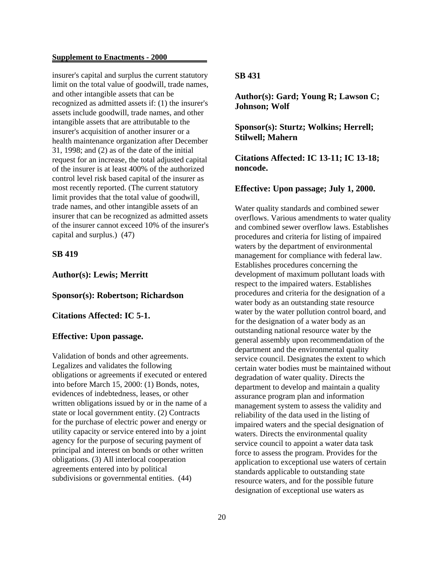insurer's capital and surplus the current statutory limit on the total value of goodwill, trade names, and other intangible assets that can be recognized as admitted assets if: (1) the insurer's assets include goodwill, trade names, and other intangible assets that are attributable to the insurer's acquisition of another insurer or a health maintenance organization after December 31, 1998; and (2) as of the date of the initial request for an increase, the total adjusted capital of the insurer is at least 400% of the authorized control level risk based capital of the insurer as most recently reported. (The current statutory limit provides that the total value of goodwill, trade names, and other intangible assets of an insurer that can be recognized as admitted assets of the insurer cannot exceed 10% of the insurer's capital and surplus.) (47)

#### **SB 419**

**Author(s): Lewis; Merritt**

**Sponsor(s): Robertson; Richardson**

**Citations Affected: IC 5-1.**

#### **Effective: Upon passage.**

Validation of bonds and other agreements. Legalizes and validates the following obligations or agreements if executed or entered into before March 15, 2000: (1) Bonds, notes, evidences of indebtedness, leases, or other written obligations issued by or in the name of a state or local government entity. (2) Contracts for the purchase of electric power and energy or utility capacity or service entered into by a joint agency for the purpose of securing payment of principal and interest on bonds or other written obligations. (3) All interlocal cooperation agreements entered into by political subdivisions or governmental entities.  $(44)$ 

## **SB 431**

**Author(s): Gard; Young R; Lawson C; Johnson; Wolf**

**Sponsor(s): Sturtz; Wolkins; Herrell; Stilwell; Mahern**

**Citations Affected: IC 13-11; IC 13-18; noncode.**

#### **Effective: Upon passage; July 1, 2000.**

Water quality standards and combined sewer overflows. Various amendments to water quality and combined sewer overflow laws. Establishes procedures and criteria for listing of impaired waters by the department of environmental management for compliance with federal law. Establishes procedures concerning the development of maximum pollutant loads with respect to the impaired waters. Establishes procedures and criteria for the designation of a water body as an outstanding state resource water by the water pollution control board, and for the designation of a water body as an outstanding national resource water by the general assembly upon recommendation of the department and the environmental quality service council. Designates the extent to which certain water bodies must be maintained without degradation of water quality. Directs the department to develop and maintain a quality assurance program plan and information management system to assess the validity and reliability of the data used in the listing of impaired waters and the special designation of waters. Directs the environmental quality service council to appoint a water data task force to assess the program. Provides for the application to exceptional use waters of certain standards applicable to outstanding state resource waters, and for the possible future designation of exceptional use waters as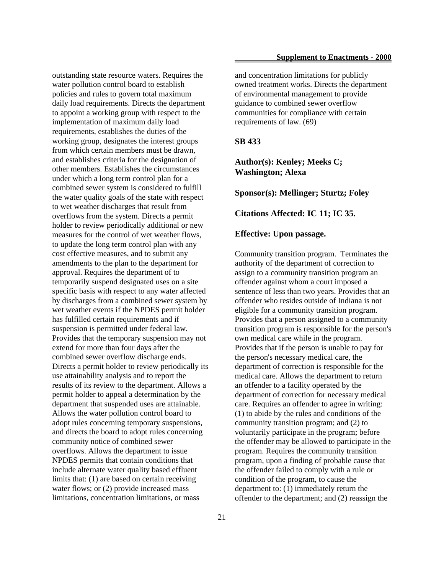outstanding state resource waters. Requires the water pollution control board to establish policies and rules to govern total maximum daily load requirements. Directs the department to appoint a working group with respect to the implementation of maximum daily load requirements, establishes the duties of the working group, designates the interest groups from which certain members must be drawn, and establishes criteria for the designation of other members. Establishes the circumstances under which a long term control plan for a combined sewer system is considered to fulfill the water quality goals of the state with respect to wet weather discharges that result from overflows from the system. Directs a permit holder to review periodically additional or new measures for the control of wet weather flows, to update the long term control plan with any cost effective measures, and to submit any amendments to the plan to the department for approval. Requires the department of to temporarily suspend designated uses on a site specific basis with respect to any water affected by discharges from a combined sewer system by wet weather events if the NPDES permit holder has fulfilled certain requirements and if suspension is permitted under federal law. Provides that the temporary suspension may not extend for more than four days after the combined sewer overflow discharge ends. Directs a permit holder to review periodically its use attainability analysis and to report the results of its review to the department. Allows a permit holder to appeal a determination by the department that suspended uses are attainable. Allows the water pollution control board to adopt rules concerning temporary suspensions, and directs the board to adopt rules concerning community notice of combined sewer overflows. Allows the department to issue NPDES permits that contain conditions that include alternate water quality based effluent limits that: (1) are based on certain receiving water flows; or  $(2)$  provide increased mass limitations, concentration limitations, or mass

and concentration limitations for publicly owned treatment works. Directs the department of environmental management to provide guidance to combined sewer overflow communities for compliance with certain requirements of law. (69)

#### **SB 433**

**Author(s): Kenley; Meeks C; Washington; Alexa**

**Sponsor(s): Mellinger; Sturtz; Foley**

**Citations Affected: IC 11; IC 35.**

#### **Effective: Upon passage.**

Community transition program. Terminates the authority of the department of correction to assign to a community transition program an offender against whom a court imposed a sentence of less than two years. Provides that an offender who resides outside of Indiana is not eligible for a community transition program. Provides that a person assigned to a community transition program is responsible for the person's own medical care while in the program. Provides that if the person is unable to pay for the person's necessary medical care, the department of correction is responsible for the medical care. Allows the department to return an offender to a facility operated by the department of correction for necessary medical care. Requires an offender to agree in writing: (1) to abide by the rules and conditions of the community transition program; and (2) to voluntarily participate in the program; before the offender may be allowed to participate in the program. Requires the community transition program, upon a finding of probable cause that the offender failed to comply with a rule or condition of the program, to cause the department to: (1) immediately return the offender to the department; and (2) reassign the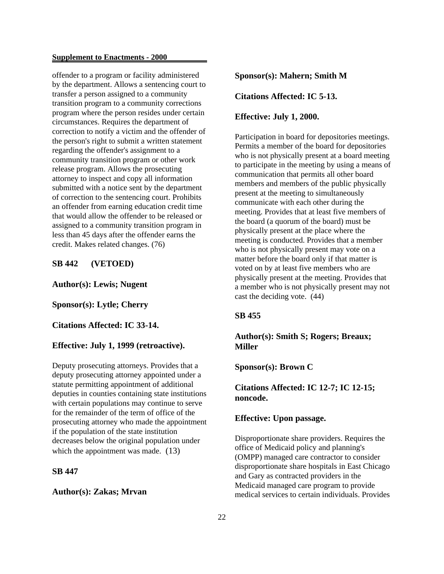offender to a program or facility administered by the department. Allows a sentencing court to transfer a person assigned to a community transition program to a community corrections program where the person resides under certain circumstances. Requires the department of correction to notify a victim and the offender of the person's right to submit a written statement regarding the offender's assignment to a community transition program or other work release program. Allows the prosecuting attorney to inspect and copy all information submitted with a notice sent by the department of correction to the sentencing court. Prohibits an offender from earning education credit time that would allow the offender to be released or assigned to a community transition program in less than 45 days after the offender earns the credit. Makes related changes. (76)

## **SB 442 (VETOED)**

## **Author(s): Lewis; Nugent**

#### **Sponsor(s): Lytle; Cherry**

**Citations Affected: IC 33-14.**

## **Effective: July 1, 1999 (retroactive).**

Deputy prosecuting attorneys. Provides that a deputy prosecuting attorney appointed under a statute permitting appointment of additional deputies in counties containing state institutions with certain populations may continue to serve for the remainder of the term of office of the prosecuting attorney who made the appointment if the population of the state institution decreases below the original population under which the appointment was made. (13)

## **SB 447**

#### **Author(s): Zakas; Mrvan**

## **Sponsor(s): Mahern; Smith M**

**Citations Affected: IC 5-13.**

#### **Effective: July 1, 2000.**

Participation in board for depositories meetings. Permits a member of the board for depositories who is not physically present at a board meeting to participate in the meeting by using a means of communication that permits all other board members and members of the public physically present at the meeting to simultaneously communicate with each other during the meeting. Provides that at least five members of the board (a quorum of the board) must be physically present at the place where the meeting is conducted. Provides that a member who is not physically present may vote on a matter before the board only if that matter is voted on by at least five members who are physically present at the meeting. Provides that a member who is not physically present may not cast the deciding vote. (44)

#### **SB 455**

## **Author(s): Smith S; Rogers; Breaux; Miller**

**Sponsor(s): Brown C**

## **Citations Affected: IC 12-7; IC 12-15; noncode.**

## **Effective: Upon passage.**

Disproportionate share providers. Requires the office of Medicaid policy and planning's (OMPP) managed care contractor to consider disproportionate share hospitals in East Chicago and Gary as contracted providers in the Medicaid managed care program to provide medical services to certain individuals. Provides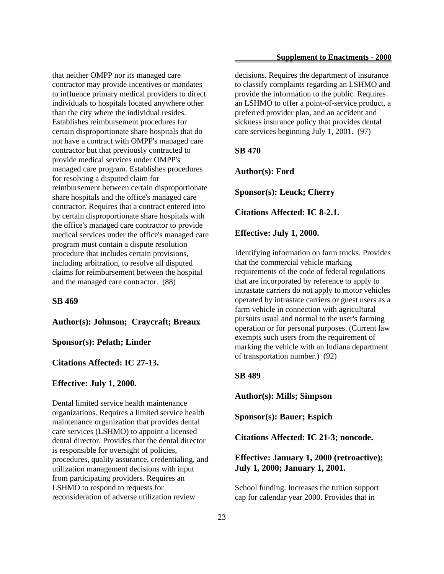that neither OMPP nor its managed care contractor may provide incentives or mandates to influence primary medical providers to direct individuals to hospitals located anywhere other than the city where the individual resides. Establishes reimbursement procedures for certain disproportionate share hospitals that do not have a contract with OMPP's managed care contractor but that previously contracted to provide medical services under OMPP's managed care program. Establishes procedures for resolving a disputed claim for reimbursement between certain disproportionate share hospitals and the office's managed care contractor. Requires that a contract entered into by certain disproportionate share hospitals with the office's managed care contractor to provide medical services under the office's managed care program must contain a dispute resolution procedure that includes certain provisions, including arbitration, to resolve all disputed claims for reimbursement between the hospital and the managed care contractor. (88)

**SB 469**

**Author(s): Johnson; Craycraft; Breaux**

**Sponsor(s): Pelath; Linder**

**Citations Affected: IC 27-13.**

## **Effective: July 1, 2000.**

Dental limited service health maintenance organizations. Requires a limited service health maintenance organization that provides dental care services (LSHMO) to appoint a licensed dental director. Provides that the dental director is responsible for oversight of policies, procedures, quality assurance, credentialing, and utilization management decisions with input from participating providers. Requires an LSHMO to respond to requests for reconsideration of adverse utilization review

decisions. Requires the department of insurance to classify complaints regarding an LSHMO and provide the information to the public. Requires an LSHMO to offer a point-of-service product, a preferred provider plan, and an accident and sickness insurance policy that provides dental care services beginning July 1, 2001. (97)

**SB 470**

**Author(s): Ford**

**Sponsor(s): Leuck; Cherry**

**Citations Affected: IC 8-2.1.**

**Effective: July 1, 2000.**

Identifying information on farm trucks. Provides that the commercial vehicle marking requirements of the code of federal regulations that are incorporated by reference to apply to intrastate carriers do not apply to motor vehicles operated by intrastate carriers or guest users as a farm vehicle in connection with agricultural pursuits usual and normal to the user's farming operation or for personal purposes. (Current law exempts such users from the requirement of marking the vehicle with an Indiana department of transportation number.) (92)

## **SB 489**

**Author(s): Mills; Simpson**

**Sponsor(s): Bauer; Espich**

**Citations Affected: IC 21-3; noncode.**

## **Effective: January 1, 2000 (retroactive); July 1, 2000; January 1, 2001.**

School funding. Increases the tuition support cap for calendar year 2000. Provides that in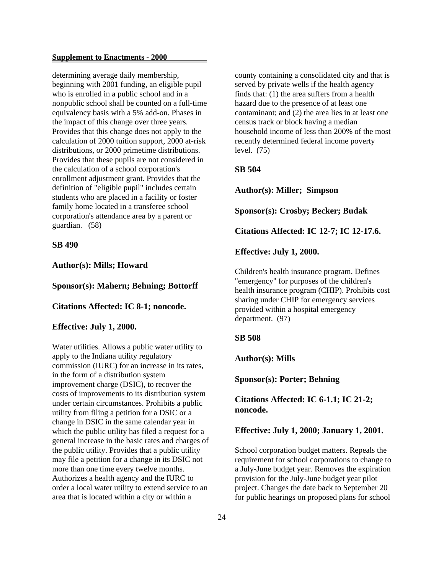determining average daily membership, beginning with 2001 funding, an eligible pupil who is enrolled in a public school and in a nonpublic school shall be counted on a full-time equivalency basis with a 5% add-on. Phases in the impact of this change over three years. Provides that this change does not apply to the calculation of 2000 tuition support, 2000 at-risk distributions, or 2000 primetime distributions. Provides that these pupils are not considered in the calculation of a school corporation's enrollment adjustment grant. Provides that the definition of "eligible pupil" includes certain students who are placed in a facility or foster family home located in a transferee school corporation's attendance area by a parent or guardian. (58)

#### **SB 490**

## **Author(s): Mills; Howard**

#### **Sponsor(s): Mahern; Behning; Bottorff**

## **Citations Affected: IC 8-1; noncode.**

## **Effective: July 1, 2000.**

Water utilities. Allows a public water utility to apply to the Indiana utility regulatory commission (IURC) for an increase in its rates, in the form of a distribution system improvement charge (DSIC), to recover the costs of improvements to its distribution system under certain circumstances. Prohibits a public utility from filing a petition for a DSIC or a change in DSIC in the same calendar year in which the public utility has filed a request for a general increase in the basic rates and charges of the public utility. Provides that a public utility may file a petition for a change in its DSIC not more than one time every twelve months. Authorizes a health agency and the IURC to order a local water utility to extend service to an area that is located within a city or within a

county containing a consolidated city and that is served by private wells if the health agency finds that: (1) the area suffers from a health hazard due to the presence of at least one contaminant; and (2) the area lies in at least one census track or block having a median household income of less than 200% of the most recently determined federal income poverty level. (75)

#### **SB 504**

**Author(s): Miller; Simpson**

**Sponsor(s): Crosby; Becker; Budak**

**Citations Affected: IC 12-7; IC 12-17.6.**

**Effective: July 1, 2000.**

Children's health insurance program. Defines "emergency" for purposes of the children's health insurance program (CHIP). Prohibits cost sharing under CHIP for emergency services provided within a hospital emergency department. (97)

#### **SB 508**

**Author(s): Mills**

**Sponsor(s): Porter; Behning**

**Citations Affected: IC 6-1.1; IC 21-2; noncode.**

#### **Effective: July 1, 2000; January 1, 2001.**

School corporation budget matters. Repeals the requirement for school corporations to change to a July-June budget year. Removes the expiration provision for the July-June budget year pilot project. Changes the date back to September 20 for public hearings on proposed plans for school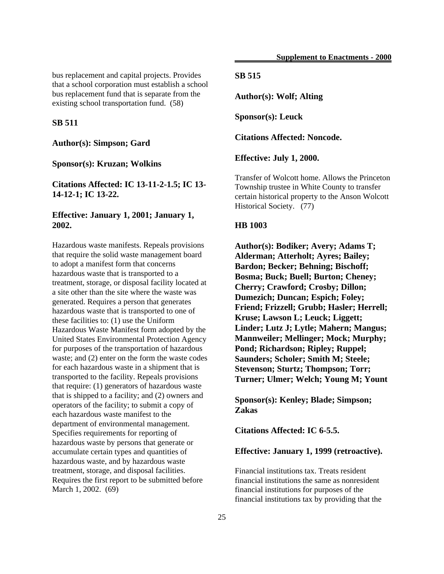bus replacement and capital projects. Provides that a school corporation must establish a school bus replacement fund that is separate from the existing school transportation fund. (58)

#### **SB 511**

## **Author(s): Simpson; Gard**

#### **Sponsor(s): Kruzan; Wolkins**

**Citations Affected: IC 13-11-2-1.5; IC 13- 14-12-1; IC 13-22.**

## **Effective: January 1, 2001; January 1, 2002.**

Hazardous waste manifests. Repeals provisions that require the solid waste management board to adopt a manifest form that concerns hazardous waste that is transported to a treatment, storage, or disposal facility located at a site other than the site where the waste was generated. Requires a person that generates hazardous waste that is transported to one of these facilities to: (1) use the Uniform Hazardous Waste Manifest form adopted by the United States Environmental Protection Agency for purposes of the transportation of hazardous waste; and (2) enter on the form the waste codes for each hazardous waste in a shipment that is transported to the facility. Repeals provisions that require: (1) generators of hazardous waste that is shipped to a facility; and (2) owners and operators of the facility; to submit a copy of each hazardous waste manifest to the department of environmental management. Specifies requirements for reporting of hazardous waste by persons that generate or accumulate certain types and quantities of hazardous waste, and by hazardous waste treatment, storage, and disposal facilities. Requires the first report to be submitted before March 1, 2002. (69)

## **SB 515**

**Author(s): Wolf; Alting**

**Sponsor(s): Leuck**

**Citations Affected: Noncode.**

**Effective: July 1, 2000.**

Transfer of Wolcott home. Allows the Princeton Township trustee in White County to transfer certain historical property to the Anson Wolcott Historical Society. (77)

#### **HB 1003**

**Author(s): Bodiker; Avery; Adams T; Alderman; Atterholt; Ayres; Bailey; Bardon; Becker; Behning; Bischoff; Bosma; Buck; Buell; Burton; Cheney; Cherry; Crawford; Crosby; Dillon; Dumezich; Duncan; Espich; Foley; Friend; Frizzell; Grubb; Hasler; Herrell; Kruse; Lawson L; Leuck; Liggett; Linder; Lutz J; Lytle; Mahern; Mangus; Mannweiler; Mellinger; Mock; Murphy; Pond; Richardson; Ripley; Ruppel; Saunders; Scholer; Smith M; Steele; Stevenson; Sturtz; Thompson; Torr; Turner; Ulmer; Welch; Young M; Yount**

**Sponsor(s): Kenley; Blade; Simpson; Zakas**

**Citations Affected: IC 6-5.5.**

#### **Effective: January 1, 1999 (retroactive).**

Financial institutions tax. Treats resident financial institutions the same as nonresident financial institutions for purposes of the financial institutions tax by providing that the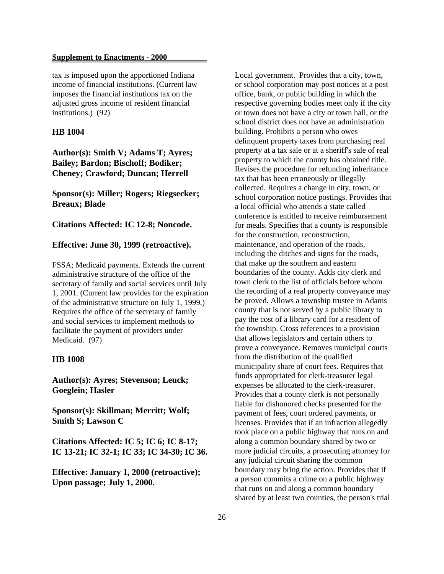tax is imposed upon the apportioned Indiana income of financial institutions. (Current law imposes the financial institutions tax on the adjusted gross income of resident financial institutions.) (92)

### **HB 1004**

## **Author(s): Smith V; Adams T; Ayres; Bailey; Bardon; Bischoff; Bodiker; Cheney; Crawford; Duncan; Herrell**

**Sponsor(s): Miller; Rogers; Riegsecker; Breaux; Blade**

**Citations Affected: IC 12-8; Noncode.**

## **Effective: June 30, 1999 (retroactive).**

FSSA; Medicaid payments. Extends the current administrative structure of the office of the secretary of family and social services until July 1, 2001. (Current law provides for the expiration of the administrative structure on July 1, 1999.) Requires the office of the secretary of family and social services to implement methods to facilitate the payment of providers under Medicaid. (97)

### **HB 1008**

**Author(s): Ayres; Stevenson; Leuck; Goeglein; Hasler**

**Sponsor(s): Skillman; Merritt; Wolf; Smith S; Lawson C**

**Citations Affected: IC 5; IC 6; IC 8-17; IC 13-21; IC 32-1; IC 33; IC 34-30; IC 36.**

**Effective: January 1, 2000 (retroactive); Upon passage; July 1, 2000.**

Local government. Provides that a city, town, or school corporation may post notices at a post office, bank, or public building in which the respective governing bodies meet only if the city or town does not have a city or town hall, or the school district does not have an administration building. Prohibits a person who owes delinquent property taxes from purchasing real property at a tax sale or at a sheriff's sale of real property to which the county has obtained title. Revises the procedure for refunding inheritance tax that has been erroneously or illegally collected. Requires a change in city, town, or school corporation notice postings. Provides that a local official who attends a state called conference is entitled to receive reimbursement for meals. Specifies that a county is responsible for the construction, reconstruction, maintenance, and operation of the roads, including the ditches and signs for the roads, that make up the southern and eastern boundaries of the county. Adds city clerk and town clerk to the list of officials before whom the recording of a real property conveyance may be proved. Allows a township trustee in Adams county that is not served by a public library to pay the cost of a library card for a resident of the township. Cross references to a provision that allows legislators and certain others to prove a conveyance. Removes municipal courts from the distribution of the qualified municipality share of court fees. Requires that funds appropriated for clerk-treasurer legal expenses be allocated to the clerk-treasurer. Provides that a county clerk is not personally liable for dishonored checks presented for the payment of fees, court ordered payments, or licenses. Provides that if an infraction allegedly took place on a public highway that runs on and along a common boundary shared by two or more judicial circuits, a prosecuting attorney for any judicial circuit sharing the common boundary may bring the action. Provides that if a person commits a crime on a public highway that runs on and along a common boundary shared by at least two counties, the person's trial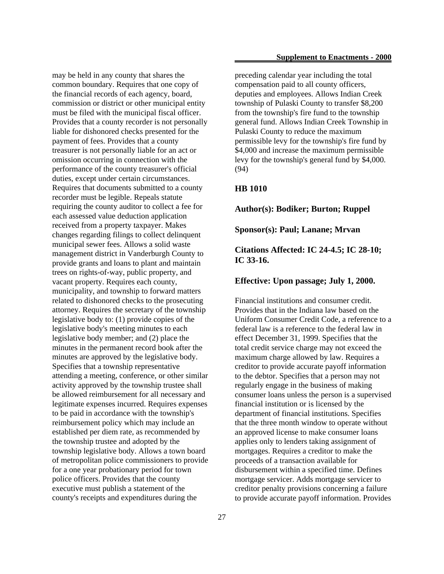may be held in any county that shares the common boundary. Requires that one copy of the financial records of each agency, board, commission or district or other municipal entity must be filed with the municipal fiscal officer. Provides that a county recorder is not personally liable for dishonored checks presented for the payment of fees. Provides that a county treasurer is not personally liable for an act or omission occurring in connection with the performance of the county treasurer's official duties, except under certain circumstances. Requires that documents submitted to a county recorder must be legible. Repeals statute requiring the county auditor to collect a fee for each assessed value deduction application received from a property taxpayer. Makes changes regarding filings to collect delinquent municipal sewer fees. Allows a solid waste management district in Vanderburgh County to provide grants and loans to plant and maintain trees on rights-of-way, public property, and vacant property. Requires each county, municipality, and township to forward matters related to dishonored checks to the prosecuting attorney. Requires the secretary of the township legislative body to: (1) provide copies of the legislative body's meeting minutes to each legislative body member; and (2) place the minutes in the permanent record book after the minutes are approved by the legislative body. Specifies that a township representative attending a meeting, conference, or other similar activity approved by the township trustee shall be allowed reimbursement for all necessary and legitimate expenses incurred. Requires expenses to be paid in accordance with the township's reimbursement policy which may include an established per diem rate, as recommended by the township trustee and adopted by the township legislative body. Allows a town board of metropolitan police commissioners to provide for a one year probationary period for town police officers. Provides that the county executive must publish a statement of the county's receipts and expenditures during the

preceding calendar year including the total compensation paid to all county officers, deputies and employees. Allows Indian Creek township of Pulaski County to transfer \$8,200 from the township's fire fund to the township general fund. Allows Indian Creek Township in Pulaski County to reduce the maximum permissible levy for the township's fire fund by \$4,000 and increase the maximum permissible levy for the township's general fund by \$4,000. (94)

### **HB 1010**

### **Author(s): Bodiker; Burton; Ruppel**

**Sponsor(s): Paul; Lanane; Mrvan**

## **Citations Affected: IC 24-4.5; IC 28-10; IC 33-16.**

### **Effective: Upon passage; July 1, 2000.**

Financial institutions and consumer credit. Provides that in the Indiana law based on the Uniform Consumer Credit Code, a reference to a federal law is a reference to the federal law in effect December 31, 1999. Specifies that the total credit service charge may not exceed the maximum charge allowed by law. Requires a creditor to provide accurate payoff information to the debtor. Specifies that a person may not regularly engage in the business of making consumer loans unless the person is a supervised financial institution or is licensed by the department of financial institutions. Specifies that the three month window to operate without an approved license to make consumer loans applies only to lenders taking assignment of mortgages. Requires a creditor to make the proceeds of a transaction available for disbursement within a specified time. Defines mortgage servicer. Adds mortgage servicer to creditor penalty provisions concerning a failure to provide accurate payoff information. Provides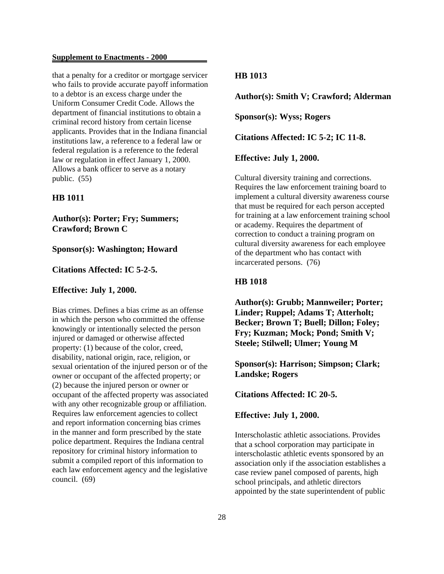that a penalty for a creditor or mortgage servicer who fails to provide accurate payoff information to a debtor is an excess charge under the Uniform Consumer Credit Code. Allows the department of financial institutions to obtain a criminal record history from certain license applicants. Provides that in the Indiana financial institutions law, a reference to a federal law or federal regulation is a reference to the federal law or regulation in effect January 1, 2000. Allows a bank officer to serve as a notary public. (55)

### **HB 1011**

**Author(s): Porter; Fry; Summers; Crawford; Brown C**

### **Sponsor(s): Washington; Howard**

### **Citations Affected: IC 5-2-5.**

### **Effective: July 1, 2000.**

Bias crimes. Defines a bias crime as an offense in which the person who committed the offense knowingly or intentionally selected the person injured or damaged or otherwise affected property: (1) because of the color, creed, disability, national origin, race, religion, or sexual orientation of the injured person or of the owner or occupant of the affected property; or (2) because the injured person or owner or occupant of the affected property was associated with any other recognizable group or affiliation. Requires law enforcement agencies to collect and report information concerning bias crimes in the manner and form prescribed by the state police department. Requires the Indiana central repository for criminal history information to submit a compiled report of this information to each law enforcement agency and the legislative council. (69)

### **HB 1013**

**Author(s): Smith V; Crawford; Alderman**

**Sponsor(s): Wyss; Rogers**

**Citations Affected: IC 5-2; IC 11-8.**

**Effective: July 1, 2000.**

Cultural diversity training and corrections. Requires the law enforcement training board to implement a cultural diversity awareness course that must be required for each person accepted for training at a law enforcement training school or academy. Requires the department of correction to conduct a training program on cultural diversity awareness for each employee of the department who has contact with incarcerated persons. (76)

### **HB 1018**

**Author(s): Grubb; Mannweiler; Porter; Linder; Ruppel; Adams T; Atterholt; Becker; Brown T; Buell; Dillon; Foley; Fry; Kuzman; Mock; Pond; Smith V; Steele; Stilwell; Ulmer; Young M**

**Sponsor(s): Harrison; Simpson; Clark; Landske; Rogers**

**Citations Affected: IC 20-5.**

**Effective: July 1, 2000.**

Interscholastic athletic associations. Provides that a school corporation may participate in interscholastic athletic events sponsored by an association only if the association establishes a case review panel composed of parents, high school principals, and athletic directors appointed by the state superintendent of public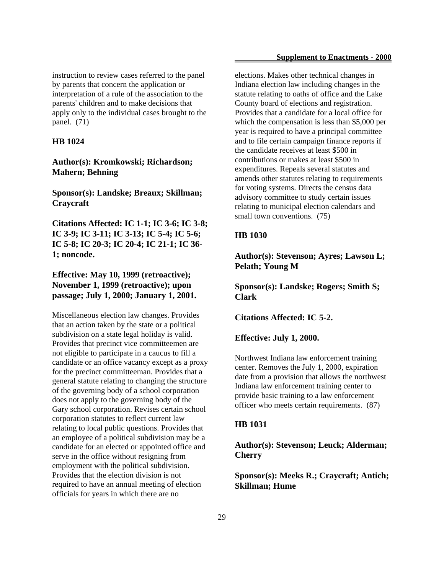instruction to review cases referred to the panel by parents that concern the application or interpretation of a rule of the association to the parents' children and to make decisions that apply only to the individual cases brought to the panel. (71)

#### **HB 1024**

**Author(s): Kromkowski; Richardson; Mahern; Behning**

**Sponsor(s): Landske; Breaux; Skillman; Craycraft**

**Citations Affected: IC 1-1; IC 3-6; IC 3-8; IC 3-9; IC 3-11; IC 3-13; IC 5-4; IC 5-6; IC 5-8; IC 20-3; IC 20-4; IC 21-1; IC 36- 1; noncode.**

**Effective: May 10, 1999 (retroactive); November 1, 1999 (retroactive); upon passage; July 1, 2000; January 1, 2001.**

Miscellaneous election law changes. Provides that an action taken by the state or a political subdivision on a state legal holiday is valid. Provides that precinct vice committeemen are not eligible to participate in a caucus to fill a candidate or an office vacancy except as a proxy for the precinct committeeman. Provides that a general statute relating to changing the structure of the governing body of a school corporation does not apply to the governing body of the Gary school corporation. Revises certain school corporation statutes to reflect current law relating to local public questions. Provides that an employee of a political subdivision may be a candidate for an elected or appointed office and serve in the office without resigning from employment with the political subdivision. Provides that the election division is not required to have an annual meeting of election officials for years in which there are no

elections. Makes other technical changes in Indiana election law including changes in the statute relating to oaths of office and the Lake County board of elections and registration. Provides that a candidate for a local office for which the compensation is less than \$5,000 per year is required to have a principal committee and to file certain campaign finance reports if the candidate receives at least \$500 in contributions or makes at least \$500 in expenditures. Repeals several statutes and amends other statutes relating to requirements for voting systems. Directs the census data advisory committee to study certain issues relating to municipal election calendars and small town conventions. (75)

### **HB 1030**

**Author(s): Stevenson; Ayres; Lawson L; Pelath; Young M**

**Sponsor(s): Landske; Rogers; Smith S; Clark**

**Citations Affected: IC 5-2.**

**Effective: July 1, 2000.**

Northwest Indiana law enforcement training center. Removes the July 1, 2000, expiration date from a provision that allows the northwest Indiana law enforcement training center to provide basic training to a law enforcement officer who meets certain requirements. (87)

### **HB 1031**

**Author(s): Stevenson; Leuck; Alderman; Cherry**

**Sponsor(s): Meeks R.; Craycraft; Antich; Skillman; Hume**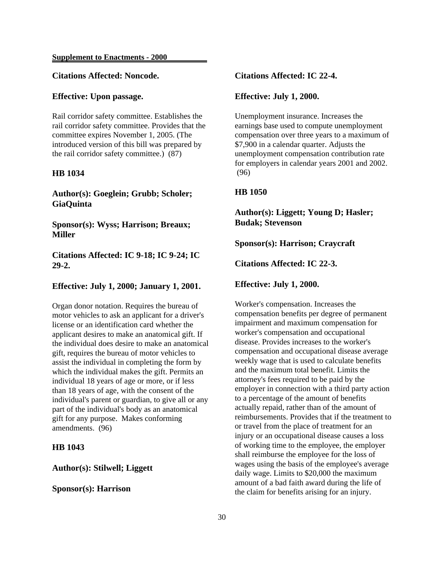### **Citations Affected: Noncode.**

### **Effective: Upon passage.**

Rail corridor safety committee. Establishes the rail corridor safety committee. Provides that the committee expires November 1, 2005. (The introduced version of this bill was prepared by the rail corridor safety committee.) (87)

### **HB 1034**

**Author(s): Goeglein; Grubb; Scholer; GiaQuinta**

**Sponsor(s): Wyss; Harrison; Breaux; Miller**

**Citations Affected: IC 9-18; IC 9-24; IC 29-2.**

### **Effective: July 1, 2000; January 1, 2001.**

Organ donor notation. Requires the bureau of motor vehicles to ask an applicant for a driver's license or an identification card whether the applicant desires to make an anatomical gift. If the individual does desire to make an anatomical gift, requires the bureau of motor vehicles to assist the individual in completing the form by which the individual makes the gift. Permits an individual 18 years of age or more, or if less than 18 years of age, with the consent of the individual's parent or guardian, to give all or any part of the individual's body as an anatomical gift for any purpose. Makes conforming amendments. (96)

## **HB 1043**

### **Author(s): Stilwell; Liggett**

### **Sponsor(s): Harrison**

### **Citations Affected: IC 22-4.**

### **Effective: July 1, 2000.**

Unemployment insurance. Increases the earnings base used to compute unemployment compensation over three years to a maximum of \$7,900 in a calendar quarter. Adjusts the unemployment compensation contribution rate for employers in calendar years 2001 and 2002. (96)

### **HB 1050**

**Author(s): Liggett; Young D; Hasler; Budak; Stevenson**

**Sponsor(s): Harrison; Craycraft**

**Citations Affected: IC 22-3.**

### **Effective: July 1, 2000.**

Worker's compensation. Increases the compensation benefits per degree of permanent impairment and maximum compensation for worker's compensation and occupational disease. Provides increases to the worker's compensation and occupational disease average weekly wage that is used to calculate benefits and the maximum total benefit. Limits the attorney's fees required to be paid by the employer in connection with a third party action to a percentage of the amount of benefits actually repaid, rather than of the amount of reimbursements. Provides that if the treatment to or travel from the place of treatment for an injury or an occupational disease causes a loss of working time to the employee, the employer shall reimburse the employee for the loss of wages using the basis of the employee's average daily wage. Limits to \$20,000 the maximum amount of a bad faith award during the life of the claim for benefits arising for an injury.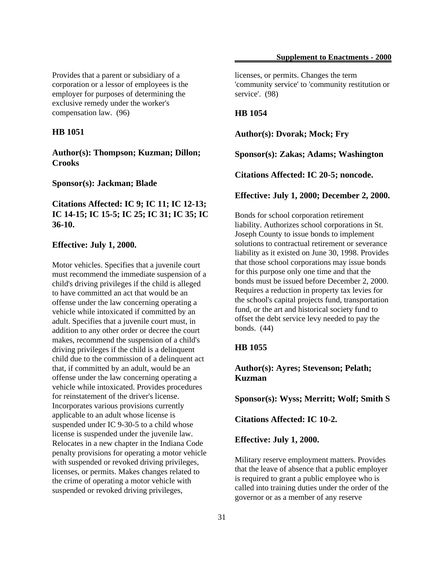Provides that a parent or subsidiary of a corporation or a lessor of employees is the employer for purposes of determining the exclusive remedy under the worker's compensation law. (96)

### **HB 1051**

**Author(s): Thompson; Kuzman; Dillon; Crooks**

**Sponsor(s): Jackman; Blade**

## **Citations Affected: IC 9; IC 11; IC 12-13; IC 14-15; IC 15-5; IC 25; IC 31; IC 35; IC 36-10.**

### **Effective: July 1, 2000.**

Motor vehicles. Specifies that a juvenile court must recommend the immediate suspension of a child's driving privileges if the child is alleged to have committed an act that would be an offense under the law concerning operating a vehicle while intoxicated if committed by an adult. Specifies that a juvenile court must, in addition to any other order or decree the court makes, recommend the suspension of a child's driving privileges if the child is a delinquent child due to the commission of a delinquent act that, if committed by an adult, would be an offense under the law concerning operating a vehicle while intoxicated. Provides procedures for reinstatement of the driver's license. Incorporates various provisions currently applicable to an adult whose license is suspended under IC 9-30-5 to a child whose license is suspended under the juvenile law. Relocates in a new chapter in the Indiana Code penalty provisions for operating a motor vehicle with suspended or revoked driving privileges, licenses, or permits. Makes changes related to the crime of operating a motor vehicle with suspended or revoked driving privileges,

licenses, or permits. Changes the term 'community service' to 'community restitution or service'. (98)

### **HB 1054**

**Author(s): Dvorak; Mock; Fry**

**Sponsor(s): Zakas; Adams; Washington**

**Citations Affected: IC 20-5; noncode.**

#### **Effective: July 1, 2000; December 2, 2000.**

Bonds for school corporation retirement liability. Authorizes school corporations in St. Joseph County to issue bonds to implement solutions to contractual retirement or severance liability as it existed on June 30, 1998. Provides that those school corporations may issue bonds for this purpose only one time and that the bonds must be issued before December 2, 2000. Requires a reduction in property tax levies for the school's capital projects fund, transportation fund, or the art and historical society fund to offset the debt service levy needed to pay the bonds. (44)

## **HB 1055**

**Author(s): Ayres; Stevenson; Pelath; Kuzman**

**Sponsor(s): Wyss; Merritt; Wolf; Smith S**

**Citations Affected: IC 10-2.**

#### **Effective: July 1, 2000.**

Military reserve employment matters. Provides that the leave of absence that a public employer is required to grant a public employee who is called into training duties under the order of the governor or as a member of any reserve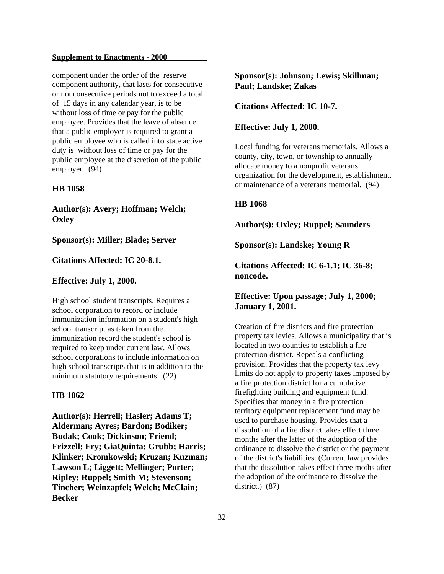component under the order of the reserve component authority, that lasts for consecutive or nonconsecutive periods not to exceed a total of 15 days in any calendar year, is to be without loss of time or pay for the public employee. Provides that the leave of absence that a public employer is required to grant a public employee who is called into state active duty is without loss of time or pay for the public employee at the discretion of the public employer. (94)

### **HB 1058**

**Author(s): Avery; Hoffman; Welch; Oxley**

### **Sponsor(s): Miller; Blade; Server**

#### **Citations Affected: IC 20-8.1.**

#### **Effective: July 1, 2000.**

High school student transcripts. Requires a school corporation to record or include immunization information on a student's high school transcript as taken from the immunization record the student's school is required to keep under current law. Allows school corporations to include information on high school transcripts that is in addition to the minimum statutory requirements. (22)

### **HB 1062**

**Author(s): Herrell; Hasler; Adams T; Alderman; Ayres; Bardon; Bodiker; Budak; Cook; Dickinson; Friend; Frizzell; Fry; GiaQuinta; Grubb; Harris; Klinker; Kromkowski; Kruzan; Kuzman; Lawson L; Liggett; Mellinger; Porter; Ripley; Ruppel; Smith M; Stevenson; Tincher; Weinzapfel; Welch; McClain; Becker**

**Sponsor(s): Johnson; Lewis; Skillman; Paul; Landske; Zakas**

**Citations Affected: IC 10-7.**

### **Effective: July 1, 2000.**

Local funding for veterans memorials. Allows a county, city, town, or township to annually allocate money to a nonprofit veterans organization for the development, establishment, or maintenance of a veterans memorial. (94)

### **HB 1068**

### **Author(s): Oxley; Ruppel; Saunders**

**Sponsor(s): Landske; Young R**

**Citations Affected: IC 6-1.1; IC 36-8; noncode.**

## **Effective: Upon passage; July 1, 2000; January 1, 2001.**

Creation of fire districts and fire protection property tax levies. Allows a municipality that is located in two counties to establish a fire protection district. Repeals a conflicting provision. Provides that the property tax levy limits do not apply to property taxes imposed by a fire protection district for a cumulative firefighting building and equipment fund. Specifies that money in a fire protection territory equipment replacement fund may be used to purchase housing. Provides that a dissolution of a fire district takes effect three months after the latter of the adoption of the ordinance to dissolve the district or the payment of the district's liabilities. (Current law provides that the dissolution takes effect three moths after the adoption of the ordinance to dissolve the district.) (87)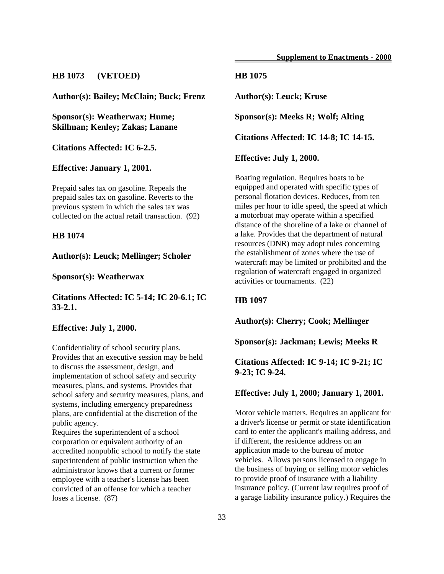## **HB 1073 (VETOED)**

**Author(s): Bailey; McClain; Buck; Frenz**

**Sponsor(s): Weatherwax; Hume; Skillman; Kenley; Zakas; Lanane**

**Citations Affected: IC 6-2.5.**

**Effective: January 1, 2001.**

Prepaid sales tax on gasoline. Repeals the prepaid sales tax on gasoline. Reverts to the previous system in which the sales tax was collected on the actual retail transaction. (92)

### **HB 1074**

**Author(s): Leuck; Mellinger; Scholer**

**Sponsor(s): Weatherwax**

**Citations Affected: IC 5-14; IC 20-6.1; IC 33-2.1.**

## **Effective: July 1, 2000.**

Confidentiality of school security plans. Provides that an executive session may be held to discuss the assessment, design, and implementation of school safety and security measures, plans, and systems. Provides that school safety and security measures, plans, and systems, including emergency preparedness plans, are confidential at the discretion of the public agency.

Requires the superintendent of a school corporation or equivalent authority of an accredited nonpublic school to notify the state superintendent of public instruction when the administrator knows that a current or former employee with a teacher's license has been convicted of an offense for which a teacher loses a license. (87)

## **HB 1075**

**Author(s): Leuck; Kruse**

**Sponsor(s): Meeks R; Wolf; Alting**

**Citations Affected: IC 14-8; IC 14-15.**

**Effective: July 1, 2000.**

Boating regulation. Requires boats to be equipped and operated with specific types of personal flotation devices. Reduces, from ten miles per hour to idle speed, the speed at which a motorboat may operate within a specified distance of the shoreline of a lake or channel of a lake. Provides that the department of natural resources (DNR) may adopt rules concerning the establishment of zones where the use of watercraft may be limited or prohibited and the regulation of watercraft engaged in organized activities or tournaments. (22)

## **HB 1097**

**Author(s): Cherry; Cook; Mellinger**

**Sponsor(s): Jackman; Lewis; Meeks R**

**Citations Affected: IC 9-14; IC 9-21; IC 9-23; IC 9-24.**

#### **Effective: July 1, 2000; January 1, 2001.**

Motor vehicle matters. Requires an applicant for a driver's license or permit or state identification card to enter the applicant's mailing address, and if different, the residence address on an application made to the bureau of motor vehicles. Allows persons licensed to engage in the business of buying or selling motor vehicles to provide proof of insurance with a liability insurance policy. (Current law requires proof of a garage liability insurance policy.) Requires the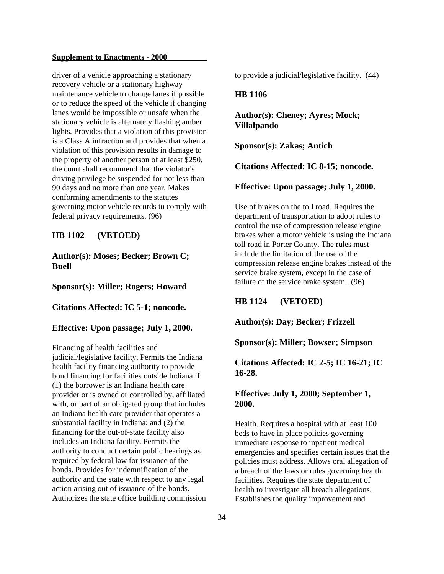driver of a vehicle approaching a stationary recovery vehicle or a stationary highway maintenance vehicle to change lanes if possible or to reduce the speed of the vehicle if changing lanes would be impossible or unsafe when the stationary vehicle is alternately flashing amber lights. Provides that a violation of this provision is a Class A infraction and provides that when a violation of this provision results in damage to the property of another person of at least \$250, the court shall recommend that the violator's driving privilege be suspended for not less than 90 days and no more than one year. Makes conforming amendments to the statutes governing motor vehicle records to comply with federal privacy requirements. (96)

## **HB 1102 (VETOED)**

## **Author(s): Moses; Becker; Brown C; Buell**

**Sponsor(s): Miller; Rogers; Howard**

### **Citations Affected: IC 5-1; noncode.**

### **Effective: Upon passage; July 1, 2000.**

Financing of health facilities and judicial/legislative facility. Permits the Indiana health facility financing authority to provide bond financing for facilities outside Indiana if: (1) the borrower is an Indiana health care provider or is owned or controlled by, affiliated with, or part of an obligated group that includes an Indiana health care provider that operates a substantial facility in Indiana; and (2) the financing for the out-of-state facility also includes an Indiana facility. Permits the authority to conduct certain public hearings as required by federal law for issuance of the bonds. Provides for indemnification of the authority and the state with respect to any legal action arising out of issuance of the bonds. Authorizes the state office building commission to provide a judicial/legislative facility. (44)

### **HB 1106**

**Author(s): Cheney; Ayres; Mock; Villalpando**

**Sponsor(s): Zakas; Antich**

**Citations Affected: IC 8-15; noncode.**

**Effective: Upon passage; July 1, 2000.**

Use of brakes on the toll road. Requires the department of transportation to adopt rules to control the use of compression release engine brakes when a motor vehicle is using the Indiana toll road in Porter County. The rules must include the limitation of the use of the compression release engine brakes instead of the service brake system, except in the case of failure of the service brake system. (96)

**HB 1124 (VETOED)**

**Author(s): Day; Becker; Frizzell**

**Sponsor(s): Miller; Bowser; Simpson**

**Citations Affected: IC 2-5; IC 16-21; IC 16-28.**

## **Effective: July 1, 2000; September 1, 2000.**

Health. Requires a hospital with at least 100 beds to have in place policies governing immediate response to inpatient medical emergencies and specifies certain issues that the policies must address. Allows oral allegation of a breach of the laws or rules governing health facilities. Requires the state department of health to investigate all breach allegations. Establishes the quality improvement and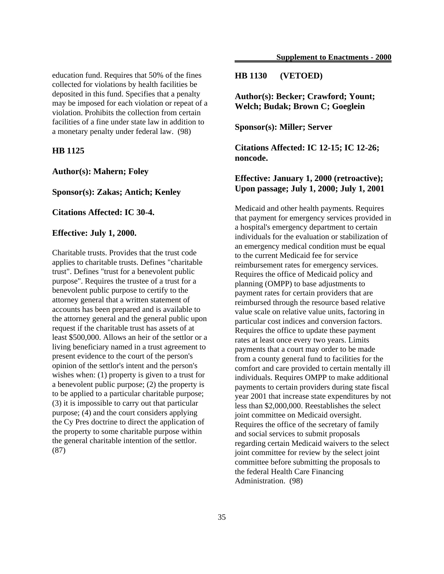education fund. Requires that 50% of the fines collected for violations by health facilities be deposited in this fund. Specifies that a penalty may be imposed for each violation or repeat of a violation. Prohibits the collection from certain facilities of a fine under state law in addition to a monetary penalty under federal law. (98)

## **HB 1125**

**Author(s): Mahern; Foley**

**Sponsor(s): Zakas; Antich; Kenley**

### **Citations Affected: IC 30-4.**

### **Effective: July 1, 2000.**

Charitable trusts. Provides that the trust code applies to charitable trusts. Defines "charitable trust". Defines "trust for a benevolent public purpose". Requires the trustee of a trust for a benevolent public purpose to certify to the attorney general that a written statement of accounts has been prepared and is available to the attorney general and the general public upon request if the charitable trust has assets of at least \$500,000. Allows an heir of the settlor or a living beneficiary named in a trust agreement to present evidence to the court of the person's opinion of the settlor's intent and the person's wishes when: (1) property is given to a trust for a benevolent public purpose; (2) the property is to be applied to a particular charitable purpose; (3) it is impossible to carry out that particular purpose; (4) and the court considers applying the Cy Pres doctrine to direct the application of the property to some charitable purpose within the general charitable intention of the settlor. (87)

### **HB 1130 (VETOED)**

**Author(s): Becker; Crawford; Yount; Welch; Budak; Brown C; Goeglein**

**Sponsor(s): Miller; Server**

**Citations Affected: IC 12-15; IC 12-26; noncode.**

## **Effective: January 1, 2000 (retroactive); Upon passage; July 1, 2000; July 1, 2001**

Medicaid and other health payments. Requires that payment for emergency services provided in a hospital's emergency department to certain individuals for the evaluation or stabilization of an emergency medical condition must be equal to the current Medicaid fee for service reimbursement rates for emergency services. Requires the office of Medicaid policy and planning (OMPP) to base adjustments to payment rates for certain providers that are reimbursed through the resource based relative value scale on relative value units, factoring in particular cost indices and conversion factors. Requires the office to update these payment rates at least once every two years. Limits payments that a court may order to be made from a county general fund to facilities for the comfort and care provided to certain mentally ill individuals. Requires OMPP to make additional payments to certain providers during state fiscal year 2001 that increase state expenditures by not less than \$2,000,000. Reestablishes the select joint committee on Medicaid oversight. Requires the office of the secretary of family and social services to submit proposals regarding certain Medicaid waivers to the select joint committee for review by the select joint committee before submitting the proposals to the federal Health Care Financing Administration. (98)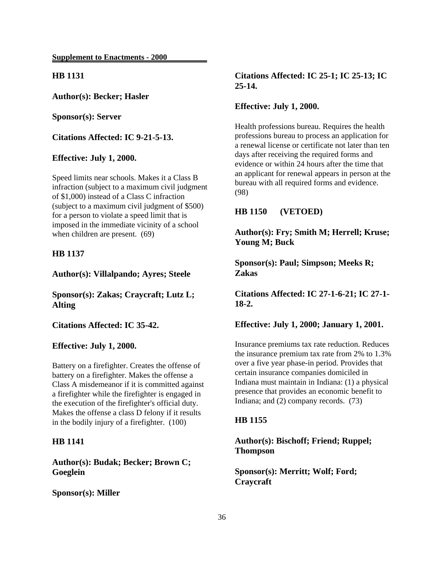**HB 1131**

**Author(s): Becker; Hasler**

**Sponsor(s): Server**

**Citations Affected: IC 9-21-5-13.**

**Effective: July 1, 2000.**

Speed limits near schools. Makes it a Class B infraction (subject to a maximum civil judgment of \$1,000) instead of a Class C infraction (subject to a maximum civil judgment of \$500) for a person to violate a speed limit that is imposed in the immediate vicinity of a school when children are present. (69)

### **HB 1137**

**Author(s): Villalpando; Ayres; Steele**

**Sponsor(s): Zakas; Craycraft; Lutz L; Alting**

**Citations Affected: IC 35-42.**

**Effective: July 1, 2000.**

Battery on a firefighter. Creates the offense of battery on a firefighter. Makes the offense a Class A misdemeanor if it is committed against a firefighter while the firefighter is engaged in the execution of the firefighter's official duty. Makes the offense a class D felony if it results in the bodily injury of a firefighter. (100)

### **HB 1141**

**Author(s): Budak; Becker; Brown C; Goeglein**

**Sponsor(s): Miller**

**Citations Affected: IC 25-1; IC 25-13; IC 25-14.**

#### **Effective: July 1, 2000.**

Health professions bureau. Requires the health professions bureau to process an application for a renewal license or certificate not later than ten days after receiving the required forms and evidence or within 24 hours after the time that an applicant for renewal appears in person at the bureau with all required forms and evidence. (98)

**HB 1150 (VETOED)**

**Author(s): Fry; Smith M; Herrell; Kruse; Young M; Buck**

**Sponsor(s): Paul; Simpson; Meeks R; Zakas**

**Citations Affected: IC 27-1-6-21; IC 27-1- 18-2.**

**Effective: July 1, 2000; January 1, 2001.**

Insurance premiums tax rate reduction. Reduces the insurance premium tax rate from 2% to 1.3% over a five year phase-in period. Provides that certain insurance companies domiciled in Indiana must maintain in Indiana: (1) a physical presence that provides an economic benefit to Indiana; and (2) company records. (73)

### **HB 1155**

**Author(s): Bischoff; Friend; Ruppel; Thompson**

**Sponsor(s): Merritt; Wolf; Ford; Craycraft**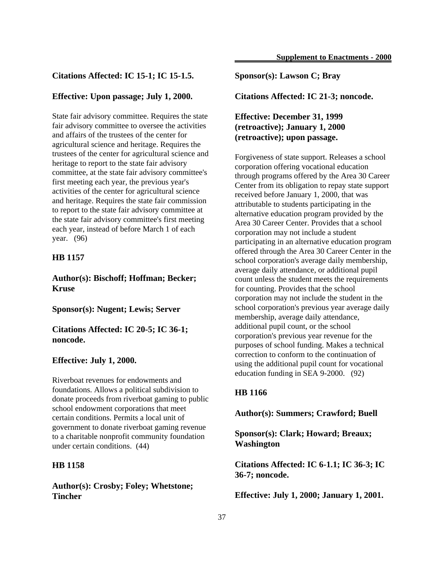### **Citations Affected: IC 15-1; IC 15-1.5.**

### **Effective: Upon passage; July 1, 2000.**

State fair advisory committee. Requires the state fair advisory committee to oversee the activities and affairs of the trustees of the center for agricultural science and heritage. Requires the trustees of the center for agricultural science and heritage to report to the state fair advisory committee, at the state fair advisory committee's first meeting each year, the previous year's activities of the center for agricultural science and heritage. Requires the state fair commission to report to the state fair advisory committee at the state fair advisory committee's first meeting each year, instead of before March 1 of each year. (96)

### **HB 1157**

**Author(s): Bischoff; Hoffman; Becker; Kruse**

**Sponsor(s): Nugent; Lewis; Server**

**Citations Affected: IC 20-5; IC 36-1; noncode.**

### **Effective: July 1, 2000.**

Riverboat revenues for endowments and foundations. Allows a political subdivision to donate proceeds from riverboat gaming to public school endowment corporations that meet certain conditions. Permits a local unit of government to donate riverboat gaming revenue to a charitable nonprofit community foundation under certain conditions. (44)

#### **HB 1158**

**Author(s): Crosby; Foley; Whetstone; Tincher**

### **Sponsor(s): Lawson C; Bray**

**Citations Affected: IC 21-3; noncode.**

## **Effective: December 31, 1999 (retroactive); January 1, 2000 (retroactive); upon passage.**

Forgiveness of state support. Releases a school corporation offering vocational education through programs offered by the Area 30 Career Center from its obligation to repay state support received before January 1, 2000, that was attributable to students participating in the alternative education program provided by the Area 30 Career Center. Provides that a school corporation may not include a student participating in an alternative education program offered through the Area 30 Career Center in the school corporation's average daily membership, average daily attendance, or additional pupil count unless the student meets the requirements for counting. Provides that the school corporation may not include the student in the school corporation's previous year average daily membership, average daily attendance, additional pupil count, or the school corporation's previous year revenue for the purposes of school funding. Makes a technical correction to conform to the continuation of using the additional pupil count for vocational education funding in SEA 9-2000. (92)

### **HB 1166**

**Author(s): Summers; Crawford; Buell**

**Sponsor(s): Clark; Howard; Breaux; Washington**

**Citations Affected: IC 6-1.1; IC 36-3; IC 36-7; noncode.**

**Effective: July 1, 2000; January 1, 2001.**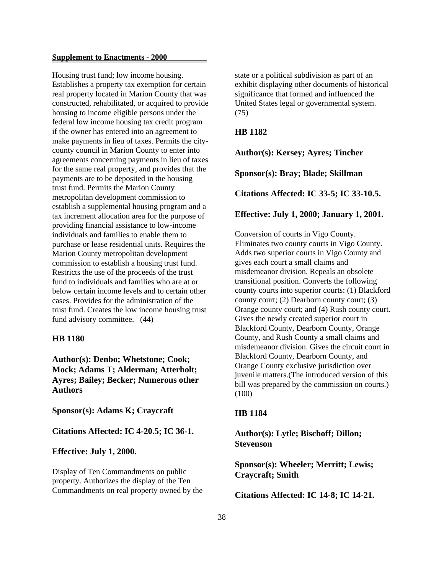Housing trust fund; low income housing. Establishes a property tax exemption for certain real property located in Marion County that was constructed, rehabilitated, or acquired to provide housing to income eligible persons under the federal low income housing tax credit program if the owner has entered into an agreement to make payments in lieu of taxes. Permits the citycounty council in Marion County to enter into agreements concerning payments in lieu of taxes for the same real property, and provides that the payments are to be deposited in the housing trust fund. Permits the Marion County metropolitan development commission to establish a supplemental housing program and a tax increment allocation area for the purpose of providing financial assistance to low-income individuals and families to enable them to purchase or lease residential units. Requires the Marion County metropolitan development commission to establish a housing trust fund. Restricts the use of the proceeds of the trust fund to individuals and families who are at or below certain income levels and to certain other cases. Provides for the administration of the trust fund. Creates the low income housing trust fund advisory committee. (44)

### **HB 1180**

**Author(s): Denbo; Whetstone; Cook; Mock; Adams T; Alderman; Atterholt; Ayres; Bailey; Becker; Numerous other Authors**

**Sponsor(s): Adams K; Craycraft**

**Citations Affected: IC 4-20.5; IC 36-1.**

**Effective: July 1, 2000.**

Display of Ten Commandments on public property. Authorizes the display of the Ten Commandments on real property owned by the state or a political subdivision as part of an exhibit displaying other documents of historical significance that formed and influenced the United States legal or governmental system. (75)

## **HB 1182**

**Author(s): Kersey; Ayres; Tincher**

**Sponsor(s): Bray; Blade; Skillman**

**Citations Affected: IC 33-5; IC 33-10.5.**

#### **Effective: July 1, 2000; January 1, 2001.**

Conversion of courts in Vigo County. Eliminates two county courts in Vigo County. Adds two superior courts in Vigo County and gives each court a small claims and misdemeanor division. Repeals an obsolete transitional position. Converts the following county courts into superior courts: (1) Blackford county court; (2) Dearborn county court; (3) Orange county court; and (4) Rush county court. Gives the newly created superior court in Blackford County, Dearborn County, Orange County, and Rush County a small claims and misdemeanor division. Gives the circuit court in Blackford County, Dearborn County, and Orange County exclusive jurisdiction over juvenile matters.(The introduced version of this bill was prepared by the commission on courts.) (100)

### **HB 1184**

**Author(s): Lytle; Bischoff; Dillon; Stevenson**

**Sponsor(s): Wheeler; Merritt; Lewis; Craycraft; Smith**

**Citations Affected: IC 14-8; IC 14-21.**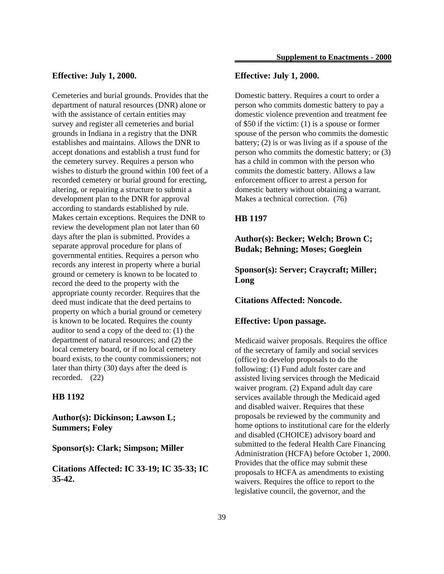#### **Effective: July 1, 2000.**

Cemeteries and burial grounds. Provides that the department of natural resources (DNR) alone or with the assistance of certain entities may survey and register all cemeteries and burial grounds in Indiana in a registry that the DNR establishes and maintains. Allows the DNR to accept donations and establish a trust fund for the cemetery survey. Requires a person who wishes to disturb the ground within 100 feet of a recorded cemetery or burial ground for erecting, altering, or repairing a structure to submit a development plan to the DNR for approval according to standards established by rule. Makes certain exceptions. Requires the DNR to review the development plan not later than 60 days after the plan is submitted. Provides a separate approval procedure for plans of governmental entities. Requires a person who records any interest in property where a burial ground or cemetery is known to be located to record the deed to the property with the appropriate county recorder. Requires that the deed must indicate that the deed pertains to property on which a burial ground or cemetery is known to be located. Requires the county auditor to send a copy of the deed to: (1) the department of natural resources; and (2) the local cemetery board, or if no local cemetery board exists, to the county commissioners; not later than thirty (30) days after the deed is recorded. (22)

### **HB 1192**

**Author(s): Dickinson; Lawson L; Summers; Foley**

**Sponsor(s): Clark; Simpson; Miller**

**Citations Affected: IC 33-19; IC 35-33; IC 35-42.**

### **Effective: July 1, 2000.**

Domestic battery. Requires a court to order a person who commits domestic battery to pay a domestic violence prevention and treatment fee of \$50 if the victim: (1) is a spouse or former spouse of the person who commits the domestic battery; (2) is or was living as if a spouse of the person who commits the domestic battery; or (3) has a child in common with the person who commits the domestic battery. Allows a law enforcement officer to arrest a person for domestic battery without obtaining a warrant. Makes a technical correction. (76)

#### **HB 1197**

**Author(s): Becker; Welch; Brown C; Budak; Behning; Moses; Goeglein**

**Sponsor(s): Server; Craycraft; Miller; Long**

**Citations Affected: Noncode.**

### **Effective: Upon passage.**

Medicaid waiver proposals. Requires the office of the secretary of family and social services (office) to develop proposals to do the following: (1) Fund adult foster care and assisted living services through the Medicaid waiver program. (2) Expand adult day care services available through the Medicaid aged and disabled waiver. Requires that these proposals be reviewed by the community and home options to institutional care for the elderly and disabled (CHOICE) advisory board and submitted to the federal Health Care Financing Administration (HCFA) before October 1, 2000. Provides that the office may submit these proposals to HCFA as amendments to existing waivers. Requires the office to report to the legislative council, the governor, and the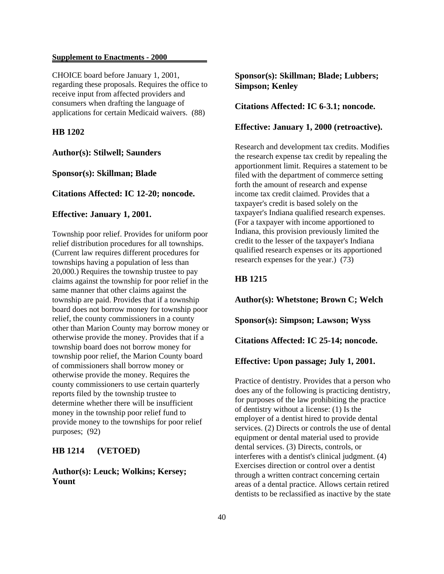CHOICE board before January 1, 2001, regarding these proposals. Requires the office to receive input from affected providers and consumers when drafting the language of applications for certain Medicaid waivers. (88)

### **HB 1202**

**Author(s): Stilwell; Saunders**

**Sponsor(s): Skillman; Blade**

### **Citations Affected: IC 12-20; noncode.**

#### **Effective: January 1, 2001.**

Township poor relief. Provides for uniform poor relief distribution procedures for all townships. (Current law requires different procedures for townships having a population of less than 20,000.) Requires the township trustee to pay claims against the township for poor relief in the same manner that other claims against the township are paid. Provides that if a township board does not borrow money for township poor relief, the county commissioners in a county other than Marion County may borrow money or otherwise provide the money. Provides that if a township board does not borrow money for township poor relief, the Marion County board of commissioners shall borrow money or otherwise provide the money. Requires the county commissioners to use certain quarterly reports filed by the township trustee to determine whether there will be insufficient money in the township poor relief fund to provide money to the townships for poor relief purposes; (92)

### **HB 1214 (VETOED)**

## **Author(s): Leuck; Wolkins; Kersey; Yount**

## **Sponsor(s): Skillman; Blade; Lubbers; Simpson; Kenley**

**Citations Affected: IC 6-3.1; noncode.**

### **Effective: January 1, 2000 (retroactive).**

Research and development tax credits. Modifies the research expense tax credit by repealing the apportionment limit. Requires a statement to be filed with the department of commerce setting forth the amount of research and expense income tax credit claimed. Provides that a taxpayer's credit is based solely on the taxpayer's Indiana qualified research expenses. (For a taxpayer with income apportioned to Indiana, this provision previously limited the credit to the lesser of the taxpayer's Indiana qualified research expenses or its apportioned research expenses for the year.)  $(73)$ 

### **HB 1215**

**Author(s): Whetstone; Brown C; Welch**

**Sponsor(s): Simpson; Lawson; Wyss**

**Citations Affected: IC 25-14; noncode.**

**Effective: Upon passage; July 1, 2001.**

Practice of dentistry. Provides that a person who does any of the following is practicing dentistry, for purposes of the law prohibiting the practice of dentistry without a license: (1) Is the employer of a dentist hired to provide dental services. (2) Directs or controls the use of dental equipment or dental material used to provide dental services. (3) Directs, controls, or interferes with a dentist's clinical judgment. (4) Exercises direction or control over a dentist through a written contract concerning certain areas of a dental practice. Allows certain retired dentists to be reclassified as inactive by the state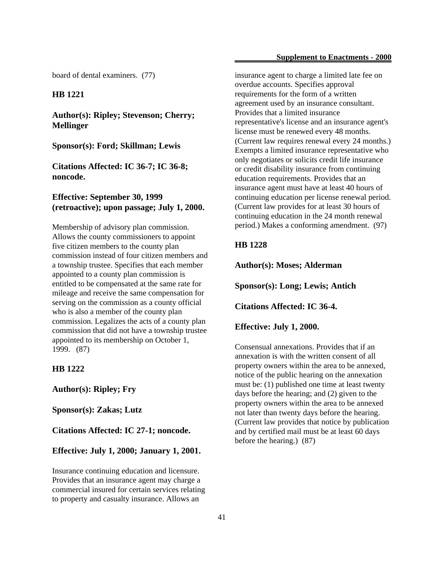board of dental examiners. (77)

### **HB 1221**

**Author(s): Ripley; Stevenson; Cherry; Mellinger**

### **Sponsor(s): Ford; Skillman; Lewis**

**Citations Affected: IC 36-7; IC 36-8; noncode.**

## **Effective: September 30, 1999 (retroactive); upon passage; July 1, 2000.**

Membership of advisory plan commission. Allows the county commissioners to appoint five citizen members to the county plan commission instead of four citizen members and a township trustee. Specifies that each member appointed to a county plan commission is entitled to be compensated at the same rate for mileage and receive the same compensation for serving on the commission as a county official who is also a member of the county plan commission. Legalizes the acts of a county plan commission that did not have a township trustee appointed to its membership on October 1, 1999. (87)

### **HB 1222**

**Author(s): Ripley; Fry**

**Sponsor(s): Zakas; Lutz**

**Citations Affected: IC 27-1; noncode.**

#### **Effective: July 1, 2000; January 1, 2001.**

Insurance continuing education and licensure. Provides that an insurance agent may charge a commercial insured for certain services relating to property and casualty insurance. Allows an

insurance agent to charge a limited late fee on overdue accounts. Specifies approval requirements for the form of a written agreement used by an insurance consultant. Provides that a limited insurance representative's license and an insurance agent's license must be renewed every 48 months. (Current law requires renewal every 24 months.) Exempts a limited insurance representative who only negotiates or solicits credit life insurance or credit disability insurance from continuing education requirements. Provides that an insurance agent must have at least 40 hours of continuing education per license renewal period. (Current law provides for at least 30 hours of continuing education in the 24 month renewal period.) Makes a conforming amendment. (97)

### **HB 1228**

**Author(s): Moses; Alderman**

**Sponsor(s): Long; Lewis; Antich**

**Citations Affected: IC 36-4.**

**Effective: July 1, 2000.**

Consensual annexations. Provides that if an annexation is with the written consent of all property owners within the area to be annexed, notice of the public hearing on the annexation must be: (1) published one time at least twenty days before the hearing; and (2) given to the property owners within the area to be annexed not later than twenty days before the hearing. (Current law provides that notice by publication and by certified mail must be at least 60 days before the hearing.) (87)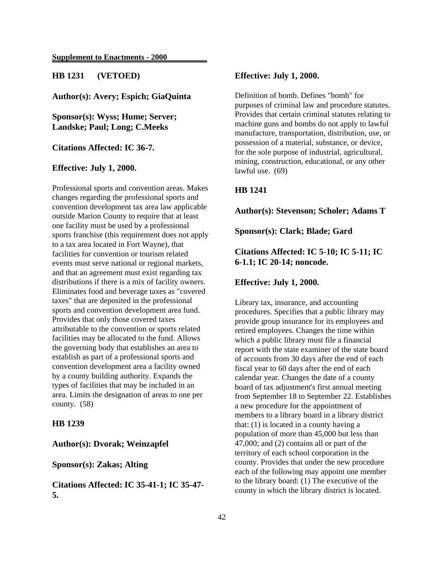**HB 1231 (VETOED)**

**Author(s): Avery; Espich; GiaQuinta**

**Sponsor(s): Wyss; Hume; Server; Landske; Paul; Long; C.Meeks**

**Citations Affected: IC 36-7.**

### **Effective: July 1, 2000.**

Professional sports and convention areas. Makes changes regarding the professional sports and convention development tax area law applicable outside Marion County to require that at least one facility must be used by a professional sports franchise (this requirement does not apply to a tax area located in Fort Wayne), that facilities for convention or tourism related events must serve national or regional markets, and that an agreement must exist regarding tax distributions if there is a mix of facility owners. Eliminates food and beverage taxes as "covered taxes" that are deposited in the professional sports and convention development area fund. Provides that only those covered taxes attributable to the convention or sports related facilities may be allocated to the fund. Allows the governing body that establishes an area to establish as part of a professional sports and convention development area a facility owned by a county building authority. Expands the types of facilities that may be included in an area. Limits the designation of areas to one per county. (58)

### **HB 1239**

## **Author(s): Dvorak; Weinzapfel**

### **Sponsor(s): Zakas; Alting**

**Citations Affected: IC 35-41-1; IC 35-47- 5.**

### **Effective: July 1, 2000.**

Definition of bomb. Defines "bomb" for purposes of criminal law and procedure statutes. Provides that certain criminal statutes relating to machine guns and bombs do not apply to lawful manufacture, transportation, distribution, use, or possession of a material, substance, or device, for the sole purpose of industrial, agricultural, mining, construction, educational, or any other lawful use. (69)

### **HB 1241**

### **Author(s): Stevenson; Scholer; Adams T**

**Sponsor(s): Clark; Blade; Gard**

## **Citations Affected: IC 5-10; IC 5-11; IC 6-1.1; IC 20-14; noncode.**

### **Effective: July 1, 2000.**

Library tax, insurance, and accounting procedures. Specifies that a public library may provide group insurance for its employees and retired employees. Changes the time within which a public library must file a financial report with the state examiner of the state board of accounts from 30 days after the end of each fiscal year to 60 days after the end of each calendar year. Changes the date of a county board of tax adjustment's first annual meeting from September 18 to September 22. Establishes a new procedure for the appointment of members to a library board in a library district that: (1) is located in a county having a population of more than 45,000 but less than 47,000; and (2) contains all or part of the territory of each school corporation in the county. Provides that under the new procedure each of the following may appoint one member to the library board: (1) The executive of the county in which the library district is located.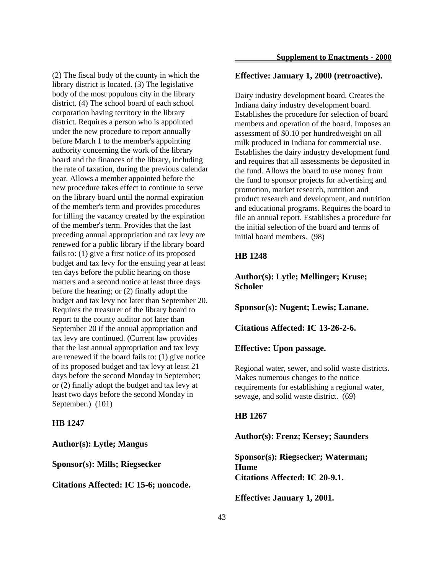(2) The fiscal body of the county in which the library district is located. (3) The legislative body of the most populous city in the library district. (4) The school board of each school corporation having territory in the library district. Requires a person who is appointed under the new procedure to report annually before March 1 to the member's appointing authority concerning the work of the library board and the finances of the library, including the rate of taxation, during the previous calendar year. Allows a member appointed before the new procedure takes effect to continue to serve on the library board until the normal expiration of the member's term and provides procedures for filling the vacancy created by the expiration of the member's term. Provides that the last preceding annual appropriation and tax levy are renewed for a public library if the library board fails to: (1) give a first notice of its proposed budget and tax levy for the ensuing year at least ten days before the public hearing on those matters and a second notice at least three days before the hearing; or (2) finally adopt the budget and tax levy not later than September 20. Requires the treasurer of the library board to report to the county auditor not later than September 20 if the annual appropriation and tax levy are continued. (Current law provides that the last annual appropriation and tax levy are renewed if the board fails to: (1) give notice of its proposed budget and tax levy at least 21 days before the second Monday in September; or (2) finally adopt the budget and tax levy at least two days before the second Monday in September.) (101)

### **HB 1247**

**Author(s): Lytle; Mangus**

**Sponsor(s): Mills; Riegsecker**

**Citations Affected: IC 15-6; noncode.**

## **Effective: January 1, 2000 (retroactive).**

Dairy industry development board. Creates the Indiana dairy industry development board. Establishes the procedure for selection of board members and operation of the board. Imposes an assessment of \$0.10 per hundredweight on all milk produced in Indiana for commercial use. Establishes the dairy industry development fund and requires that all assessments be deposited in the fund. Allows the board to use money from the fund to sponsor projects for advertising and promotion, market research, nutrition and product research and development, and nutrition and educational programs. Requires the board to file an annual report. Establishes a procedure for the initial selection of the board and terms of initial board members. (98)

## **HB 1248**

**Author(s): Lytle; Mellinger; Kruse; Scholer**

**Sponsor(s): Nugent; Lewis; Lanane.**

**Citations Affected: IC 13-26-2-6.**

### **Effective: Upon passage.**

Regional water, sewer, and solid waste districts. Makes numerous changes to the notice requirements for establishing a regional water, sewage, and solid waste district. (69)

### **HB 1267**

**Author(s): Frenz; Kersey; Saunders**

**Sponsor(s): Riegsecker; Waterman; Hume Citations Affected: IC 20-9.1.**

**Effective: January 1, 2001.**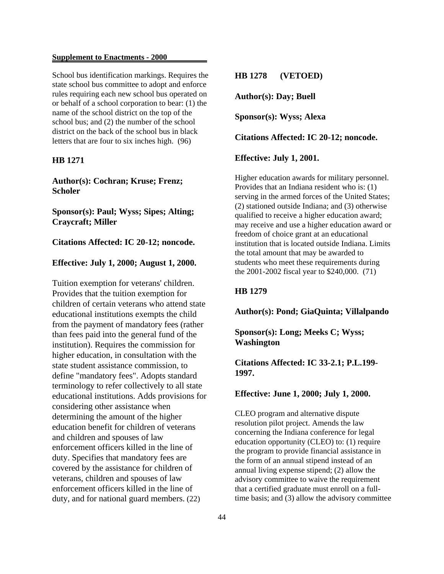School bus identification markings. Requires the state school bus committee to adopt and enforce rules requiring each new school bus operated on or behalf of a school corporation to bear: (1) the name of the school district on the top of the school bus; and (2) the number of the school district on the back of the school bus in black letters that are four to six inches high. (96)

## **HB 1271**

**Author(s): Cochran; Kruse; Frenz; Scholer**

**Sponsor(s): Paul; Wyss; Sipes; Alting; Craycraft; Miller**

## **Citations Affected: IC 20-12; noncode.**

### **Effective: July 1, 2000; August 1, 2000.**

Tuition exemption for veterans' children. Provides that the tuition exemption for children of certain veterans who attend state educational institutions exempts the child from the payment of mandatory fees (rather than fees paid into the general fund of the institution). Requires the commission for higher education, in consultation with the state student assistance commission, to define "mandatory fees". Adopts standard terminology to refer collectively to all state educational institutions. Adds provisions for considering other assistance when determining the amount of the higher education benefit for children of veterans and children and spouses of law enforcement officers killed in the line of duty. Specifies that mandatory fees are covered by the assistance for children of veterans, children and spouses of law enforcement officers killed in the line of duty, and for national guard members. (22)

**HB 1278 (VETOED)**

**Author(s): Day; Buell**

**Sponsor(s): Wyss; Alexa**

**Citations Affected: IC 20-12; noncode.**

**Effective: July 1, 2001.**

Higher education awards for military personnel. Provides that an Indiana resident who is: (1) serving in the armed forces of the United States; (2) stationed outside Indiana; and (3) otherwise qualified to receive a higher education award; may receive and use a higher education award or freedom of choice grant at an educational institution that is located outside Indiana. Limits the total amount that may be awarded to students who meet these requirements during the 2001-2002 fiscal year to \$240,000. (71)

## **HB 1279**

**Author(s): Pond; GiaQuinta; Villalpando**

**Sponsor(s): Long; Meeks C; Wyss; Washington**

**Citations Affected: IC 33-2.1; P.L.199- 1997.**

### **Effective: June 1, 2000; July 1, 2000.**

CLEO program and alternative dispute resolution pilot project. Amends the law concerning the Indiana conference for legal education opportunity (CLEO) to: (1) require the program to provide financial assistance in the form of an annual stipend instead of an annual living expense stipend; (2) allow the advisory committee to waive the requirement that a certified graduate must enroll on a fulltime basis; and (3) allow the advisory committee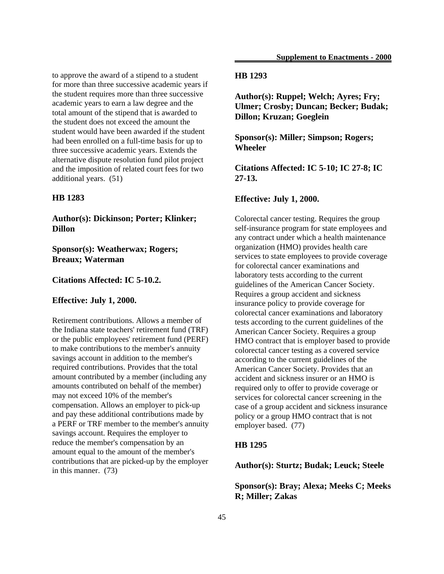to approve the award of a stipend to a student for more than three successive academic years if the student requires more than three successive academic years to earn a law degree and the total amount of the stipend that is awarded to the student does not exceed the amount the student would have been awarded if the student had been enrolled on a full-time basis for up to three successive academic years. Extends the alternative dispute resolution fund pilot project and the imposition of related court fees for two additional years. (51)

### **HB 1283**

**Author(s): Dickinson; Porter; Klinker; Dillon**

**Sponsor(s): Weatherwax; Rogers; Breaux; Waterman**

### **Citations Affected: IC 5-10.2.**

### **Effective: July 1, 2000.**

Retirement contributions. Allows a member of the Indiana state teachers' retirement fund (TRF) or the public employees' retirement fund (PERF) to make contributions to the member's annuity savings account in addition to the member's required contributions. Provides that the total amount contributed by a member (including any amounts contributed on behalf of the member) may not exceed 10% of the member's compensation. Allows an employer to pick-up and pay these additional contributions made by a PERF or TRF member to the member's annuity savings account. Requires the employer to reduce the member's compensation by an amount equal to the amount of the member's contributions that are picked-up by the employer in this manner. (73)

### **HB 1293**

**Author(s): Ruppel; Welch; Ayres; Fry; Ulmer; Crosby; Duncan; Becker; Budak; Dillon; Kruzan; Goeglein**

**Sponsor(s): Miller; Simpson; Rogers; Wheeler**

**Citations Affected: IC 5-10; IC 27-8; IC 27-13.**

### **Effective: July 1, 2000.**

Colorectal cancer testing. Requires the group self-insurance program for state employees and any contract under which a health maintenance organization (HMO) provides health care services to state employees to provide coverage for colorectal cancer examinations and laboratory tests according to the current guidelines of the American Cancer Society. Requires a group accident and sickness insurance policy to provide coverage for colorectal cancer examinations and laboratory tests according to the current guidelines of the American Cancer Society. Requires a group HMO contract that is employer based to provide colorectal cancer testing as a covered service according to the current guidelines of the American Cancer Society. Provides that an accident and sickness insurer or an HMO is required only to offer to provide coverage or services for colorectal cancer screening in the case of a group accident and sickness insurance policy or a group HMO contract that is not employer based. (77)

### **HB 1295**

**Author(s): Sturtz; Budak; Leuck; Steele**

**Sponsor(s): Bray; Alexa; Meeks C; Meeks R; Miller; Zakas**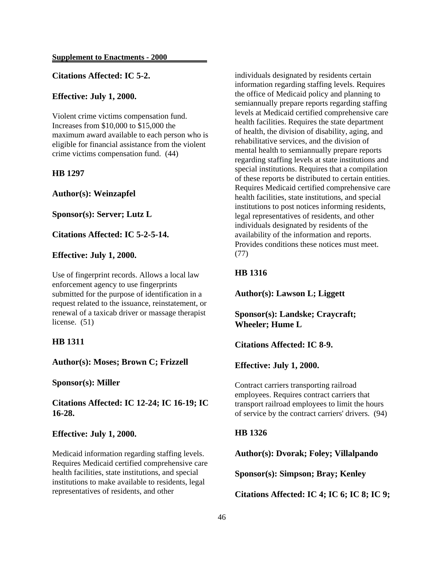## **Citations Affected: IC 5-2.**

### **Effective: July 1, 2000.**

Violent crime victims compensation fund. Increases from \$10,000 to \$15,000 the maximum award available to each person who is eligible for financial assistance from the violent crime victims compensation fund. (44)

### **HB 1297**

**Author(s): Weinzapfel**

**Sponsor(s): Server; Lutz L**

**Citations Affected: IC 5-2-5-14.**

### **Effective: July 1, 2000.**

Use of fingerprint records. Allows a local law enforcement agency to use fingerprints submitted for the purpose of identification in a request related to the issuance, reinstatement, or renewal of a taxicab driver or massage therapist license. (51)

### **HB 1311**

**Author(s): Moses; Brown C; Frizzell**

**Sponsor(s): Miller**

**Citations Affected: IC 12-24; IC 16-19; IC 16-28.**

### **Effective: July 1, 2000.**

Medicaid information regarding staffing levels. Requires Medicaid certified comprehensive care health facilities, state institutions, and special institutions to make available to residents, legal representatives of residents, and other

individuals designated by residents certain information regarding staffing levels. Requires the office of Medicaid policy and planning to semiannually prepare reports regarding staffing levels at Medicaid certified comprehensive care health facilities. Requires the state department of health, the division of disability, aging, and rehabilitative services, and the division of mental health to semiannually prepare reports regarding staffing levels at state institutions and special institutions. Requires that a compilation of these reports be distributed to certain entities. Requires Medicaid certified comprehensive care health facilities, state institutions, and special institutions to post notices informing residents, legal representatives of residents, and other individuals designated by residents of the availability of the information and reports. Provides conditions these notices must meet. (77)

### **HB 1316**

**Author(s): Lawson L; Liggett**

**Sponsor(s): Landske; Craycraft; Wheeler; Hume L**

**Citations Affected: IC 8-9.**

**Effective: July 1, 2000.**

Contract carriers transporting railroad employees. Requires contract carriers that transport railroad employees to limit the hours of service by the contract carriers' drivers. (94)

### **HB 1326**

**Author(s): Dvorak; Foley; Villalpando**

**Sponsor(s): Simpson; Bray; Kenley**

**Citations Affected: IC 4; IC 6; IC 8; IC 9;**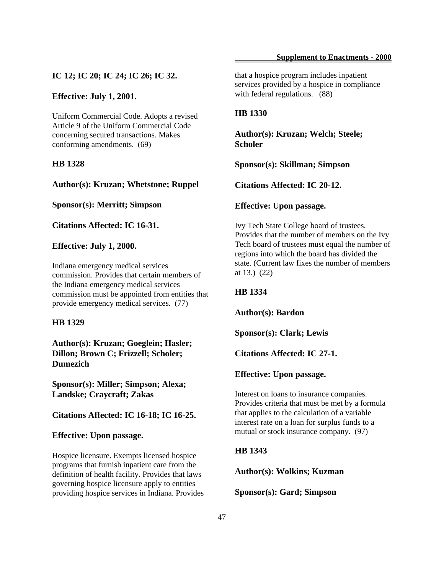### **IC 12; IC 20; IC 24; IC 26; IC 32.**

### **Effective: July 1, 2001.**

Uniform Commercial Code. Adopts a revised Article 9 of the Uniform Commercial Code concerning secured transactions. Makes conforming amendments. (69)

## **HB 1328**

**Author(s): Kruzan; Whetstone; Ruppel**

**Sponsor(s): Merritt; Simpson**

**Citations Affected: IC 16-31.**

#### **Effective: July 1, 2000.**

Indiana emergency medical services commission. Provides that certain members of the Indiana emergency medical services commission must be appointed from entities that provide emergency medical services. (77)

## **HB 1329**

**Author(s): Kruzan; Goeglein; Hasler; Dillon; Brown C; Frizzell; Scholer; Dumezich**

**Sponsor(s): Miller; Simpson; Alexa; Landske; Craycraft; Zakas**

**Citations Affected: IC 16-18; IC 16-25.**

### **Effective: Upon passage.**

Hospice licensure. Exempts licensed hospice programs that furnish inpatient care from the definition of health facility. Provides that laws governing hospice licensure apply to entities providing hospice services in Indiana. Provides that a hospice program includes inpatient services provided by a hospice in compliance with federal regulations. (88)

### **HB 1330**

**Author(s): Kruzan; Welch; Steele; Scholer**

**Sponsor(s): Skillman; Simpson**

**Citations Affected: IC 20-12.**

#### **Effective: Upon passage.**

Ivy Tech State College board of trustees. Provides that the number of members on the Ivy Tech board of trustees must equal the number of regions into which the board has divided the state. (Current law fixes the number of members at 13.) (22)

### **HB 1334**

**Author(s): Bardon**

**Sponsor(s): Clark; Lewis**

**Citations Affected: IC 27-1.**

#### **Effective: Upon passage.**

Interest on loans to insurance companies. Provides criteria that must be met by a formula that applies to the calculation of a variable interest rate on a loan for surplus funds to a mutual or stock insurance company. (97)

### **HB 1343**

**Author(s): Wolkins; Kuzman**

**Sponsor(s): Gard; Simpson**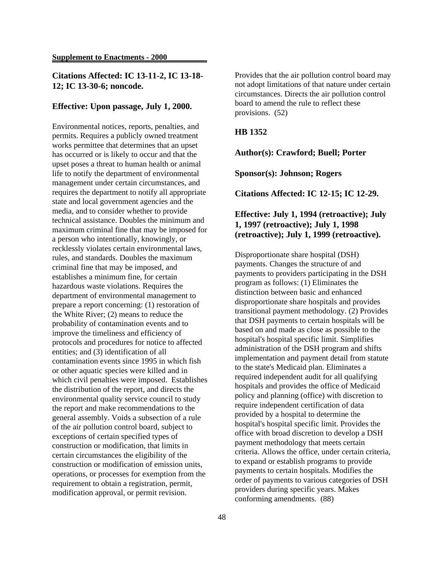## **Citations Affected: IC 13-11-2, IC 13-18- 12; IC 13-30-6; noncode.**

### **Effective: Upon passage, July 1, 2000.**

Environmental notices, reports, penalties, and permits. Requires a publicly owned treatment works permittee that determines that an upset has occurred or is likely to occur and that the upset poses a threat to human health or animal life to notify the department of environmental management under certain circumstances, and requires the department to notify all appropriate state and local government agencies and the media, and to consider whether to provide technical assistance. Doubles the minimum and maximum criminal fine that may be imposed for a person who intentionally, knowingly, or recklessly violates certain environmental laws, rules, and standards. Doubles the maximum criminal fine that may be imposed, and establishes a minimum fine, for certain hazardous waste violations. Requires the department of environmental management to prepare a report concerning: (1) restoration of the White River; (2) means to reduce the probability of contamination events and to improve the timeliness and efficiency of protocols and procedures for notice to affected entities; and (3) identification of all contamination events since 1995 in which fish or other aquatic species were killed and in which civil penalties were imposed. Establishes the distribution of the report, and directs the environmental quality service council to study the report and make recommendations to the general assembly. Voids a subsection of a rule of the air pollution control board, subject to exceptions of certain specified types of construction or modification, that limits in certain circumstances the eligibility of the construction or modification of emission units, operations, or processes for exemption from the requirement to obtain a registration, permit, modification approval, or permit revision.

Provides that the air pollution control board may not adopt limitations of that nature under certain circumstances. Directs the air pollution control board to amend the rule to reflect these provisions. (52)

### **HB 1352**

**Author(s): Crawford; Buell; Porter**

**Sponsor(s): Johnson; Rogers**

**Citations Affected: IC 12-15; IC 12-29.**

## **Effective: July 1, 1994 (retroactive); July 1, 1997 (retroactive); July 1, 1998 (retroactive); July 1, 1999 (retroactive).**

Disproportionate share hospital (DSH) payments. Changes the structure of and payments to providers participating in the DSH program as follows: (1) Eliminates the distinction between basic and enhanced disproportionate share hospitals and provides transitional payment methodology. (2) Provides that DSH payments to certain hospitals will be based on and made as close as possible to the hospital's hospital specific limit. Simplifies administration of the DSH program and shifts implementation and payment detail from statute to the state's Medicaid plan. Eliminates a required independent audit for all qualifying hospitals and provides the office of Medicaid policy and planning (office) with discretion to require independent certification of data provided by a hospital to determine the hospital's hospital specific limit. Provides the office with broad discretion to develop a DSH payment methodology that meets certain criteria. Allows the office, under certain criteria, to expand or establish programs to provide payments to certain hospitals. Modifies the order of payments to various categories of DSH providers during specific years. Makes conforming amendments. (88)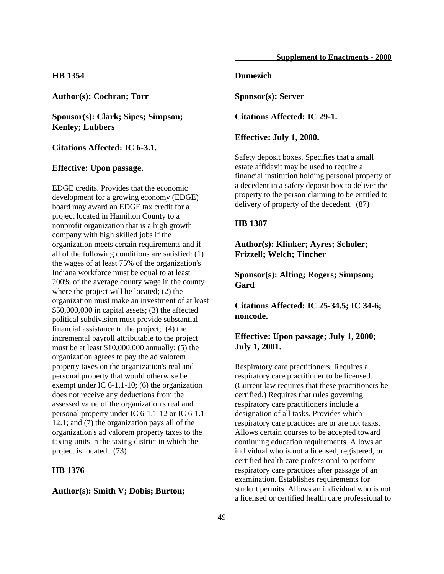## **HB 1354**

**Author(s): Cochran; Torr**

**Sponsor(s): Clark; Sipes; Simpson; Kenley; Lubbers**

## **Citations Affected: IC 6-3.1.**

### **Effective: Upon passage.**

EDGE credits. Provides that the economic development for a growing economy (EDGE) board may award an EDGE tax credit for a project located in Hamilton County to a nonprofit organization that is a high growth company with high skilled jobs if the organization meets certain requirements and if all of the following conditions are satisfied: (1) the wages of at least 75% of the organization's Indiana workforce must be equal to at least 200% of the average county wage in the county where the project will be located; (2) the organization must make an investment of at least \$50,000,000 in capital assets; (3) the affected political subdivision must provide substantial financial assistance to the project; (4) the incremental payroll attributable to the project must be at least \$10,000,000 annually; (5) the organization agrees to pay the ad valorem property taxes on the organization's real and personal property that would otherwise be exempt under IC 6-1.1-10; (6) the organization does not receive any deductions from the assessed value of the organization's real and personal property under IC 6-1.1-12 or IC 6-1.1- 12.1; and (7) the organization pays all of the organization's ad valorem property taxes to the taxing units in the taxing district in which the project is located. (73)

## **HB 1376**

### **Author(s): Smith V; Dobis; Burton;**

## **Dumezich**

**Sponsor(s): Server**

**Citations Affected: IC 29-1.**

#### **Effective: July 1, 2000.**

Safety deposit boxes. Specifies that a small estate affidavit may be used to require a financial institution holding personal property of a decedent in a safety deposit box to deliver the property to the person claiming to be entitled to delivery of property of the decedent. (87)

#### **HB 1387**

**Author(s): Klinker; Ayres; Scholer; Frizzell; Welch; Tincher**

**Sponsor(s): Alting; Rogers; Simpson; Gard**

**Citations Affected: IC 25-34.5; IC 34-6; noncode.**

## **Effective: Upon passage; July 1, 2000; July 1, 2001.**

Respiratory care practitioners. Requires a respiratory care practitioner to be licensed. (Current law requires that these practitioners be certified.) Requires that rules governing respiratory care practitioners include a designation of all tasks. Provides which respiratory care practices are or are not tasks. Allows certain courses to be accepted toward continuing education requirements. Allows an individual who is not a licensed, registered, or certified health care professional to perform respiratory care practices after passage of an examination. Establishes requirements for student permits. Allows an individual who is not a licensed or certified health care professional to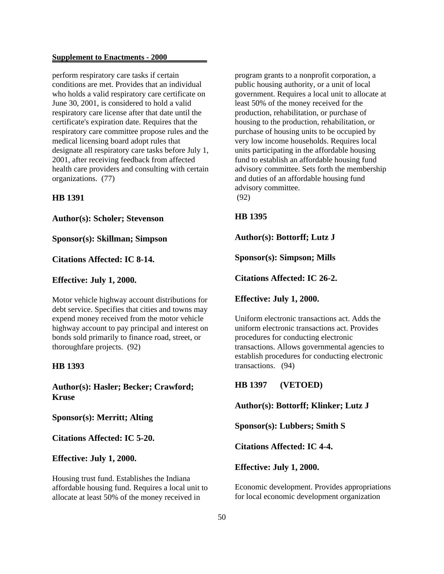perform respiratory care tasks if certain conditions are met. Provides that an individual who holds a valid respiratory care certificate on June 30, 2001, is considered to hold a valid respiratory care license after that date until the certificate's expiration date. Requires that the respiratory care committee propose rules and the medical licensing board adopt rules that designate all respiratory care tasks before July 1, 2001, after receiving feedback from affected health care providers and consulting with certain organizations. (77)

### **HB 1391**

**Author(s): Scholer; Stevenson**

**Sponsor(s): Skillman; Simpson**

### **Citations Affected: IC 8-14.**

**Effective: July 1, 2000.**

Motor vehicle highway account distributions for debt service. Specifies that cities and towns may expend money received from the motor vehicle highway account to pay principal and interest on bonds sold primarily to finance road, street, or thoroughfare projects. (92)

### **HB 1393**

**Author(s): Hasler; Becker; Crawford; Kruse**

**Sponsor(s): Merritt; Alting**

**Citations Affected: IC 5-20.**

**Effective: July 1, 2000.**

Housing trust fund. Establishes the Indiana affordable housing fund. Requires a local unit to allocate at least 50% of the money received in

program grants to a nonprofit corporation, a public housing authority, or a unit of local government. Requires a local unit to allocate at least 50% of the money received for the production, rehabilitation, or purchase of housing to the production, rehabilitation, or purchase of housing units to be occupied by very low income households. Requires local units participating in the affordable housing fund to establish an affordable housing fund advisory committee. Sets forth the membership and duties of an affordable housing fund advisory committee. (92)

### **HB 1395**

**Author(s): Bottorff; Lutz J**

**Sponsor(s): Simpson; Mills**

**Citations Affected: IC 26-2.**

**Effective: July 1, 2000.**

Uniform electronic transactions act. Adds the uniform electronic transactions act. Provides procedures for conducting electronic transactions. Allows governmental agencies to establish procedures for conducting electronic transactions. (94)

**HB 1397 (VETOED)**

**Author(s): Bottorff; Klinker; Lutz J**

**Sponsor(s): Lubbers; Smith S**

**Citations Affected: IC 4-4.**

**Effective: July 1, 2000.**

Economic development. Provides appropriations for local economic development organization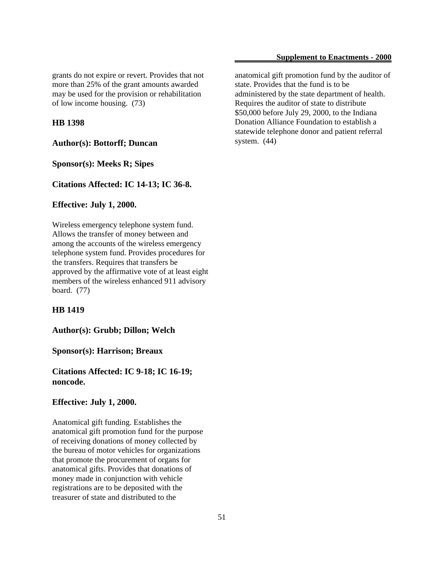grants do not expire or revert. Provides that not more than 25% of the grant amounts awarded may be used for the provision or rehabilitation of low income housing. (73)

#### **HB 1398**

**Author(s): Bottorff; Duncan**

**Sponsor(s): Meeks R; Sipes**

**Citations Affected: IC 14-13; IC 36-8.**

### **Effective: July 1, 2000.**

Wireless emergency telephone system fund. Allows the transfer of money between and among the accounts of the wireless emergency telephone system fund. Provides procedures for the transfers. Requires that transfers be approved by the affirmative vote of at least eight members of the wireless enhanced 911 advisory board. (77)

#### **HB 1419**

**Author(s): Grubb; Dillon; Welch**

**Sponsor(s): Harrison; Breaux**

**Citations Affected: IC 9-18; IC 16-19; noncode.**

#### **Effective: July 1, 2000.**

Anatomical gift funding. Establishes the anatomical gift promotion fund for the purpose of receiving donations of money collected by the bureau of motor vehicles for organizations that promote the procurement of organs for anatomical gifts. Provides that donations of money made in conjunction with vehicle registrations are to be deposited with the treasurer of state and distributed to the

anatomical gift promotion fund by the auditor of state. Provides that the fund is to be administered by the state department of health. Requires the auditor of state to distribute \$50,000 before July 29, 2000, to the Indiana Donation Alliance Foundation to establish a statewide telephone donor and patient referral system. (44)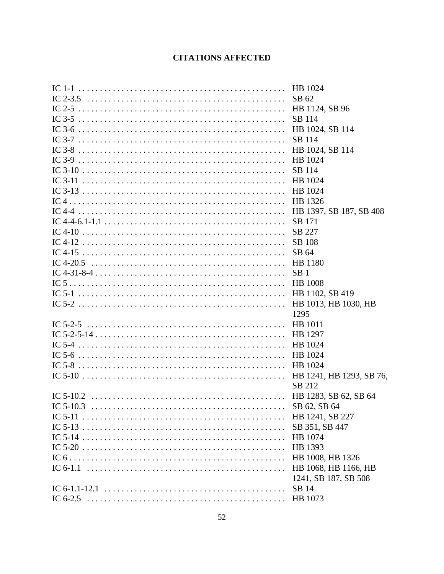# **CITATIONS AFFECTED**

| HB 1024                  |
|--------------------------|
| SB 62                    |
| HB 1124, SB 96           |
| SB 114                   |
| HB 1024, SB 114          |
| SB 114                   |
| HB 1024, SB 114          |
| HB 1024                  |
| SB 114                   |
| HB 1024                  |
| HB 1024                  |
| HB 1326                  |
| HB 1397, SB 187, SB 408  |
| <b>SB</b> 171            |
| SB 227                   |
| <b>SB</b> 108            |
| SB 64                    |
| HB 1180                  |
| SB <sub>1</sub>          |
| <b>HB</b> 1008           |
| HB 1102, SB 419          |
| HB 1013, HB 1030, HB     |
| 1295                     |
| HB 1011                  |
| HB 1297                  |
| HB 1024                  |
| HB 1024                  |
| HB 1024                  |
| HB 1241, HB 1293, SB 76, |
| SB 212                   |
|                          |
|                          |
| HB 1241, SB 227          |
| SB 351, SB 447           |
| HB 1074                  |
| HB 1393                  |
| HB 1008, HB 1326         |
| HB 1068, HB 1166, HB     |
| 1241, SB 187, SB 508     |
| SB 14                    |
|                          |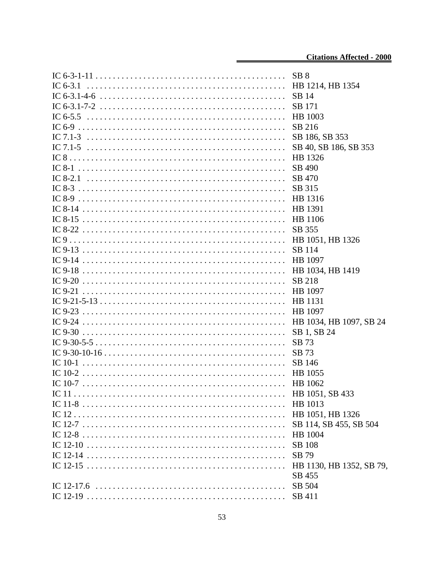|            | SB 8                     |
|------------|--------------------------|
| IC $6-3.1$ | HB 1214, HB 1354         |
|            | SB 14                    |
|            | SB 171                   |
|            | HB 1003                  |
|            | SB 216                   |
|            | SB 186, SB 353           |
|            | SB 40, SB 186, SB 353    |
|            | HB 1326                  |
|            | SB 490                   |
|            | SB 470                   |
|            | SB 315                   |
|            | HB 1316                  |
|            | HB 1391                  |
|            | HB 1106                  |
|            | SB 355                   |
|            | HB 1051, HB 1326         |
|            | SB 114                   |
|            | HB 1097                  |
|            | HB 1034, HB 1419         |
|            | SB 218                   |
|            | HB 1097                  |
|            | HB 1131                  |
|            | HB 1097                  |
|            | HB 1034, HB 1097, SB 24  |
|            | SB 1, SB 24              |
|            | SB 73                    |
|            | SB 73                    |
|            | SB 146                   |
|            | HB 1055                  |
|            | HB 1062                  |
|            |                          |
|            | HB 1051, SB 433          |
|            | HB 1013                  |
|            | HB 1051, HB 1326         |
|            | SB 114, SB 455, SB 504   |
|            | HB 1004                  |
|            | <b>SB</b> 108            |
|            | SB 79                    |
|            | HB 1130, HB 1352, SB 79, |
|            | SB 455                   |
|            | SB 504                   |
|            | SB 411                   |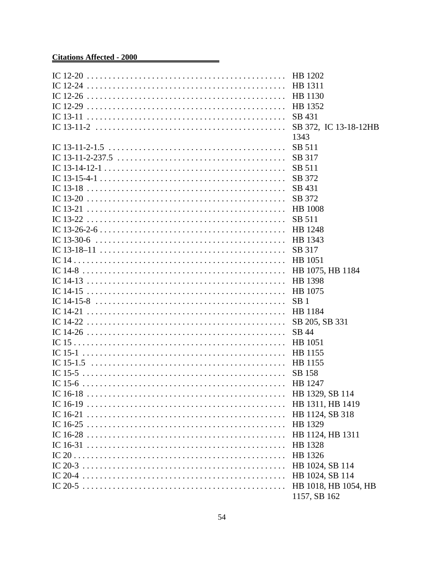# **Citations Affected - 2000**

| SB 431               |
|----------------------|
|                      |
| 1343                 |
| SB 511               |
|                      |
| SB 317               |
| SB 511               |
| SB 372               |
| SB 431               |
| SB 372               |
| <b>HB</b> 1008       |
| SB 511               |
|                      |
|                      |
| SB 317               |
| HB 1051              |
| HB 1075, HB 1184     |
| HB 1398              |
|                      |
| SB <sub>1</sub>      |
| HB 1184              |
| SB 205, SB 331       |
| SB 44                |
| HB 1051              |
|                      |
|                      |
| SB 158               |
|                      |
| HB 1329, SB 114      |
| HB 1311, HB 1419     |
| HB 1124, SB 318      |
| HB 1329              |
|                      |
| HB 1124, HB 1311     |
| HB 1328              |
| HB 1326              |
| HB 1024, SB 114      |
| HB 1024, SB 114      |
| HB 1018, HB 1054, HB |
| 1157, SB 162         |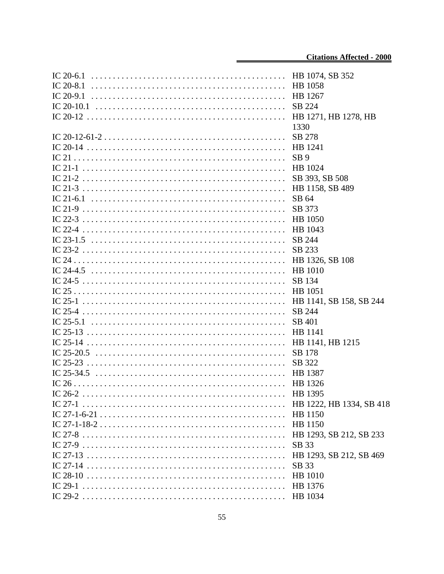|             | HB 1074, SB 352          |
|-------------|--------------------------|
| IC 20-8.1   | HB 1058                  |
| IC $20-9.1$ | HB 1267                  |
|             | SB 224                   |
|             | HB 1271, HB 1278, HB     |
|             | 1330                     |
|             | SB 278                   |
|             | HB 1241                  |
|             | SB <sub>9</sub>          |
|             | HB 1024                  |
|             | SB 393, SB 508           |
|             | HB 1158, SB 489          |
|             | SB 64                    |
|             | SB 373                   |
|             | <b>HB</b> 1050           |
|             | HB 1043                  |
|             | SB 244                   |
|             | SB 233                   |
|             | HB 1326, SB 108          |
|             | <b>HB</b> 1010           |
|             | SB 134                   |
|             | HB 1051                  |
|             | HB 1141, SB 158, SB 244  |
|             | SB 244                   |
| IC $25-5.1$ | SB 401                   |
|             | HB 1141                  |
|             | HB 1141, HB 1215         |
|             | SB 178                   |
|             | SB 322                   |
|             | HB 1387                  |
|             | HB 1326                  |
|             | HB 1395                  |
|             | HB 1222, HB 1334, SB 418 |
|             | HB 1150                  |
|             | HB 1150                  |
|             | HB 1293, SB 212, SB 233  |
|             | SB 33                    |
|             | HB 1293, SB 212, SB 469  |
|             | SB 33                    |
|             | <b>HB</b> 1010           |
|             | HB 1376                  |
|             | HB 1034                  |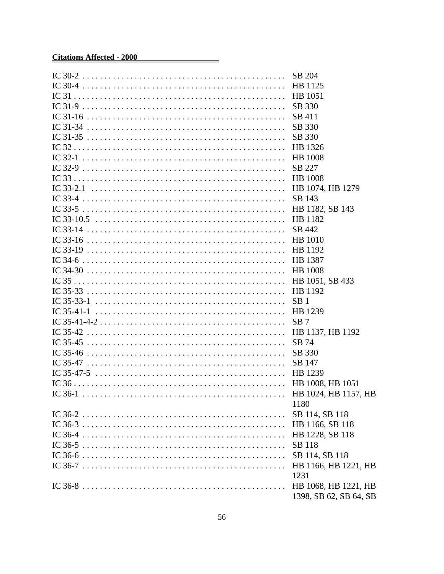# **Citations Affected - 2000**

|              | HB 1125                |
|--------------|------------------------|
|              | HB 1051                |
|              | SB 330                 |
|              | SB 411                 |
|              | SB 330                 |
|              | SB 330                 |
|              | HB 1326                |
|              | <b>HB</b> 1008         |
|              | SB 227                 |
|              | <b>HB</b> 1008         |
|              | HB 1074, HB 1279       |
|              | SB 143                 |
|              | HB 1182, SB 143        |
|              | HB 1182                |
|              | SB 442                 |
|              | HB 1010                |
|              | HB 1192                |
|              | HB 1387                |
|              | <b>HB</b> 1008         |
|              | HB 1051, SB 433        |
|              | HB 1192                |
|              | SB <sub>1</sub>        |
| IC $35-41-1$ | HB 1239                |
|              | SB <sub>7</sub>        |
|              | HB 1137, HB 1192       |
|              | SB 74                  |
|              | SB 330                 |
|              | SB 147                 |
|              | HB 1239                |
|              |                        |
|              |                        |
|              | 1180                   |
|              | SB 114, SB 118         |
|              | HB 1166, SB 118        |
|              | HB 1228, SB 118        |
|              | SB 118                 |
|              | SB 114, SB 118         |
|              | HB 1166, HB 1221, HB   |
|              | 1231                   |
|              | HB 1068, HB 1221, HB   |
|              | 1398, SB 62, SB 64, SB |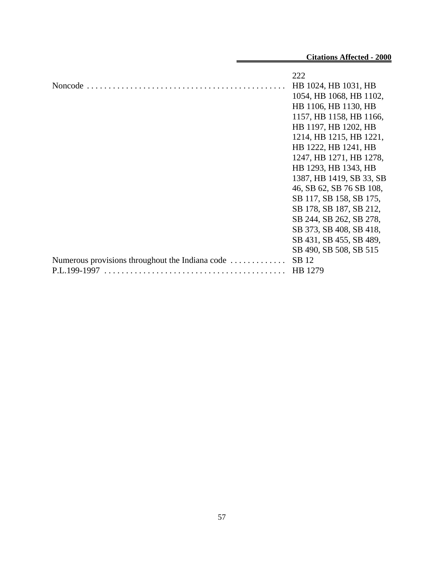|                                                 | 222                      |
|-------------------------------------------------|--------------------------|
|                                                 | HB 1024, HB 1031, HB     |
|                                                 | 1054, HB 1068, HB 1102,  |
|                                                 | HB 1106, HB 1130, HB     |
|                                                 | 1157, HB 1158, HB 1166,  |
|                                                 | HB 1197, HB 1202, HB     |
|                                                 | 1214, HB 1215, HB 1221,  |
|                                                 | HB 1222, HB 1241, HB     |
|                                                 | 1247, HB 1271, HB 1278,  |
|                                                 | HB 1293, HB 1343, HB     |
|                                                 | 1387, HB 1419, SB 33, SB |
|                                                 | 46, SB 62, SB 76 SB 108, |
|                                                 | SB 117, SB 158, SB 175,  |
|                                                 | SB 178, SB 187, SB 212,  |
|                                                 | SB 244, SB 262, SB 278,  |
|                                                 | SB 373, SB 408, SB 418,  |
|                                                 | SB 431, SB 455, SB 489,  |
|                                                 | SB 490, SB 508, SB 515   |
| Numerous provisions throughout the Indiana code | SB 12                    |
| P.L.199-1997                                    | HB 1279                  |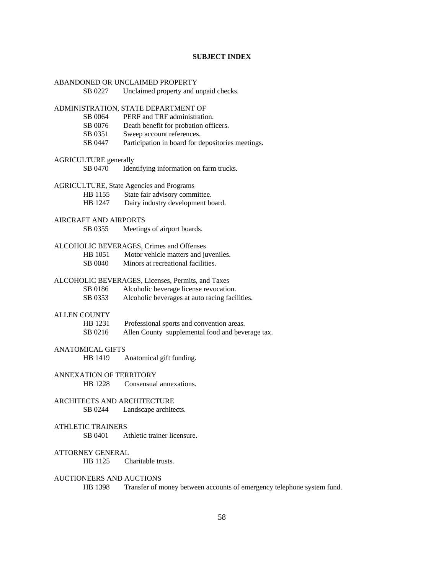## **SUBJECT INDEX**

| ABANDONED OR UNCLAIMED PROPERTY                 |                                                                        |
|-------------------------------------------------|------------------------------------------------------------------------|
| SB 0227                                         | Unclaimed property and unpaid checks.                                  |
|                                                 | ADMINISTRATION, STATE DEPARTMENT OF                                    |
| SB 0064                                         | PERF and TRF administration.                                           |
| SB 0076                                         | Death benefit for probation officers.                                  |
| SB 0351                                         | Sweep account references.                                              |
| SB 0447                                         | Participation in board for depositories meetings.                      |
| <b>AGRICULTURE</b> generally                    |                                                                        |
| SB 0470                                         | Identifying information on farm trucks.                                |
| <b>AGRICULTURE, State Agencies and Programs</b> |                                                                        |
| HB 1155                                         | State fair advisory committee.                                         |
| HB 1247                                         | Dairy industry development board.                                      |
| <b>AIRCRAFT AND AIRPORTS</b>                    |                                                                        |
| SB 0355                                         | Meetings of airport boards.                                            |
|                                                 | ALCOHOLIC BEVERAGES, Crimes and Offenses                               |
| HB 1051                                         | Motor vehicle matters and juveniles.                                   |
| SB 0040                                         | Minors at recreational facilities.                                     |
|                                                 | ALCOHOLIC BEVERAGES, Licenses, Permits, and Taxes                      |
| SB 0186                                         | Alcoholic beverage license revocation.                                 |
| SB 0353                                         | Alcoholic beverages at auto racing facilities.                         |
| <b>ALLEN COUNTY</b>                             |                                                                        |
| HB 1231                                         | Professional sports and convention areas.                              |
| SB 0216                                         | Allen County supplemental food and beverage tax.                       |
| <b>ANATOMICAL GIFTS</b>                         |                                                                        |
| HB 1419                                         | Anatomical gift funding.                                               |
| ANNEXATION OF TERRITORY                         |                                                                        |
| HB 1228                                         | Consensual annexations.                                                |
| ARCHITECTS AND ARCHITECTURE                     |                                                                        |
| SB 0244                                         | Landscape architects.                                                  |
| <b>ATHLETIC TRAINERS</b>                        |                                                                        |
| SB 0401                                         | Athletic trainer licensure.                                            |
| <b>ATTORNEY GENERAL</b>                         |                                                                        |
| HB 1125                                         | Charitable trusts.                                                     |
| <b>AUCTIONEERS AND AUCTIONS</b>                 |                                                                        |
| HB 1398                                         | Transfer of money between accounts of emergency telephone system fund. |
|                                                 |                                                                        |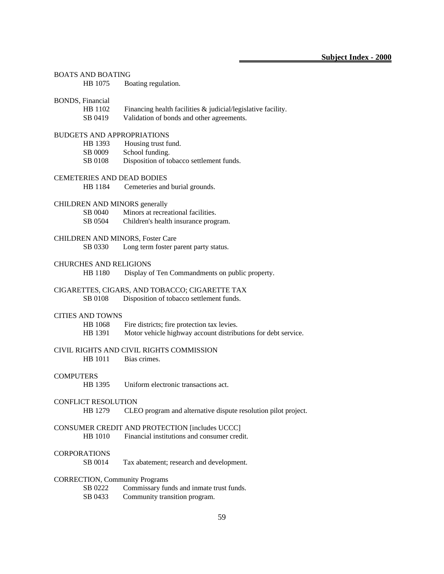| <b>BOATS AND BOATING</b>              |                                                                 |
|---------------------------------------|-----------------------------------------------------------------|
| HB 1075                               | Boating regulation.                                             |
| BONDS, Financial                      |                                                                 |
| HB 1102                               | Financing health facilities $\&$ judicial/legislative facility. |
| SB 0419                               | Validation of bonds and other agreements.                       |
| <b>BUDGETS AND APPROPRIATIONS</b>     |                                                                 |
| HB 1393                               | Housing trust fund.                                             |
| SB 0009                               | School funding.                                                 |
| SB 0108                               | Disposition of tobacco settlement funds.                        |
| <b>CEMETERIES AND DEAD BODIES</b>     |                                                                 |
| HB 1184                               | Cemeteries and burial grounds.                                  |
| <b>CHILDREN AND MINORS generally</b>  |                                                                 |
| SB 0040                               | Minors at recreational facilities.                              |
| SB 0504                               | Children's health insurance program.                            |
|                                       | <b>CHILDREN AND MINORS, Foster Care</b>                         |
| SB 0330                               | Long term foster parent party status.                           |
| <b>CHURCHES AND RELIGIONS</b>         |                                                                 |
| HB 1180                               | Display of Ten Commandments on public property.                 |
|                                       | CIGARETTES, CIGARS, AND TOBACCO; CIGARETTE TAX                  |
| SB 0108                               | Disposition of tobacco settlement funds.                        |
| <b>CITIES AND TOWNS</b>               |                                                                 |
| HB 1068                               | Fire districts; fire protection tax levies.                     |
| HB 1391                               | Motor vehicle highway account distributions for debt service.   |
|                                       | CIVIL RIGHTS AND CIVIL RIGHTS COMMISSION                        |
| HB 1011                               | Bias crimes.                                                    |
| <b>COMPUTERS</b>                      |                                                                 |
| HB 1395                               | Uniform electronic transactions act.                            |
| <b>CONFLICT RESOLUTION</b>            |                                                                 |
| HB 1279                               | CLEO program and alternative dispute resolution pilot project.  |
|                                       | CONSUMER CREDIT AND PROTECTION [includes UCCC]                  |
| HB 1010                               | Financial institutions and consumer credit.                     |
| <b>CORPORATIONS</b>                   |                                                                 |
| SB 0014                               | Tax abatement; research and development.                        |
| <b>CORRECTION, Community Programs</b> |                                                                 |
| SB 0222                               | Commissary funds and inmate trust funds.                        |
| SB 0433                               | Community transition program.                                   |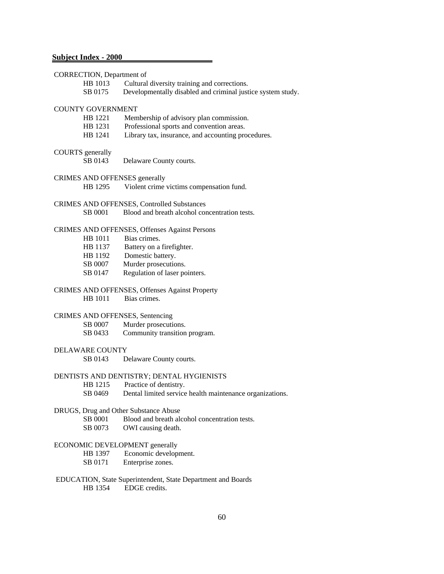# **Subject Index - 2000**

| CORRECTION, Department of          |                                                                  |
|------------------------------------|------------------------------------------------------------------|
| HB 1013                            | Cultural diversity training and corrections.                     |
| SB 0175                            | Developmentally disabled and criminal justice system study.      |
|                                    |                                                                  |
| <b>COUNTY GOVERNMENT</b>           |                                                                  |
| HB 1221                            | Membership of advisory plan commission.                          |
| HB 1231                            | Professional sports and convention areas.                        |
| HB 1241                            | Library tax, insurance, and accounting procedures.               |
|                                    |                                                                  |
| <b>COURTS</b> generally<br>SB 0143 | Delaware County courts.                                          |
|                                    |                                                                  |
|                                    | CRIMES AND OFFENSES generally                                    |
| HB 1295                            | Violent crime victims compensation fund.                         |
|                                    |                                                                  |
|                                    | CRIMES AND OFFENSES, Controlled Substances                       |
| SB 0001                            | Blood and breath alcohol concentration tests.                    |
|                                    |                                                                  |
|                                    | CRIMES AND OFFENSES, Offenses Against Persons<br>Bias crimes.    |
| HB 1011<br>HB 1137                 |                                                                  |
| HB 1192                            | Battery on a firefighter.<br>Domestic battery.                   |
| SB 0007                            | Murder prosecutions.                                             |
| SB 0147                            | Regulation of laser pointers.                                    |
|                                    |                                                                  |
|                                    | CRIMES AND OFFENSES, Offenses Against Property                   |
| HB 1011                            | Bias crimes.                                                     |
|                                    |                                                                  |
|                                    | CRIMES AND OFFENSES, Sentencing                                  |
| SB 0007                            | Murder prosecutions.                                             |
| SB 0433                            | Community transition program.                                    |
|                                    |                                                                  |
| DELAWARE COUNTY<br>SB 0143         | Delaware County courts.                                          |
|                                    |                                                                  |
|                                    | DENTISTS AND DENTISTRY; DENTAL HYGIENISTS                        |
|                                    | HB 1215 Practice of dentistry.                                   |
|                                    | SB 0469 Dental limited service health maintenance organizations. |
|                                    |                                                                  |
|                                    | DRUGS, Drug and Other Substance Abuse                            |
| SB 0001                            | Blood and breath alcohol concentration tests.                    |
| SB 0073                            | OWI causing death.                                               |
|                                    |                                                                  |
|                                    | ECONOMIC DEVELOPMENT generally                                   |
| HB 1397                            | Economic development.                                            |
| SB 0171                            | Enterprise zones.                                                |
|                                    | EDUCATION, State Superintendent, State Department and Boards     |
| HB 1354                            | EDGE credits.                                                    |
|                                    |                                                                  |
|                                    |                                                                  |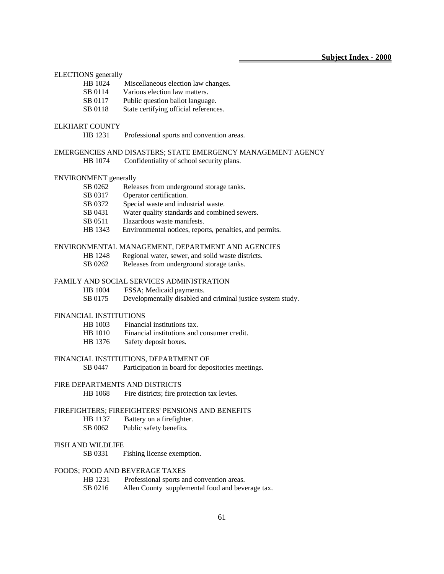| <b>ELECTIONS</b> generally    |                                                              |
|-------------------------------|--------------------------------------------------------------|
| HB 1024                       | Miscellaneous election law changes.                          |
| SB 0114                       | Various election law matters.                                |
| SB 0117                       | Public question ballot language.                             |
| SB 0118                       | State certifying official references.                        |
| <b>ELKHART COUNTY</b>         |                                                              |
| HB 1231                       | Professional sports and convention areas.                    |
|                               | EMERGENCIES AND DISASTERS; STATE EMERGENCY MANAGEMENT AGENCY |
| HB 1074                       | Confidentiality of school security plans.                    |
| <b>ENVIRONMENT</b> generally  |                                                              |
| SB 0262                       | Releases from underground storage tanks.                     |
| SB 0317                       | Operator certification.                                      |
| SB 0372                       | Special waste and industrial waste.                          |
| SB 0431                       | Water quality standards and combined sewers.                 |
| SB 0511                       | Hazardous waste manifests.                                   |
| HB 1343                       | Environmental notices, reports, penalties, and permits.      |
|                               | ENVIRONMENTAL MANAGEMENT, DEPARTMENT AND AGENCIES            |
| HB 1248                       | Regional water, sewer, and solid waste districts.            |
| SB 0262                       | Releases from underground storage tanks.                     |
|                               | <b>FAMILY AND SOCIAL SERVICES ADMINISTRATION</b>             |
| HB 1004                       | FSSA; Medicaid payments.                                     |
| SB 0175                       | Developmentally disabled and criminal justice system study.  |
| <b>FINANCIAL INSTITUTIONS</b> |                                                              |

- HB 1003 Financial institutions tax.
- HB 1010 Financial institutions and consumer credit.
- HB 1376 Safety deposit boxes.

## FINANCIAL INSTITUTIONS, DEPARTMENT OF

SB 0447 Participation in board for depositories meetings.

## FIRE DEPARTMENTS AND DISTRICTS

HB 1068 Fire districts; fire protection tax levies.

## FIREFIGHTERS; FIREFIGHTERS' PENSIONS AND BENEFITS

- HB 1137 Battery on a firefighter.
- SB 0062 Public safety benefits.

### FISH AND WILDLIFE

SB 0331 Fishing license exemption.

## FOODS; FOOD AND BEVERAGE TAXES

- HB 1231 Professional sports and convention areas.
- SB 0216 Allen County supplemental food and beverage tax.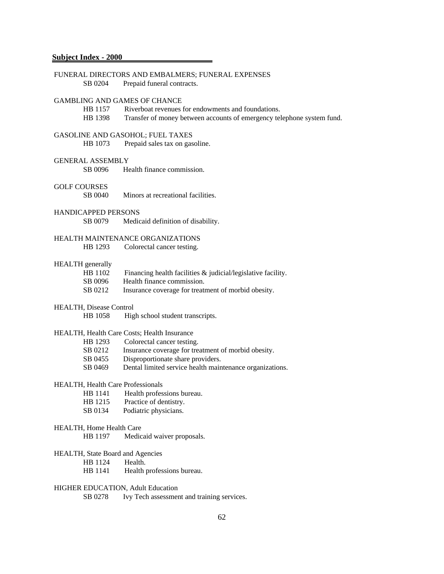| SB 0204                                  | FUNERAL DIRECTORS AND EMBALMERS; FUNERAL EXPENSES<br>Prepaid funeral contracts. |
|------------------------------------------|---------------------------------------------------------------------------------|
|                                          | <b>GAMBLING AND GAMES OF CHANCE</b>                                             |
| HB 1157                                  | Riverboat revenues for endowments and foundations.                              |
| HB 1398                                  | Transfer of money between accounts of emergency telephone system fund.          |
|                                          | GASOLINE AND GASOHOL; FUEL TAXES                                                |
| HB 1073                                  | Prepaid sales tax on gasoline.                                                  |
| <b>GENERAL ASSEMBLY</b>                  |                                                                                 |
| SB 0096                                  | Health finance commission.                                                      |
|                                          |                                                                                 |
| <b>GOLF COURSES</b>                      |                                                                                 |
| SB 0040                                  | Minors at recreational facilities.                                              |
| <b>HANDICAPPED PERSONS</b>               |                                                                                 |
| SB 0079                                  | Medicaid definition of disability.                                              |
|                                          | HEALTH MAINTENANCE ORGANIZATIONS                                                |
| HB 1293                                  | Colorectal cancer testing.                                                      |
|                                          |                                                                                 |
| <b>HEALTH</b> generally                  |                                                                                 |
| HB 1102                                  | Financing health facilities $\&$ judicial/legislative facility.                 |
| SB 0096                                  | Health finance commission.                                                      |
| SB 0212                                  | Insurance coverage for treatment of morbid obesity.                             |
| HEALTH, Disease Control                  |                                                                                 |
| HB 1058                                  | High school student transcripts.                                                |
|                                          |                                                                                 |
|                                          | HEALTH, Health Care Costs; Health Insurance                                     |
| HB 1293                                  | Colorectal cancer testing.                                                      |
| SB 0212                                  | Insurance coverage for treatment of morbid obesity.                             |
| SB 0455                                  | Disproportionate share providers.                                               |
| SB 0469                                  | Dental limited service health maintenance organizations.                        |
| <b>HEALTH, Health Care Professionals</b> |                                                                                 |
|                                          | HB 1141 Health professions bureau.                                              |
| HB 1215                                  | Practice of dentistry.                                                          |
| SB 0134                                  | Podiatric physicians.                                                           |
| HEALTH, Home Health Care                 |                                                                                 |
| HB 1197                                  | Medicaid waiver proposals.                                                      |
|                                          |                                                                                 |
| <b>HEALTH, State Board and Agencies</b>  |                                                                                 |
| HB 1124                                  | Health.                                                                         |
| HB 1141                                  | Health professions bureau.                                                      |
| HIGHER EDUCATION, Adult Education        |                                                                                 |
| SB 0278                                  | Ivy Tech assessment and training services.                                      |
|                                          |                                                                                 |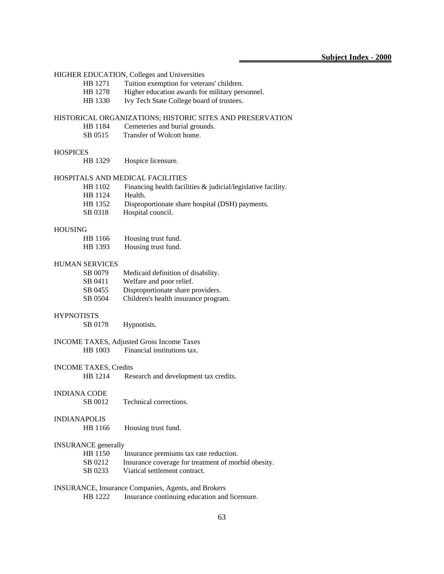|                                                     |                              | HIGHER EDUCATION, Colleges and Universities                  |  |
|-----------------------------------------------------|------------------------------|--------------------------------------------------------------|--|
|                                                     | HB 1271                      | Tuition exemption for veterans' children.                    |  |
|                                                     | HB 1278                      | Higher education awards for military personnel.              |  |
|                                                     | HB 1330                      | Ivy Tech State College board of trustees.                    |  |
|                                                     |                              | HISTORICAL ORGANIZATIONS; HISTORIC SITES AND PRESERVATION    |  |
|                                                     | HB 1184                      | Cemeteries and burial grounds.                               |  |
|                                                     | SB 0515                      | Transfer of Wolcott home.                                    |  |
| <b>HOSPICES</b>                                     |                              |                                                              |  |
|                                                     | HB 1329                      | Hospice licensure.                                           |  |
|                                                     |                              |                                                              |  |
|                                                     |                              | HOSPITALS AND MEDICAL FACILITIES                             |  |
|                                                     | HB 1102                      | Financing health facilities & judicial/legislative facility. |  |
|                                                     | HB 1124                      | Health.                                                      |  |
|                                                     | HB 1352                      | Disproportionate share hospital (DSH) payments.              |  |
|                                                     | SB 0318                      | Hospital council.                                            |  |
| <b>HOUSING</b>                                      |                              |                                                              |  |
|                                                     | HB 1166                      | Housing trust fund.                                          |  |
|                                                     | HB 1393                      | Housing trust fund.                                          |  |
|                                                     |                              |                                                              |  |
|                                                     | <b>HUMAN SERVICES</b>        |                                                              |  |
|                                                     | SB 0079                      | Medicaid definition of disability.                           |  |
|                                                     | SB 0411                      | Welfare and poor relief.                                     |  |
|                                                     | SB 0455                      | Disproportionate share providers.                            |  |
|                                                     | SB 0504                      | Children's health insurance program.                         |  |
| <b>HYPNOTISTS</b>                                   |                              |                                                              |  |
|                                                     | SB 0178                      | Hypnotists.                                                  |  |
|                                                     |                              |                                                              |  |
|                                                     |                              | <b>INCOME TAXES, Adjusted Gross Income Taxes</b>             |  |
|                                                     | HB 1003                      | Financial institutions tax.                                  |  |
|                                                     | <b>INCOME TAXES, Credits</b> |                                                              |  |
|                                                     | HB 1214                      | Research and development tax credits.                        |  |
|                                                     |                              |                                                              |  |
| <b>INDIANA CODE</b>                                 |                              |                                                              |  |
|                                                     | SB 0012                      | Technical corrections.                                       |  |
| <b>INDIANAPOLIS</b>                                 |                              |                                                              |  |
|                                                     | HB 1166                      | Housing trust fund.                                          |  |
|                                                     |                              |                                                              |  |
|                                                     | <b>INSURANCE</b> generally   |                                                              |  |
|                                                     | HB 1150                      | Insurance premiums tax rate reduction.                       |  |
|                                                     | SB 0212                      | Insurance coverage for treatment of morbid obesity.          |  |
|                                                     | SB 0233                      | Viatical settlement contract.                                |  |
| INSURANCE, Insurance Companies, Agents, and Brokers |                              |                                                              |  |
|                                                     | HB 1222                      | Insurance continuing education and licensure.                |  |
|                                                     |                              |                                                              |  |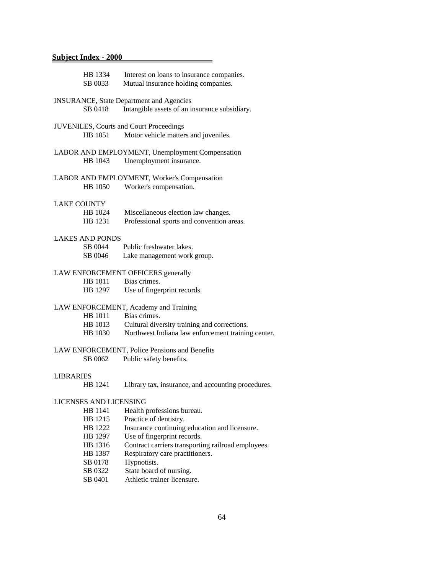|                    | HB 1334<br>SB 0033                              | Interest on loans to insurance companies.<br>Mutual insurance holding companies. |  |  |  |
|--------------------|-------------------------------------------------|----------------------------------------------------------------------------------|--|--|--|
|                    | <b>INSURANCE, State Department and Agencies</b> |                                                                                  |  |  |  |
|                    | SB 0418                                         | Intangible assets of an insurance subsidiary.                                    |  |  |  |
|                    |                                                 | <b>JUVENILES, Courts and Court Proceedings</b>                                   |  |  |  |
|                    | HB 1051                                         | Motor vehicle matters and juveniles.                                             |  |  |  |
|                    |                                                 | LABOR AND EMPLOYMENT, Unemployment Compensation                                  |  |  |  |
|                    | HB 1043                                         | Unemployment insurance.                                                          |  |  |  |
|                    |                                                 | LABOR AND EMPLOYMENT, Worker's Compensation                                      |  |  |  |
|                    | HB 1050                                         | Worker's compensation.                                                           |  |  |  |
| <b>LAKE COUNTY</b> |                                                 |                                                                                  |  |  |  |
|                    | HB 1024                                         | Miscellaneous election law changes.                                              |  |  |  |
|                    | HB 1231                                         | Professional sports and convention areas.                                        |  |  |  |
|                    | <b>LAKES AND PONDS</b>                          |                                                                                  |  |  |  |
|                    | SB 0044                                         | Public freshwater lakes.                                                         |  |  |  |
|                    | SB 0046                                         | Lake management work group.                                                      |  |  |  |
|                    |                                                 | LAW ENFORCEMENT OFFICERS generally                                               |  |  |  |
|                    | HB 1011                                         | Bias crimes.                                                                     |  |  |  |
|                    | HB 1297                                         | Use of fingerprint records.                                                      |  |  |  |
|                    |                                                 | LAW ENFORCEMENT, Academy and Training                                            |  |  |  |
|                    | HB 1011                                         | Bias crimes.                                                                     |  |  |  |
|                    | HB 1013                                         | Cultural diversity training and corrections.                                     |  |  |  |
|                    | HB 1030                                         | Northwest Indiana law enforcement training center.                               |  |  |  |
|                    |                                                 | LAW ENFORCEMENT, Police Pensions and Benefits                                    |  |  |  |
|                    | SB 0062                                         | Public safety benefits.                                                          |  |  |  |
| <b>LIBRARIES</b>   |                                                 |                                                                                  |  |  |  |
|                    | HB 1241                                         | Library tax, insurance, and accounting procedures.                               |  |  |  |
|                    | LICENSES AND LICENSING                          |                                                                                  |  |  |  |
|                    | HB 1141                                         | Health professions bureau.                                                       |  |  |  |
|                    | HB 1215                                         | Practice of dentistry.                                                           |  |  |  |
|                    | HB 1222                                         | Insurance continuing education and licensure.                                    |  |  |  |
|                    | HB 1297                                         | Use of fingerprint records.                                                      |  |  |  |
|                    | HB 1316                                         | Contract carriers transporting railroad employees.                               |  |  |  |
|                    | HB 1387                                         | Respiratory care practitioners.                                                  |  |  |  |
|                    | SB 0178                                         | Hypnotists.                                                                      |  |  |  |
|                    | SB 0322                                         | State board of nursing.                                                          |  |  |  |

SB 0401 Athletic trainer licensure.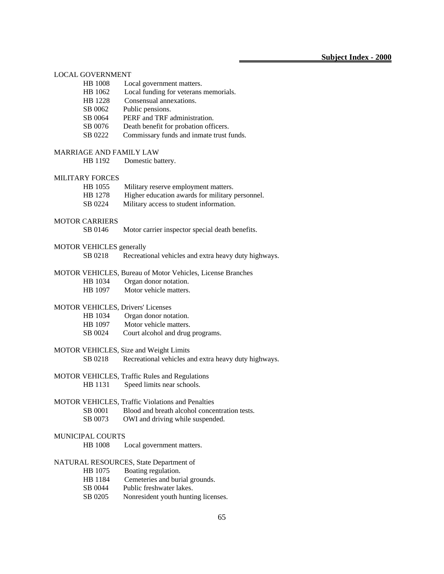| <b>LOCAL GOVERNMENT</b> |                                 |                                                            |  |
|-------------------------|---------------------------------|------------------------------------------------------------|--|
|                         | <b>HB</b> 1008                  | Local government matters.                                  |  |
|                         | HB 1062                         | Local funding for veterans memorials.                      |  |
|                         | HB 1228                         | Consensual annexations.                                    |  |
|                         | SB 0062                         | Public pensions.                                           |  |
|                         | SB 0064                         | PERF and TRF administration.                               |  |
|                         | SB 0076                         | Death benefit for probation officers.                      |  |
|                         | SB 0222                         | Commissary funds and inmate trust funds.                   |  |
|                         | <b>MARRIAGE AND FAMILY LAW</b>  |                                                            |  |
|                         | HB 1192                         | Domestic battery.                                          |  |
|                         |                                 |                                                            |  |
|                         | <b>MILITARY FORCES</b>          |                                                            |  |
|                         | HB 1055                         | Military reserve employment matters.                       |  |
|                         | HB 1278                         | Higher education awards for military personnel.            |  |
|                         | SB 0224                         | Military access to student information.                    |  |
|                         | <b>MOTOR CARRIERS</b>           |                                                            |  |
|                         | SB 0146                         | Motor carrier inspector special death benefits.            |  |
|                         |                                 |                                                            |  |
|                         | <b>MOTOR VEHICLES</b> generally |                                                            |  |
|                         | SB 0218                         | Recreational vehicles and extra heavy duty highways.       |  |
|                         |                                 | MOTOR VEHICLES, Bureau of Motor Vehicles, License Branches |  |
|                         | HB 1034                         | Organ donor notation.                                      |  |
|                         | HB 1097                         | Motor vehicle matters.                                     |  |
|                         |                                 |                                                            |  |
|                         |                                 | <b>MOTOR VEHICLES, Drivers' Licenses</b>                   |  |
|                         | HB 1034                         | Organ donor notation.                                      |  |
|                         | HB 1097                         | Motor vehicle matters.                                     |  |
|                         | SB 0024                         | Court alcohol and drug programs.                           |  |
|                         |                                 |                                                            |  |
|                         |                                 | MOTOR VEHICLES, Size and Weight Limits                     |  |
|                         | SB 0218                         | Recreational vehicles and extra heavy duty highways.       |  |
|                         |                                 | MOTOR VEHICLES, Traffic Rules and Regulations              |  |
|                         | HB 1131                         | Speed limits near schools.                                 |  |
|                         |                                 |                                                            |  |
|                         |                                 | <b>MOTOR VEHICLES, Traffic Violations and Penalties</b>    |  |
|                         | SB 0001                         | Blood and breath alcohol concentration tests.              |  |
|                         | SB 0073                         | OWI and driving while suspended.                           |  |
|                         |                                 |                                                            |  |
|                         | <b>MUNICIPAL COURTS</b>         |                                                            |  |
|                         | <b>HB</b> 1008                  | Local government matters.                                  |  |
|                         |                                 | NATURAL RESOURCES, State Department of                     |  |
|                         | HB 1075                         | Boating regulation.                                        |  |
|                         | HB 1184                         | Cemeteries and burial grounds.                             |  |
|                         | SB 0044                         | Public freshwater lakes.                                   |  |
|                         | SB 0205                         | Nonresident youth hunting licenses.                        |  |
|                         |                                 |                                                            |  |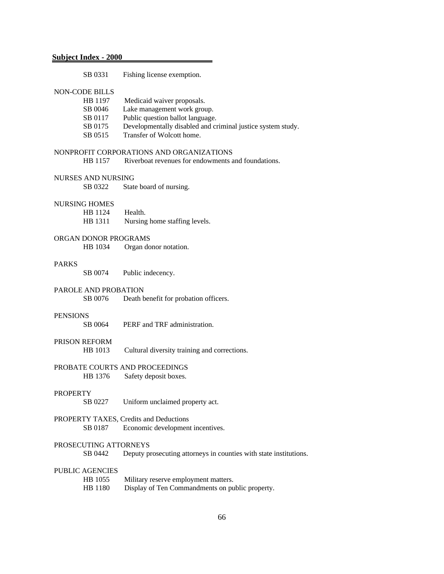| <b>Subject Index - 2000</b> |                                                                   |
|-----------------------------|-------------------------------------------------------------------|
| SB 0331                     | Fishing license exemption.                                        |
| <b>NON-CODE BILLS</b>       |                                                                   |
| HB 1197                     | Medicaid waiver proposals.                                        |
| SB 0046                     | Lake management work group.                                       |
| SB 0117                     | Public question ballot language.                                  |
| SB 0175                     | Developmentally disabled and criminal justice system study.       |
| SB 0515                     | Transfer of Wolcott home.                                         |
|                             | NONPROFIT CORPORATIONS AND ORGANIZATIONS                          |
| HB 1157                     | Riverboat revenues for endowments and foundations.                |
| <b>NURSES AND NURSING</b>   |                                                                   |
| SB 0322                     | State board of nursing.                                           |
| <b>NURSING HOMES</b>        |                                                                   |
| HB 1124                     | Health.                                                           |
| HB 1311                     | Nursing home staffing levels.                                     |
| ORGAN DONOR PROGRAMS        |                                                                   |
| HB 1034                     | Organ donor notation.                                             |
| <b>PARKS</b>                |                                                                   |
| SB 0074                     | Public indecency.                                                 |
| PAROLE AND PROBATION        |                                                                   |
| SB 0076                     | Death benefit for probation officers.                             |
| <b>PENSIONS</b>             |                                                                   |
| SB 0064                     | PERF and TRF administration.                                      |
| <b>PRISON REFORM</b>        |                                                                   |
| HB 1013                     | Cultural diversity training and corrections.                      |
|                             | PROBATE COURTS AND PROCEEDINGS                                    |
|                             | HB 1376 Safety deposit boxes.                                     |
| <b>PROPERTY</b>             |                                                                   |
| SB 0227                     | Uniform unclaimed property act.                                   |
|                             | PROPERTY TAXES, Credits and Deductions                            |
| SB 0187                     | Economic development incentives.                                  |
| PROSECUTING ATTORNEYS       |                                                                   |
| SB 0442                     | Deputy prosecuting attorneys in counties with state institutions. |
| <b>PUBLIC AGENCIES</b>      |                                                                   |
| HB 1055                     | Military reserve employment matters.                              |
| HB 1180                     | Display of Ten Commandments on public property.                   |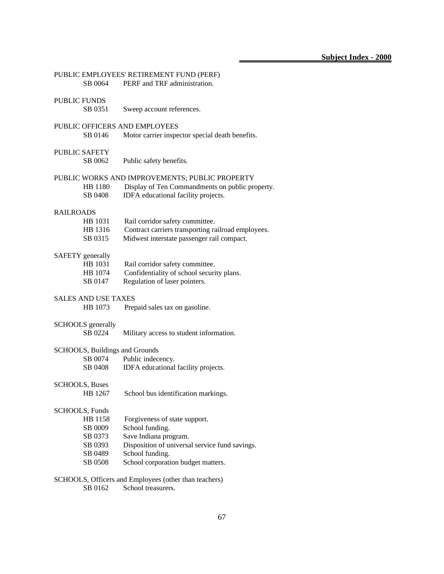|                                     | PUBLIC EMPLOYEES' RETIREMENT FUND (PERF)           |
|-------------------------------------|----------------------------------------------------|
| SB 0064                             | PERF and TRF administration.                       |
|                                     |                                                    |
| <b>PUBLIC FUNDS</b>                 |                                                    |
| SB 0351                             | Sweep account references.                          |
|                                     |                                                    |
|                                     | PUBLIC OFFICERS AND EMPLOYEES                      |
| SB 0146                             | Motor carrier inspector special death benefits.    |
|                                     |                                                    |
| PUBLIC SAFETY                       |                                                    |
| SB 0062                             | Public safety benefits.                            |
|                                     | PUBLIC WORKS AND IMPROVEMENTS; PUBLIC PROPERTY     |
| HB 1180                             | Display of Ten Commandments on public property.    |
| SB 0408                             | IDFA educational facility projects.                |
|                                     |                                                    |
| <b>RAILROADS</b>                    |                                                    |
| HB 1031                             | Rail corridor safety committee.                    |
| HB 1316                             | Contract carriers transporting railroad employees. |
| SB 0315                             | Midwest interstate passenger rail compact.         |
|                                     |                                                    |
| SAFETY generally                    |                                                    |
| HB 1031                             | Rail corridor safety committee.                    |
| HB 1074                             | Confidentiality of school security plans.          |
| SB 0147                             | Regulation of laser pointers.                      |
|                                     |                                                    |
| <b>SALES AND USE TAXES</b>          |                                                    |
| HB 1073                             | Prepaid sales tax on gasoline.                     |
|                                     |                                                    |
| <b>SCHOOLS</b> generally<br>SB 0224 |                                                    |
|                                     | Military access to student information.            |
|                                     | SCHOOLS, Buildings and Grounds                     |
| SB 0074                             | Public indecency.                                  |
| SB 0408                             | IDFA educational facility projects.                |
|                                     |                                                    |
| <b>SCHOOLS</b> , Buses              |                                                    |
| HB 1267                             | School bus identification markings.                |
|                                     |                                                    |
| SCHOOLS, Funds                      |                                                    |
| HB 1158                             | Forgiveness of state support.                      |
| SB 0009                             | School funding.                                    |
| SB 0373                             | Save Indiana program.                              |
| SB 0393                             | Disposition of universal service fund savings.     |
| SB 0489                             | School funding.                                    |
| SB 0508                             | School corporation budget matters.                 |
|                                     |                                                    |
|                                     |                                                    |

### SCHOOLS, Officers and Employees (other than teachers)

SB 0162 School treasurers.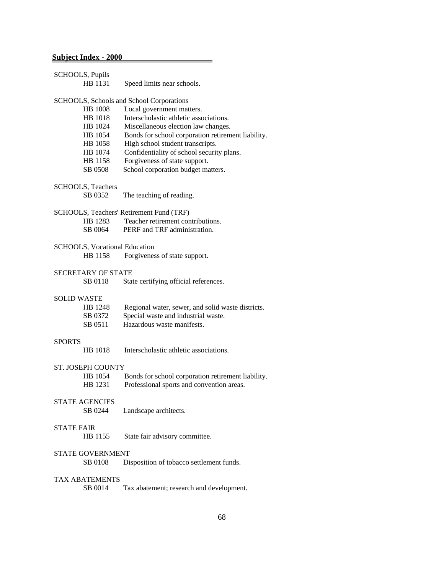|                    | SCHOOLS, Pupils                          |                                                    |  |  |  |
|--------------------|------------------------------------------|----------------------------------------------------|--|--|--|
|                    | HB 1131                                  | Speed limits near schools.                         |  |  |  |
|                    |                                          |                                                    |  |  |  |
|                    | SCHOOLS, Schools and School Corporations |                                                    |  |  |  |
|                    | <b>HB</b> 1008                           | Local government matters.                          |  |  |  |
|                    | HB 1018                                  | Interscholastic athletic associations.             |  |  |  |
|                    | HB 1024                                  | Miscellaneous election law changes.                |  |  |  |
|                    | HB 1054                                  | Bonds for school corporation retirement liability. |  |  |  |
|                    | HB 1058                                  | High school student transcripts.                   |  |  |  |
|                    | HB 1074                                  | Confidentiality of school security plans.          |  |  |  |
|                    | HB 1158                                  | Forgiveness of state support.                      |  |  |  |
|                    | SB 0508                                  | School corporation budget matters.                 |  |  |  |
|                    | SCHOOLS, Teachers                        |                                                    |  |  |  |
|                    | SB 0352                                  | The teaching of reading.                           |  |  |  |
|                    |                                          |                                                    |  |  |  |
|                    |                                          | SCHOOLS, Teachers' Retirement Fund (TRF)           |  |  |  |
|                    | HB 1283                                  | Teacher retirement contributions.                  |  |  |  |
|                    | SB 0064                                  | PERF and TRF administration.                       |  |  |  |
|                    | <b>SCHOOLS, Vocational Education</b>     |                                                    |  |  |  |
|                    | HB 1158                                  | Forgiveness of state support.                      |  |  |  |
|                    |                                          |                                                    |  |  |  |
|                    | <b>SECRETARY OF STATE</b>                |                                                    |  |  |  |
|                    | SB 0118                                  | State certifying official references.              |  |  |  |
|                    |                                          |                                                    |  |  |  |
| <b>SOLID WASTE</b> |                                          |                                                    |  |  |  |
|                    | HB 1248                                  | Regional water, sewer, and solid waste districts.  |  |  |  |
|                    | SB 0372                                  | Special waste and industrial waste.                |  |  |  |
|                    | SB 0511                                  | Hazardous waste manifests.                         |  |  |  |
| <b>SPORTS</b>      |                                          |                                                    |  |  |  |
|                    | HB 1018                                  | Interscholastic athletic associations.             |  |  |  |
|                    |                                          |                                                    |  |  |  |
|                    | <b>ST. JOSEPH COUNTY</b>                 |                                                    |  |  |  |
|                    | HB 1054                                  | Bonds for school corporation retirement liability. |  |  |  |
|                    | HB 1231                                  | Professional sports and convention areas.          |  |  |  |
|                    |                                          |                                                    |  |  |  |
|                    | <b>STATE AGENCIES</b>                    |                                                    |  |  |  |
|                    | SB 0244                                  | Landscape architects.                              |  |  |  |
| <b>STATE FAIR</b>  |                                          |                                                    |  |  |  |
|                    | HB 1155                                  | State fair advisory committee.                     |  |  |  |
|                    |                                          |                                                    |  |  |  |
|                    | <b>STATE GOVERNMENT</b>                  |                                                    |  |  |  |
|                    | SB 0108                                  | Disposition of tobacco settlement funds.           |  |  |  |
|                    |                                          |                                                    |  |  |  |
|                    | <b>TAX ABATEMENTS</b>                    |                                                    |  |  |  |
|                    | SB 0014                                  | Tax abatement; research and development.           |  |  |  |
|                    |                                          |                                                    |  |  |  |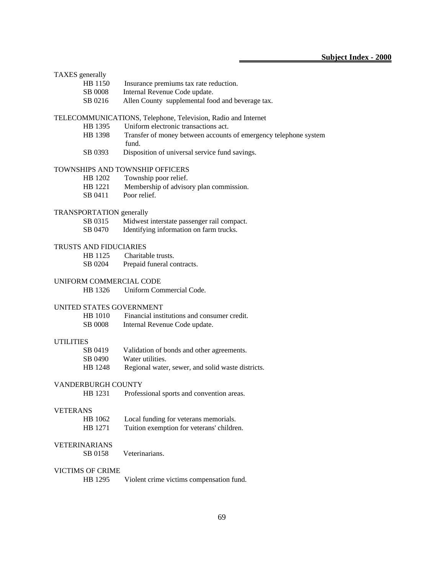#### TAXES generally

| HB 1150        | Insurance premiums tax rate reduction. |
|----------------|----------------------------------------|
| <b>SB 0008</b> | Internal Revenue Code update.          |

- 
- SB 0216 Allen County supplemental food and beverage tax.

#### TELECOMMUNICATIONS, Telephone, Television, Radio and Internet

- HB 1395 Uniform electronic transactions act.
- HB 1398 Transfer of money between accounts of emergency telephone system fund.
- SB 0393 Disposition of universal service fund savings.

#### TOWNSHIPS AND TOWNSHIP OFFICERS

- HB 1202 Township poor relief.
- HB 1221 Membership of advisory plan commission.
- SB 0411 Poor relief.

# TRANSPORTATION generally<br>SB 0315 Midwest

- Midwest interstate passenger rail compact.
- SB 0470 Identifying information on farm trucks.

#### TRUSTS AND FIDUCIARIES

HB 1125 Charitable trusts. SB 0204 Prepaid funeral contracts.

#### UNIFORM COMMERCIAL CODE

HB 1326 Uniform Commercial Code.

#### UNITED STATES GOVERNMENT

 HB 1010 Financial institutions and consumer credit. SB 0008 Internal Revenue Code update.

#### UTILITIES

| SB 0419 | Validation of bonds and other agreements.         |
|---------|---------------------------------------------------|
| SB 0490 | Water utilities.                                  |
| HB 1248 | Regional water, sewer, and solid waste districts. |

#### VANDERBURGH COUNTY

HB 1231 Professional sports and convention areas.

#### VETERANS

| HB 1062 | Local funding for veterans memorials.     |
|---------|-------------------------------------------|
| HB 1271 | Tuition exemption for veterans' children. |

#### VETERINARIANS

SB 0158 Veterinarians.

#### VICTIMS OF CRIME

HB 1295 Violent crime victims compensation fund.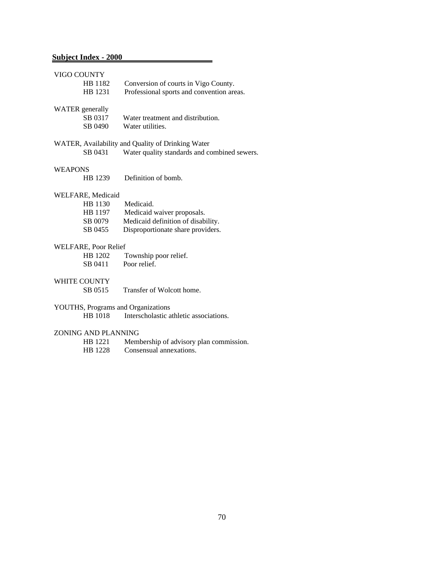| VIGO COUNTY    |                        |                                                   |  |  |
|----------------|------------------------|---------------------------------------------------|--|--|
| HB 1182        |                        | Conversion of courts in Vigo County.              |  |  |
|                | HB 1231                | Professional sports and convention areas.         |  |  |
|                |                        |                                                   |  |  |
|                | <b>WATER</b> generally |                                                   |  |  |
|                | SB 0317                | Water treatment and distribution.                 |  |  |
|                | SB 0490                | Water utilities.                                  |  |  |
|                |                        | WATER, Availability and Quality of Drinking Water |  |  |
|                | SB 0431                | Water quality standards and combined sewers.      |  |  |
|                |                        |                                                   |  |  |
| <b>WEAPONS</b> |                        |                                                   |  |  |
|                | HB 1239                | Definition of bomb.                               |  |  |
|                |                        |                                                   |  |  |
|                | WELFARE, Medicaid      |                                                   |  |  |
|                | HB 1130                | Medicaid.                                         |  |  |
|                | HB 1197                | Medicaid waiver proposals.                        |  |  |
|                | SB 0079                | Medicaid definition of disability.                |  |  |
|                | SB 0455                | Disproportionate share providers.                 |  |  |
|                | WELFARE, Poor Relief   |                                                   |  |  |
|                | HB 1202                | Township poor relief.                             |  |  |
|                | SB 0411                | Poor relief.                                      |  |  |
|                |                        |                                                   |  |  |
|                | WHITE COUNTY           |                                                   |  |  |
|                | SB 0515                | Transfer of Wolcott home.                         |  |  |
|                |                        |                                                   |  |  |
|                |                        | YOUTHS, Programs and Organizations                |  |  |
|                | HB 1018                | Interscholastic athletic associations.            |  |  |
|                | ZONING AND PLANNING    |                                                   |  |  |
|                | HB 1221                | Membership of advisory plan commission.           |  |  |
|                | HB 1228                | Consensual annexations.                           |  |  |
|                |                        |                                                   |  |  |
|                |                        |                                                   |  |  |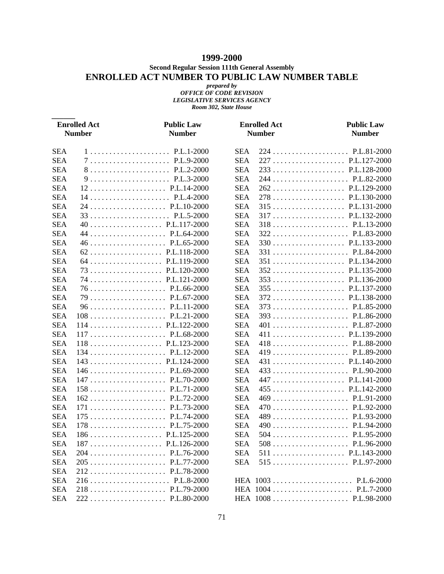### **1999-2000**

**Second Regular Session 111th General Assembly**

### **ENROLLED ACT NUMBER TO PUBLIC LAW NUMBER TABLE**

*prepared by OFFICE OF CODE REVISION LEGISLATIVE SERVICES AGENCY Room 302, State House*

*\_\_\_\_\_\_*

| <b>Enrolled Act</b><br><b>Number</b> |     | <b>Public Law</b><br><b>Number</b>                         |            | <b>Enrolled Act</b><br><b>Number</b> | <b>Public Law</b><br><b>Number</b> |
|--------------------------------------|-----|------------------------------------------------------------|------------|--------------------------------------|------------------------------------|
|                                      |     |                                                            |            |                                      |                                    |
| <b>SEA</b>                           |     | $1 \ldots \ldots \ldots \ldots \ldots \ldots$ . P.L.1-2000 | <b>SEA</b> |                                      |                                    |
| <b>SEA</b>                           |     | $7P.L.9-2000$                                              | <b>SEA</b> |                                      |                                    |
| <b>SEA</b>                           |     | 8P.L.2-2000                                                | <b>SEA</b> |                                      |                                    |
| <b>SEA</b>                           |     |                                                            | <b>SEA</b> |                                      |                                    |
| <b>SEA</b>                           |     |                                                            | <b>SEA</b> |                                      |                                    |
| <b>SEA</b>                           |     |                                                            | <b>SEA</b> |                                      |                                    |
| <b>SEA</b>                           |     |                                                            | <b>SEA</b> |                                      |                                    |
| <b>SEA</b>                           |     |                                                            | <b>SEA</b> |                                      |                                    |
| <b>SEA</b>                           |     |                                                            | <b>SEA</b> |                                      |                                    |
| <b>SEA</b>                           |     |                                                            | <b>SEA</b> |                                      |                                    |
| <b>SEA</b>                           |     |                                                            | <b>SEA</b> |                                      |                                    |
| <b>SEA</b>                           |     |                                                            | <b>SEA</b> |                                      |                                    |
| <b>SEA</b>                           |     |                                                            | <b>SEA</b> |                                      |                                    |
| <b>SEA</b>                           |     |                                                            | <b>SEA</b> |                                      |                                    |
| <b>SEA</b>                           |     |                                                            | <b>SEA</b> |                                      |                                    |
| <b>SEA</b>                           |     |                                                            | <b>SEA</b> |                                      |                                    |
| <b>SEA</b>                           |     |                                                            | <b>SEA</b> |                                      |                                    |
| <b>SEA</b>                           |     |                                                            | <b>SEA</b> |                                      |                                    |
| <b>SEA</b>                           |     |                                                            | <b>SEA</b> |                                      |                                    |
| <b>SEA</b>                           |     |                                                            | <b>SEA</b> |                                      |                                    |
| <b>SEA</b>                           |     |                                                            | <b>SEA</b> |                                      |                                    |
| <b>SEA</b>                           |     |                                                            | <b>SEA</b> |                                      |                                    |
| <b>SEA</b>                           |     |                                                            | <b>SEA</b> |                                      |                                    |
| <b>SEA</b>                           |     |                                                            | <b>SEA</b> |                                      | 431  P.L.140-2000                  |
| <b>SEA</b>                           |     |                                                            | <b>SEA</b> |                                      |                                    |
| <b>SEA</b>                           |     |                                                            | <b>SEA</b> |                                      |                                    |
| <b>SEA</b>                           |     |                                                            | <b>SEA</b> |                                      |                                    |
| <b>SEA</b>                           |     |                                                            | <b>SEA</b> |                                      |                                    |
| <b>SEA</b>                           |     |                                                            | <b>SEA</b> |                                      |                                    |
| <b>SEA</b>                           |     |                                                            | <b>SEA</b> |                                      |                                    |
| <b>SEA</b>                           |     |                                                            | <b>SEA</b> |                                      |                                    |
| <b>SEA</b>                           |     |                                                            | <b>SEA</b> |                                      |                                    |
| <b>SEA</b>                           | 187 | P.L.126-2000                                               | <b>SEA</b> | 508                                  | P.L.96-2000                        |
| <b>SEA</b>                           |     |                                                            | <b>SEA</b> |                                      |                                    |
| <b>SEA</b>                           |     |                                                            | <b>SEA</b> |                                      |                                    |
| <b>SEA</b>                           |     |                                                            |            |                                      |                                    |
| <b>SEA</b>                           |     |                                                            |            |                                      |                                    |
| <b>SEA</b>                           |     |                                                            |            |                                      |                                    |
| <b>SEA</b>                           |     |                                                            |            |                                      | HEA 1008  P.L.98-2000              |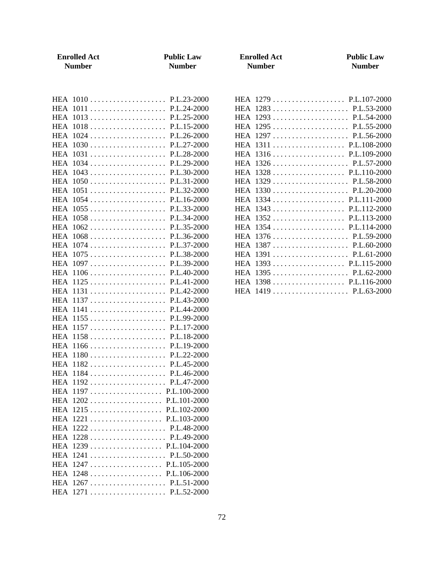| <b>Enrolled Act</b><br><b>Number</b>                                                                                                                                                                                                                                                                                                                                                                                                                                                     | <b>Public Law</b><br><b>Number</b> | <b>Enrolled Act</b><br><b>Number</b>                                                                                                                                                                                                                                                                                                     | <b>Public Law</b><br><b>Number</b> |
|------------------------------------------------------------------------------------------------------------------------------------------------------------------------------------------------------------------------------------------------------------------------------------------------------------------------------------------------------------------------------------------------------------------------------------------------------------------------------------------|------------------------------------|------------------------------------------------------------------------------------------------------------------------------------------------------------------------------------------------------------------------------------------------------------------------------------------------------------------------------------------|------------------------------------|
| HEA 1013  P.L.25-2000<br>HEA 1031  P.L.28-2000<br>HEA 1043  P.L.30-2000<br>HEA 1055  P.L.33-2000<br>HEA 1062  P.L.35-2000<br>HEA 1068  P.L.36-2000<br>HEA 1074  P.L.37-2000<br>HEA 1075  P.L.38-2000<br>HEA 1097  P.L.39-2000<br>HEA 1106  P.L.40-2000<br>HEA 1141  P.L.44-2000<br>HEA 1155  P.L.99-2000<br>HEA 1182  P.L.45-2000<br>HEA 1184P.L.46-2000<br>HEA 1197  P.L.100-2000<br>HEA 1215  P.L.102-2000<br>HEA 1239  P.L.104-2000<br>HEA 1241  P.L.50-2000<br>HEA 1247 P.L.105-2000 |                                    | HEA 1279 P.L.107-2000<br>HEA 1295  P.L.55-2000<br>HEA 1297  P.L.56-2000<br>HEA 1311  P.L.108-2000<br>HEA 1316 P.L.109-2000<br>HEA 1334  P.L.111-2000<br>HEA 1343  P.L.112-2000<br>HEA 1352  P.L.113-2000<br>HEA 1354  P.L.114-2000<br>HEA 1376  P.L.59-2000<br>HEA 1391  P.L.61-2000<br>HEA 1393  P.L.115-2000<br>HEA 1398  P.L.116-2000 |                                    |
|                                                                                                                                                                                                                                                                                                                                                                                                                                                                                          |                                    |                                                                                                                                                                                                                                                                                                                                          |                                    |
| HEA 1271  P.L.52-2000                                                                                                                                                                                                                                                                                                                                                                                                                                                                    |                                    |                                                                                                                                                                                                                                                                                                                                          |                                    |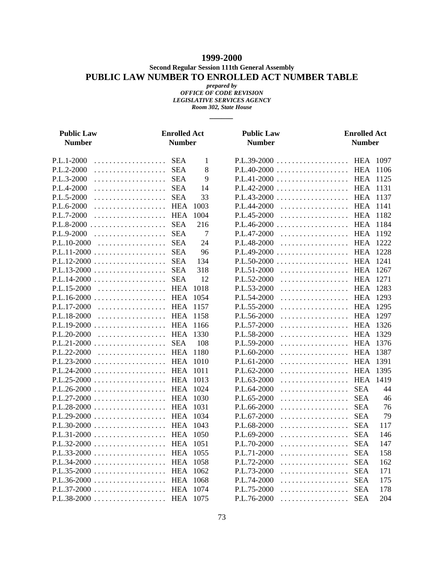### **1999-2000**

**Second Regular Session 111th General Assembly**

### **PUBLIC LAW NUMBER TO ENROLLED ACT NUMBER TABLE**

*prepared by OFFICE OF CODE REVISION LEGISLATIVE SERVICES AGENCY Room 302, State House*

*\_\_\_\_\_\_*

| <b>Public Law</b><br><b>Number</b> | <b>Enrolled Act</b><br><b>Number</b> |      | <b>Public Law</b><br><b>Number</b> | <b>Enrolled Act</b><br><b>Number</b> |        |
|------------------------------------|--------------------------------------|------|------------------------------------|--------------------------------------|--------|
| P.L.1-2000                         |                                      | 1    |                                    |                                      |        |
| P.L.2-2000                         | <b>SEA</b><br>.                      | 8    |                                    |                                      |        |
| P.L.3-2000                         |                                      | 9    |                                    |                                      | 1125   |
| P.L.4-2000                         |                                      | 14   |                                    |                                      | 1131   |
| P.L.5-2000                         |                                      | 33   |                                    |                                      | 1137   |
| P.L.6-2000                         | HEA                                  | 1003 | P.L.44-2000<br>HEA                 |                                      | 1141   |
| P.L.7-2000                         | HEA                                  | 1004 | $P.L.45-2000$                      | HEA 1182                             |        |
|                                    |                                      | 216  |                                    |                                      |        |
| P.L.9-2000                         |                                      | 7    | P.L.47-2000                        | HEA                                  | 1192   |
| P.L.10-2000                        |                                      | 24   | P.L.48-2000                        | HEA 1222                             |        |
| P.L.11-2000  SEA                   |                                      | 96   |                                    |                                      |        |
|                                    |                                      | 134  |                                    |                                      | 1241   |
|                                    |                                      | 318  | P.L.51-2000                        | . HEA                                | 1267   |
|                                    |                                      | 12   | P.L.52-2000                        | HEA                                  | 1271   |
| P.L.15-2000                        |                                      | 1018 | P.L.53-2000                        | HEA                                  | 1283   |
|                                    |                                      | 1054 | P.L.54-2000                        | HEA                                  | 1293   |
| P.L.17-2000                        |                                      | 1157 | P.L.55-2000                        | . HEA                                | 1295   |
| P.L.18-2000                        | HEA                                  | 1158 | P.L.56-2000                        | HEA                                  | 1297   |
|                                    |                                      |      | P.L.57-2000                        | HEA 1326                             |        |
| P.L.20-2000                        |                                      | 1330 | P.L.58-2000                        | . HEA                                | - 1329 |
|                                    |                                      | 108  | P.L.59-2000                        | HEA                                  | 1376   |
| P.L.22-2000                        | HEA 1180                             |      | P.L.60-2000                        | . HEA                                | 1387   |
|                                    |                                      | 1010 | P.L.61-2000                        | HEA                                  | 1391   |
|                                    |                                      | 1011 | P.L.62-2000                        | . HEA                                | 1395   |
|                                    |                                      |      | P.L.63-2000                        | HEA                                  | 1419   |
|                                    |                                      | 1024 | P.L.64-2000                        | SEA                                  | 44     |
|                                    |                                      | 1030 | P.L.65-2000                        | . SEA                                | 46     |
|                                    |                                      |      | P.L.66-2000<br>.                   | <b>SEA</b>                           | 76     |
|                                    |                                      | 1034 | P.L.67-2000                        | . SEA                                | 79     |
|                                    |                                      |      | P.L.68-2000<br>.                   | <b>SEA</b>                           | 117    |
|                                    |                                      |      | P.L.69-2000<br>.                   | <b>SEA</b>                           | 146    |
|                                    |                                      | 1051 | P.L.70-2000                        | . SEA                                | 147    |
|                                    |                                      |      | P.L.71-2000                        | . SEA                                | 158    |
|                                    |                                      |      | P.L.72-2000<br>.                   | <b>SEA</b>                           | 162    |
|                                    |                                      | 1062 | P.L.73-2000                        | . SEA                                | 171    |
|                                    |                                      | 1068 | P.L.74-2000                        | . SEA                                | 175    |
|                                    |                                      | 1074 | P.L.75-2000                        | . SEA                                | 178    |
|                                    |                                      | 1075 | P.L.76-2000<br>.                   | <b>SEA</b>                           | 204    |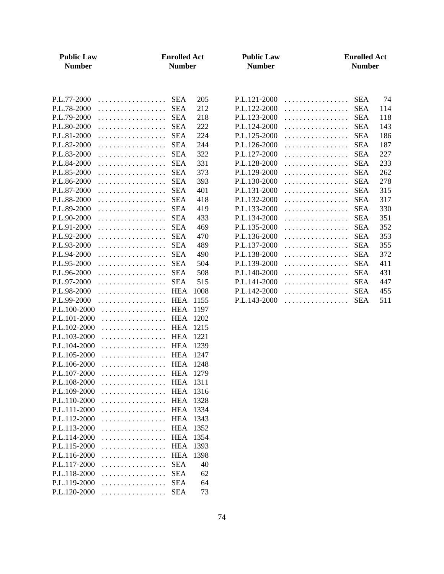| <b>Public Law</b><br><b>Number</b>                                                                           | <b>Enrolled Act</b><br><b>Number</b>                                                                                              |                                                         | <b>Public Law</b><br><b>Number</b>                                                                           |                                 | <b>Enrolled Act</b><br><b>Number</b>                                                           |                                               |
|--------------------------------------------------------------------------------------------------------------|-----------------------------------------------------------------------------------------------------------------------------------|---------------------------------------------------------|--------------------------------------------------------------------------------------------------------------|---------------------------------|------------------------------------------------------------------------------------------------|-----------------------------------------------|
| P.L.77-2000<br>P.L.78-2000<br>P.L.79-2000<br>P.L.80-2000<br>P.L.81-2000                                      | <b>SEA</b><br>.<br><b>SEA</b><br>.<br>.<br><b>SEA</b><br><b>SEA</b><br>.<br><b>SEA</b><br>.                                       | 205<br>212<br>218<br>222<br>224                         | P.L.121-2000<br>P.L.122-2000<br>P.L.123-2000<br>P.L.124-2000<br>P.L.125-2000                                 | .<br>.<br>.<br>.<br>.           | <b>SEA</b><br><b>SEA</b><br><b>SEA</b><br><b>SEA</b><br><b>SEA</b>                             | 74<br>114<br>118<br>143<br>186                |
| P.L.82-2000<br>P.L.83-2000<br>P.L.84-2000<br>P.L.85-2000<br>P.L.86-2000<br>P.L.87-2000<br>P.L.88-2000        | <b>SEA</b><br>.<br><b>SEA</b><br>.<br><b>SEA</b><br>.<br><b>SEA</b><br>.<br><b>SEA</b><br>.<br><b>SEA</b><br>.<br><b>SEA</b><br>. | 244<br>322<br>331<br>373<br>393<br>401<br>418           | P.L.126-2000<br>P.L.127-2000<br>P.L.128-2000<br>P.L.129-2000<br>P.L.130-2000<br>P.L.131-2000<br>P.L.132-2000 | .<br>.<br>.<br>.<br>.<br>.<br>. | <b>SEA</b><br><b>SEA</b><br><b>SEA</b><br><b>SEA</b><br><b>SEA</b><br><b>SEA</b><br><b>SEA</b> | 187<br>227<br>233<br>262<br>278<br>315<br>317 |
| P.L.89-2000<br>P.L.90-2000<br>P.L.91-2000<br>P.L.92-2000<br>P.L.93-2000<br>P.L.94-2000                       | <b>SEA</b><br>.<br><b>SEA</b><br>.<br><b>SEA</b><br>.<br><b>SEA</b><br>.<br><b>SEA</b><br>.<br><b>SEA</b><br>.                    | 419<br>433<br>469<br>470<br>489<br>490                  | P.L.133-2000<br>P.L.134-2000<br>P.L.135-2000<br>P.L.136-2000<br>P.L.137-2000<br>P.L.138-2000                 | .<br>.<br>.<br>.<br>.<br>.      | <b>SEA</b><br><b>SEA</b><br><b>SEA</b><br><b>SEA</b><br><b>SEA</b><br><b>SEA</b>               | 330<br>351<br>352<br>353<br>355<br>372        |
| P.L.95-2000<br>P.L.96-2000<br>P.L.97-2000<br>P.L.98-2000<br>P.L.99-2000<br>P.L.100-2000<br>P.L.101-2000      | <b>SEA</b><br>.<br><b>SEA</b><br>.<br><b>SEA</b><br>.<br><b>HEA</b><br>.<br><b>HEA</b><br>.<br><b>HEA</b><br>.<br><b>HEA</b><br>. | 504<br>508<br>515<br>1008<br>1155<br>1197<br>1202       | P.L.139-2000<br>P.L.140-2000<br>P.L.141-2000<br>P.L.142-2000<br>P.L.143-2000                                 | .<br>.<br>.<br>.<br>.           | <b>SEA</b><br><b>SEA</b><br><b>SEA</b><br><b>SEA</b><br><b>SEA</b>                             | 411<br>431<br>447<br>455<br>511               |
| P.L.102-2000<br>P.L.103-2000<br>P.L.104-2000<br>P.L.105-2000<br>P.L.106-2000<br>P.L.107-2000                 | <b>HEA</b><br>.<br><b>HEA</b><br>.<br><b>HEA</b><br>.<br><b>HEA</b><br>.<br><b>HEA</b><br>.<br>HEA<br>.                           | 1215<br>1221<br>1239<br>1247<br>1248<br>1279            |                                                                                                              |                                 |                                                                                                |                                               |
| P.L.108-2000<br>P.L.109-2000<br>P.L.110-2000<br>P.L.111-2000<br>P.L.112-2000<br>P.L.113-2000                 | .<br><b>HEA</b><br>.<br><b>HEA</b><br>.<br><b>HEA</b><br>.<br><b>HEA</b><br>.<br><b>HEA</b><br>.                                  | <b>HEA</b> 1311<br>1316<br>1328<br>1334<br>1343<br>1352 |                                                                                                              |                                 |                                                                                                |                                               |
| P.L.114-2000<br>P.L.115-2000<br>P.L.116-2000<br>P.L.117-2000<br>P.L.118-2000<br>P.L.119-2000<br>P.L.120-2000 | <b>HEA</b><br>.<br><b>HEA</b><br>.<br><b>HEA</b><br>.<br><b>SEA</b><br>.<br><b>SEA</b><br>.<br><b>SEA</b><br>.<br><b>SEA</b><br>. | 1354<br>1393<br>1398<br>40<br>62<br>64<br>73            |                                                                                                              |                                 |                                                                                                |                                               |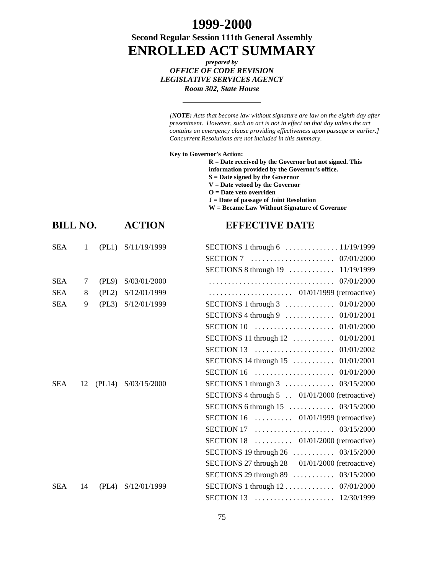## **1999-2000**

**Second Regular Session 111th General Assembly ENROLLED ACT SUMMARY**

> *prepared by OFFICE OF CODE REVISION LEGISLATIVE SERVICES AGENCY Room 302, State House*

| <b>[NOTE:</b> Acts that become law without signature are law on the eighth day after |
|--------------------------------------------------------------------------------------|
| presentment. However, such an act is not in effect on that day unless the act        |
| contains an emergency clause providing effectiveness upon passage or earlier.]       |
| Concurrent Resolutions are not included in this summary.                             |
|                                                                                      |

**Key to Governor's Action:**

**R = Date received by the Governor but not signed. This information provided by the Governor's office. S = Date signed by the Governor V = Date vetoed by the Governor**

**O = Date veto overriden**

**J = Date of passage of Joint Resolution**

**W = Became Law Without Signature of Governor**

| <b>BILL NO.</b> | <b>ACTION</b> | <b>EFFECTIVE DATE</b> |
|-----------------|---------------|-----------------------|
|-----------------|---------------|-----------------------|

| SEA    | $\sim$ 1 |       | $(PL1)$ $S/11/19/1999$ |                                                                                 |
|--------|----------|-------|------------------------|---------------------------------------------------------------------------------|
|        |          |       |                        |                                                                                 |
|        |          |       |                        | SECTIONS 8 through 19  11/19/1999                                               |
| SEA    | 7        | (PL9) | S/03/01/2000           |                                                                                 |
| SEA    | 8        | (PL2) | S/12/01/1999           |                                                                                 |
| SEA    | 9        |       | (PL3) S/12/01/1999     | SECTIONS 1 through $3$ 01/01/2000                                               |
|        |          |       |                        |                                                                                 |
|        |          |       |                        | SECTION 10 $\ldots \ldots \ldots \ldots \ldots \ldots \ldots \ldots 01/01/2000$ |
|        |          |       |                        | SECTIONS 11 through 12  01/01/2001                                              |
|        |          |       |                        |                                                                                 |
|        |          |       |                        | <b>SECTIONS</b> 14 through 15  01/01/2001                                       |
|        |          |       |                        | SECTION 16 $\ldots \ldots \ldots \ldots \ldots \ldots \ldots 01/01/2000$        |
| SEA 12 |          |       | (PL14) S/03/15/2000    | SECTIONS 1 through $3$ 03/15/2000                                               |
|        |          |       |                        | SECTIONS 4 through 5 . 01/01/2000 (retroactive)                                 |
|        |          |       |                        | SECTIONS 6 through $15$ 03/15/2000                                              |
|        |          |       |                        | SECTION 16 $\dots \dots \dots \dots$ 01/01/1999 (retroactive)                   |
|        |          |       |                        |                                                                                 |
|        |          |       |                        | SECTION 18 $\dots \dots \dots \dots$ 01/01/2000 (retroactive)                   |
|        |          |       |                        | SECTIONS 19 through $26$ 03/15/2000                                             |
|        |          |       |                        | SECTIONS 27 through 28 01/01/2000 (retroactive)                                 |
|        |          |       |                        | SECTIONS 29 through $89$ 03/15/2000                                             |
| SEA    | 14       |       | (PL4) S/12/01/1999     |                                                                                 |
|        |          |       |                        |                                                                                 |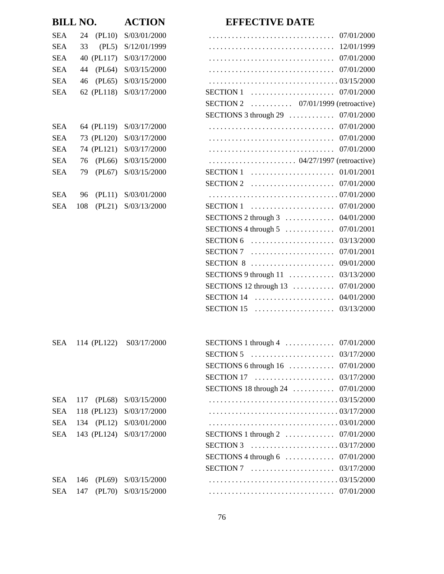|            | <b>BILL NO.</b> | <b>ACTION</b>            | <b>EFFECTIVE DATE</b>                                                                 |
|------------|-----------------|--------------------------|---------------------------------------------------------------------------------------|
| <b>SEA</b> | (PL10)<br>24    | S/03/01/2000             | 07/01/2000                                                                            |
| <b>SEA</b> | 33<br>(PL5)     | S/12/01/1999             |                                                                                       |
| <b>SEA</b> | 40 (PL117)      | S/03/17/2000             | 07/01/2000                                                                            |
| <b>SEA</b> | (PL64)<br>44    | S/03/15/2000             | 07/01/2000                                                                            |
| <b>SEA</b> | (PL65)<br>46    | S/03/15/2000             |                                                                                       |
| <b>SEA</b> | 62 (PL118)      | S/03/17/2000             | $SECTION 1$<br>07/01/2000                                                             |
|            |                 |                          | SECTION 2 $\ldots$ 07/01/1999 (retroactive)                                           |
|            |                 |                          | SECTIONS 3 through 29  07/01/2000                                                     |
| <b>SEA</b> | 64 (PL119)      | S/03/17/2000             | 07/01/2000                                                                            |
| <b>SEA</b> | 73 (PL120)      | S/03/17/2000             |                                                                                       |
| <b>SEA</b> | 74 (PL121)      | S/03/17/2000             |                                                                                       |
| <b>SEA</b> | (PL66)<br>76    | S/03/15/2000             | $\ldots \ldots \ldots \ldots \ldots \ldots \ldots \ldots 04/27/1997$ (retroactive)    |
| <b>SEA</b> | (PL67)<br>79    | S/03/15/2000             | $SECTION 1$<br>01/01/2001                                                             |
|            |                 |                          | 07/01/2000<br>$SECTION 2$                                                             |
| <b>SEA</b> | (PL11)<br>96    | S/03/01/2000             |                                                                                       |
| <b>SEA</b> | (PL21)<br>108   | S/03/13/2000             | <b>SECTION 1</b>                                                                      |
|            |                 |                          | 04/01/2000<br>SECTIONS 2 through $3$                                                  |
|            |                 |                          | SECTIONS 4 through $5$<br>07/01/2001                                                  |
|            |                 |                          | <b>SECTION 6</b><br>03/13/2000                                                        |
|            |                 |                          | 07/01/2001<br><b>SECTION 7</b>                                                        |
|            |                 |                          | SECTION $8$<br>09/01/2000                                                             |
|            |                 |                          | 03/13/2000<br>SECTIONS 9 through $11$                                                 |
|            |                 |                          | 07/01/2000<br>SECTIONS 12 through $13$                                                |
|            |                 |                          | SECTION $14$<br>04/01/2000                                                            |
|            |                 |                          | 03/13/2000<br>SECTION 15 $\dots \dots \dots \dots \dots \dots$                        |
| <b>SEA</b> | 114 (PL122)     | S03/17/2000              | SECTIONS 1 through $4$ 07/01/2000                                                     |
|            |                 |                          | SECTION 5 $\ldots \ldots \ldots \ldots \ldots \ldots \ldots \ldots \ldots 03/17/2000$ |
|            |                 |                          | SECTIONS 6 through 16  07/01/2000                                                     |
|            |                 |                          | SECTION 17  03/17/2000                                                                |
|            |                 |                          | 07/01/2000<br>SECTIONS 18 through $24$                                                |
| <b>SEA</b> | (PL68)<br>117   | S/03/15/2000             |                                                                                       |
| <b>SEA</b> |                 | 118 (PL123) S/03/17/2000 |                                                                                       |
| <b>SEA</b> | 134 (PL12)      | S/03/01/2000             |                                                                                       |
| <b>SEA</b> |                 | 143 (PL124) S/03/17/2000 | SECTIONS 1 through $2$ 07/01/2000                                                     |
|            |                 |                          | SECTION 3 $\ldots \ldots \ldots \ldots \ldots \ldots \ldots \ldots \ldots \ldots$     |
|            |                 |                          | SECTIONS 4 through 6  07/01/2000                                                      |
|            |                 |                          | SECTION 7  03/17/2000                                                                 |
| <b>SEA</b> | 146             | (PL69) S/03/15/2000      |                                                                                       |
| <b>SEA</b> | 147             | (PL70) S/03/15/2000      |                                                                                       |
|            |                 |                          |                                                                                       |

## 76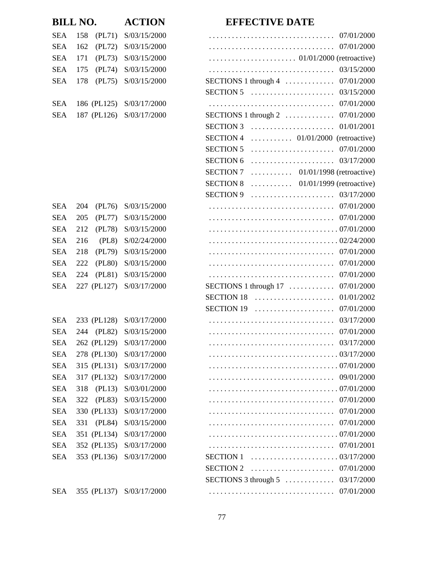|            |     |             | <b>ACTION</b>            | <b>EFFECTIVE DATE</b>                                                              |
|------------|-----|-------------|--------------------------|------------------------------------------------------------------------------------|
| <b>SEA</b> | 158 | (PL71)      | S/03/15/2000             | 07/01/2000                                                                         |
| <b>SEA</b> | 162 | (PL72)      | S/03/15/2000             |                                                                                    |
| <b>SEA</b> | 171 | (PL73)      | S/03/15/2000             | $\ldots \ldots \ldots \ldots \ldots \ldots \ldots \ldots 01/01/2000$ (retroactive) |
| <b>SEA</b> | 175 | (PL74)      | S/03/15/2000             | 03/15/2000                                                                         |
| <b>SEA</b> | 178 | (PL75)      | S/03/15/2000             | 07/01/2000<br>SECTIONS 1 through $4$                                               |
|            |     |             |                          | 03/15/2000<br><b>SECTION 5</b>                                                     |
| <b>SEA</b> |     |             | 186 (PL125) S/03/17/2000 |                                                                                    |
| <b>SEA</b> |     | 187 (PL126) | S/03/17/2000             | SECTIONS 1 through $2$ 07/01/2000                                                  |
|            |     |             |                          | 01/01/2001<br><b>SECTION 3</b>                                                     |
|            |     |             |                          | <b>SECTION 4</b>                                                                   |
|            |     |             |                          | <b>SECTION 5</b>                                                                   |
|            |     |             |                          | <b>SECTION 6</b><br>03/17/2000                                                     |
|            |     |             |                          | <b>SECTION 7</b><br>$\ldots \ldots \ldots$ 01/01/1998 (retroactive)                |
|            |     |             |                          | <b>SECTION 8</b><br>$\ldots \ldots \ldots$ 01/01/1999 (retroactive)                |
|            |     |             |                          | <b>SECTION 9</b>                                                                   |
| <b>SEA</b> | 204 | (PL76)      | S/03/15/2000             |                                                                                    |
| <b>SEA</b> | 205 | (PL77)      | S/03/15/2000             |                                                                                    |
| <b>SEA</b> | 212 | (PL78)      | S/03/15/2000             |                                                                                    |
| <b>SEA</b> | 216 | (PL8)       | S/02/24/2000             |                                                                                    |
| <b>SEA</b> | 218 | (PL79)      | S/03/15/2000             | 07/01/2000                                                                         |
| <b>SEA</b> | 222 | (PL80)      | S/03/15/2000             | 07/01/2000                                                                         |
| <b>SEA</b> | 224 | (PL81)      | S/03/15/2000             | 07/01/2000                                                                         |
| <b>SEA</b> |     | 227 (PL127) | S/03/17/2000             | 07/01/2000<br>SECTIONS 1 through $17 \ldots \ldots \ldots$                         |
|            |     |             |                          | 01/01/2002<br><b>SECTION 18</b>                                                    |
|            |     |             |                          | <b>SECTION 19</b><br>07/01/2000                                                    |
| <b>SEA</b> |     |             | 233 (PL128) S/03/17/2000 |                                                                                    |
| <b>SEA</b> | 244 | (PL82)      | S/03/15/2000             |                                                                                    |
| <b>SEA</b> |     |             | 262 (PL129) S/03/17/2000 | 03/17/2000                                                                         |
| <b>SEA</b> |     | 278 (PL130) | S/03/17/2000             |                                                                                    |
| <b>SEA</b> |     | 315 (PL131) | S/03/17/2000             |                                                                                    |
| <b>SEA</b> |     | 317 (PL132) | S/03/17/2000             | 09/01/2000                                                                         |
| <b>SEA</b> | 318 | (PL13)      | S/03/01/2000             |                                                                                    |
| <b>SEA</b> | 322 | (PL83)      | S/03/15/2000             | 07/01/2000                                                                         |
| <b>SEA</b> |     | 330 (PL133) | S/03/17/2000             | 07/01/2000                                                                         |
| <b>SEA</b> | 331 | (PL84)      | S/03/15/2000             | 07/01/2000                                                                         |
| <b>SEA</b> |     | 351 (PL134) | S/03/17/2000             |                                                                                    |
| <b>SEA</b> |     | 352 (PL135) | S/03/17/2000             | 07/01/2001                                                                         |
| <b>SEA</b> |     | 353 (PL136) | S/03/17/2000             | <b>SECTION 1</b>                                                                   |
|            |     |             |                          | <b>SECTION 2</b>                                                                   |
|            |     |             |                          | SECTIONS 3 through $5$<br>03/17/2000                                               |
| <b>SEA</b> |     |             | 355 (PL137) S/03/17/2000 | 07/01/2000                                                                         |

| <b>BILL NO.</b> |     |             | <b>ACTION</b>            |  |  |  |  |
|-----------------|-----|-------------|--------------------------|--|--|--|--|
| <b>SEA</b>      | 158 | (PL71)      | S/03/15/2000             |  |  |  |  |
| <b>SEA</b>      | 162 | (PL72)      | S/03/15/2000             |  |  |  |  |
| <b>SEA</b>      | 171 | (PL73)      | S/03/15/2000             |  |  |  |  |
| <b>SEA</b>      | 175 |             | (PL74) S/03/15/2000      |  |  |  |  |
| <b>SEA</b>      | 178 | (PL75)      | S/03/15/2000             |  |  |  |  |
|                 |     |             |                          |  |  |  |  |
| <b>SEA</b>      |     |             | 186 (PL125) S/03/17/2000 |  |  |  |  |
| <b>SEA</b>      |     |             | 187 (PL126) S/03/17/2000 |  |  |  |  |
|                 |     |             |                          |  |  |  |  |
|                 |     |             |                          |  |  |  |  |
|                 |     |             |                          |  |  |  |  |
|                 |     |             |                          |  |  |  |  |
|                 |     |             |                          |  |  |  |  |
|                 |     |             |                          |  |  |  |  |
| <b>SEA</b>      | 204 | (PL76)      | S/03/15/2000             |  |  |  |  |
| <b>SEA</b>      | 205 |             | (PL77) S/03/15/2000      |  |  |  |  |
| <b>SEA</b>      | 212 |             | (PL78) S/03/15/2000      |  |  |  |  |
| <b>SEA</b>      | 216 | (PL8)       | S/02/24/2000             |  |  |  |  |
| <b>SEA</b>      | 218 |             | (PL79) S/03/15/2000      |  |  |  |  |
| <b>SEA</b>      | 222 |             | (PL80) S/03/15/2000      |  |  |  |  |
| <b>SEA</b>      | 224 | (PL81)      | S/03/15/2000             |  |  |  |  |
| <b>SEA</b>      |     | 227 (PL127) | S/03/17/2000             |  |  |  |  |
|                 |     |             |                          |  |  |  |  |
|                 |     |             |                          |  |  |  |  |
| <b>SEA</b>      |     |             | 233 (PL128) S/03/17/2000 |  |  |  |  |
| <b>SEA</b>      | 244 | (PL82)      | S/03/15/2000             |  |  |  |  |
| <b>SEA</b>      |     |             | 262 (PL129) S/03/17/2000 |  |  |  |  |
| SEA             |     |             | 278 (PL130) S/03/17/2000 |  |  |  |  |
| SEA             |     |             | 315 (PL131) S/03/17/2000 |  |  |  |  |
| SEA             |     |             | 317 (PL132) S/03/17/2000 |  |  |  |  |
| SEA             | 318 |             | (PL13) S/03/01/2000      |  |  |  |  |
| SEA             |     |             | 322 (PL83) S/03/15/2000  |  |  |  |  |
| <b>SEA</b>      |     |             | 330 (PL133) S/03/17/2000 |  |  |  |  |
| SEA             |     |             | 331 (PL84) S/03/15/2000  |  |  |  |  |
| SEA             |     |             | 351 (PL134) S/03/17/2000 |  |  |  |  |
| SEA             |     |             | 352 (PL135) S/03/17/2000 |  |  |  |  |
| SEA             |     |             | 353 (PL136) S/03/17/2000 |  |  |  |  |
|                 |     |             |                          |  |  |  |  |
|                 |     |             |                          |  |  |  |  |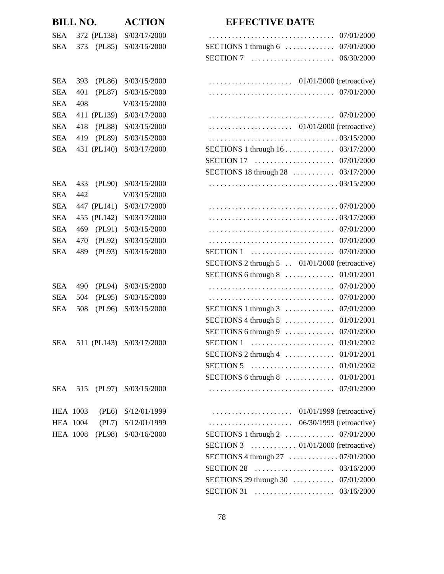|            | <b>BILL NO.</b> |             | <b>ACTION</b>                | <b>EFFECTIVE DATE</b>                                                                            |
|------------|-----------------|-------------|------------------------------|--------------------------------------------------------------------------------------------------|
| SEA        |                 | 372 (PL138) | S/03/17/2000                 |                                                                                                  |
| SEA        | 373             | (PL85)      | S/03/15/2000                 | SECTIONS 1 through 6  07/01/2000                                                                 |
|            |                 |             |                              |                                                                                                  |
| SEA        | 393             | (PL86)      | S/03/15/2000                 |                                                                                                  |
| <b>SEA</b> | 401             | (PL87)      | S/03/15/2000                 |                                                                                                  |
| SEA        | 408             |             | V/03/15/2000                 |                                                                                                  |
| SEA        |                 | 411 (PL139) | S/03/17/2000                 |                                                                                                  |
| SEA        | 418             | (PL88)      | S/03/15/2000                 |                                                                                                  |
| SEA        | 419             | (PL89)      | S/03/15/2000                 |                                                                                                  |
| <b>SEA</b> |                 | 431 (PL140) | S/03/17/2000                 | SECTIONS 1 through 16 03/17/2000                                                                 |
|            |                 |             |                              |                                                                                                  |
|            |                 |             |                              | SECTIONS 18 through 28  03/17/2000                                                               |
| SEA        | 433             | (PL90)      | S/03/15/2000                 |                                                                                                  |
| SEA        | 442             |             | V/03/15/2000                 |                                                                                                  |
| SEA        |                 | 447 (PL141) | S/03/17/2000                 |                                                                                                  |
| <b>SEA</b> |                 | 455 (PL142) | S/03/17/2000                 |                                                                                                  |
| SEA        | 469             | (PL91)      | S/03/15/2000                 |                                                                                                  |
| SEA        | 470             | (PL92)      | S/03/15/2000                 |                                                                                                  |
| <b>SEA</b> | 489             | (PL93)      | S/03/15/2000                 |                                                                                                  |
|            |                 |             |                              | SECTIONS 2 through 5 . 01/01/2000 (retroactive)                                                  |
|            |                 |             |                              |                                                                                                  |
| SEA        | 490             | (PL94)      | S/03/15/2000                 |                                                                                                  |
| SEA        | 504             | (PL95)      | S/03/15/2000                 |                                                                                                  |
| <b>SEA</b> | 508             | (PL96)      | S/03/15/2000                 | SECTIONS 1 through 3  07/01/2000                                                                 |
|            |                 |             |                              |                                                                                                  |
|            |                 |             |                              | SECTIONS 6 through 9  07/01/2000                                                                 |
|            |                 |             | SEA 511 (PL143) S/03/17/2000 |                                                                                                  |
|            |                 |             |                              | SECTIONS 2 through 4  01/01/2001                                                                 |
|            |                 |             |                              | SECTION 5 $\ldots \ldots \ldots \ldots \ldots \ldots \ldots \ldots 01/01/2002$                   |
|            |                 |             |                              |                                                                                                  |
|            |                 |             | SEA 515 (PL97) S/03/15/2000  |                                                                                                  |
|            | <b>HEA 1003</b> |             | (PL6) S/12/01/1999           |                                                                                                  |
|            | HEA 1004        |             | $(PL7)$ $S/12/01/1999$       |                                                                                                  |
|            |                 |             | HEA 1008 (PL98) S/03/16/2000 | SECTIONS 1 through $2$ 07/01/2000                                                                |
|            |                 |             |                              | SECTION 3 $\ldots$ $\ldots$ 01/01/2000 (retroactive)                                             |
|            |                 |             |                              |                                                                                                  |
|            |                 |             |                              | SECTION 28 $\ldots \ldots \ldots \ldots \ldots \ldots \ldots \ldots \ldots \ldots \ldots \ldots$ |
|            |                 |             |                              | SECTIONS 29 through 30  07/01/2000                                                               |
|            |                 |             |                              | SECTION 31  03/16/2000                                                                           |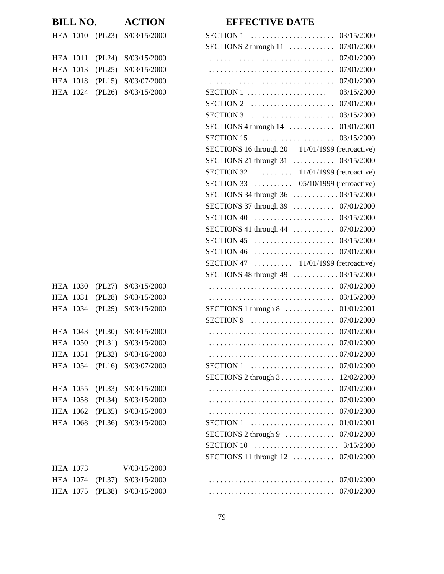|                 | <b>BILL NO.</b> |        | <b>ACTION</b>                | <b>EFFECTIVE DATE</b>                                                                  |
|-----------------|-----------------|--------|------------------------------|----------------------------------------------------------------------------------------|
|                 |                 |        | HEA 1010 (PL23) S/03/15/2000 | <b>SECTION 1</b><br>03/15/2000                                                         |
|                 |                 |        |                              | SECTIONS 2 through $11$<br>07/01/2000                                                  |
| <b>HEA</b> 1011 |                 | (PL24) | S/03/15/2000                 | 07/01/2000                                                                             |
| <b>HEA 1013</b> |                 | (PL25) | S/03/15/2000                 | 07/01/2000                                                                             |
| <b>HEA 1018</b> |                 | (PL15) | S/03/07/2000                 | 07/01/2000                                                                             |
|                 | <b>HEA 1024</b> |        | $(PL26)$ S/03/15/2000        | 03/15/2000                                                                             |
|                 |                 |        |                              | SECTION 2 $\ldots \ldots \ldots \ldots \ldots \ldots \ldots \ldots 07/01/2000$         |
|                 |                 |        |                              | SECTION 3 $\ldots \ldots \ldots \ldots \ldots \ldots \ldots \ldots 03/15/2000$         |
|                 |                 |        |                              | SECTIONS 4 through $14$ 01/01/2001                                                     |
|                 |                 |        |                              | SECTION 15  03/15/2000                                                                 |
|                 |                 |        |                              | SECTIONS 16 through 20 11/01/1999 (retroactive)                                        |
|                 |                 |        |                              | SECTIONS 21 through 31  03/15/2000                                                     |
|                 |                 |        |                              | SECTION 32 $\dots \dots \dots \dots \dots 11/01/1999$ (retroactive)                    |
|                 |                 |        |                              | SECTION 33 $\dots \dots \dots \dots$ 05/10/1999 (retroactive)                          |
|                 |                 |        |                              | SECTIONS 34 through 36  03/15/2000                                                     |
|                 |                 |        |                              | SECTIONS 37 through 39  07/01/2000                                                     |
|                 |                 |        |                              | SECTION 40 $\ldots \ldots \ldots \ldots \ldots \ldots \ldots \ldots 03/15/2000$        |
|                 |                 |        |                              | SECTIONS 41 through 44  07/01/2000                                                     |
|                 |                 |        |                              | SECTION 45 $\ldots \ldots \ldots \ldots \ldots \ldots \ldots \ldots \ldots$ 03/15/2000 |
|                 |                 |        |                              | SECTION 46 $\ldots \ldots \ldots \ldots \ldots \ldots \ldots \ldots 07/01/2000$        |
|                 |                 |        |                              | SECTION 47 $\ldots \ldots \ldots$ 11/01/1999 (retroactive)                             |
|                 |                 |        |                              | SECTIONS 48 through 49  03/15/2000                                                     |
|                 | <b>HEA 1030</b> |        | (PL27) S/03/15/2000          |                                                                                        |
| <b>HEA 1031</b> |                 | (PL28) | S/03/15/2000                 |                                                                                        |
|                 | <b>HEA 1034</b> |        | (PL29) S/03/15/2000          | SECTIONS 1 through $8$ 01/01/2001                                                      |
|                 |                 |        |                              | SECTION 9 $\ldots \ldots \ldots \ldots \ldots \ldots \ldots \ldots 07/01/2000$         |
| HEA 1043        |                 |        | $(PL30)$ $S/03/15/2000$      |                                                                                        |
|                 |                 |        | HEA 1050 (PL31) S/03/15/2000 |                                                                                        |
| <b>HEA 1051</b> |                 |        | (PL32) S/03/16/2000          |                                                                                        |
|                 | <b>HEA 1054</b> |        | (PL16) S/03/07/2000          | SECTION 1  07/01/2000                                                                  |
|                 |                 |        |                              | SECTIONS 2 through 3 12/02/2000                                                        |
| <b>HEA 1055</b> |                 | (PL33) | S/03/15/2000                 | 07/01/2000                                                                             |
| <b>HEA 1058</b> |                 |        | (PL34) S/03/15/2000          |                                                                                        |
| <b>HEA 1062</b> |                 |        | (PL35) S/03/15/2000          |                                                                                        |
| <b>HEA 1068</b> |                 |        | (PL36) S/03/15/2000          |                                                                                        |
|                 |                 |        |                              |                                                                                        |
|                 |                 |        |                              |                                                                                        |
|                 |                 |        |                              | SECTIONS 11 through 12  07/01/2000                                                     |
| HEA 1073        |                 |        | V/03/15/2000                 |                                                                                        |
| <b>HEA 1074</b> |                 |        | (PL37) S/03/15/2000          |                                                                                        |
| <b>HEA 1075</b> |                 |        | (PL38) S/03/15/2000          |                                                                                        |
|                 |                 |        |                              |                                                                                        |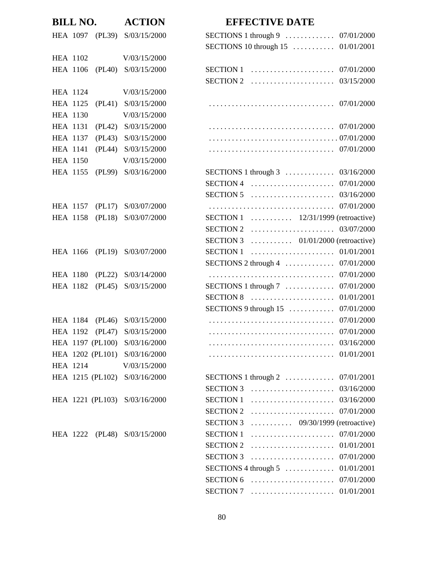|                 | <b>BILL NO. ACTION</b>        |                      |
|-----------------|-------------------------------|----------------------|
|                 | HEA 1097 (PL39) S/03/15/2000  | SI                   |
|                 |                               | SI                   |
| <b>HEA 1102</b> | V/03/15/2000                  |                      |
|                 | HEA 1106 (PL40) S/03/15/2000  | <b>SI</b>            |
|                 |                               | SI                   |
| <b>HEA 1124</b> | V/03/15/2000                  |                      |
| <b>HEA 1125</b> | $(PL41)$ S/03/15/2000         | $\ddot{\phantom{0}}$ |
| <b>HEA 1130</b> | V/03/15/2000                  |                      |
|                 | HEA 1131 (PL42) S/03/15/2000  | $\ddot{\phantom{0}}$ |
|                 | HEA 1137 (PL43) S/03/15/2000  | $\ddot{\phantom{0}}$ |
|                 | HEA 1141 (PL44) S/03/15/2000  | $\ddot{\phantom{0}}$ |
| <b>HEA 1150</b> | V/03/15/2000                  |                      |
|                 | HEA 1155 (PL99) S/03/16/2000  | SI                   |
|                 |                               | SI                   |
|                 |                               | SI                   |
|                 | HEA 1157 (PL17) S/03/07/2000  |                      |
|                 | HEA 1158 (PL18) S/03/07/2000  | SI                   |
|                 |                               | SI                   |
|                 |                               | SI                   |
|                 | HEA 1166 (PL19) S/03/07/2000  | SI                   |
|                 |                               | SI                   |
|                 | HEA 1180 (PL22) S/03/14/2000  | $\cdot$              |
|                 | HEA 1182 (PL45) S/03/15/2000  | SI                   |
|                 |                               | SI                   |
|                 |                               | SI                   |
|                 | HEA 1184 (PL46) S/03/15/2000  |                      |
|                 | HEA 1192 (PL47) S/03/15/2000  |                      |
|                 | HEA 1197 (PL100) S/03/16/2000 |                      |
|                 | HEA 1202 (PL101) S/03/16/2000 |                      |
| <b>HEA 1214</b> | V/03/15/2000                  |                      |
|                 | HEA 1215 (PL102) S/03/16/2000 | SI                   |
|                 |                               | SI                   |
|                 | HEA 1221 (PL103) S/03/16/2000 | SI                   |
|                 |                               | SI                   |
|                 |                               | SI                   |
|                 | HEA 1222 (PL48) S/03/15/2000  | SI                   |
|                 |                               | SI                   |
|                 |                               | SI                   |
|                 |                               | SI                   |

## **BIFFECTIVE DATE**

|                 |        | HEA 1097 (PL39) S/03/15/2000  |                                                                                                 |            |
|-----------------|--------|-------------------------------|-------------------------------------------------------------------------------------------------|------------|
|                 |        |                               | SECTIONS 10 through $15$                                                                        | 01/01/2001 |
| <b>HEA 1102</b> |        | V/03/15/2000                  |                                                                                                 |            |
| <b>HEA 1106</b> |        | (PL40) S/03/15/2000           | SECTION 1 $\ldots \ldots \ldots \ldots \ldots \ldots \ldots \ldots 07/01/2000$                  |            |
|                 |        |                               | SECTION 2 $\ldots \ldots \ldots \ldots \ldots \ldots \ldots \ldots \ldots \ldots \ldots \ldots$ |            |
| <b>HEA 1124</b> |        | V/03/15/2000                  |                                                                                                 |            |
| HEA 1125        |        | (PL41) S/03/15/2000           |                                                                                                 |            |
| <b>HEA 1130</b> |        | V/03/15/2000                  |                                                                                                 |            |
| <b>HEA 1131</b> |        | (PL42) S/03/15/2000           |                                                                                                 | 07/01/2000 |
| <b>HEA 1137</b> | (PL43) | S/03/15/2000                  |                                                                                                 |            |
| <b>HEA 1141</b> | (PL44) | S/03/15/2000                  |                                                                                                 |            |
| <b>HEA 1150</b> |        | V/03/15/2000                  |                                                                                                 |            |
| <b>HEA 1155</b> |        | (PL99) S/03/16/2000           | SECTIONS 1 through $3$ 03/16/2000                                                               |            |
|                 |        |                               | SECTION 4 $\ldots \ldots \ldots \ldots \ldots \ldots \ldots \ldots 07/01/2000$                  |            |
|                 |        |                               | $SECTION 5$                                                                                     | 03/16/2000 |
| HEA 1157        |        | (PL17) S/03/07/2000           |                                                                                                 |            |
| HEA 1158        | (PL18) | S/03/07/2000                  | SECTION 1 $\ldots$ 12/31/1999 (retroactive)                                                     |            |
|                 |        |                               | SECTION 2 $\ldots \ldots \ldots \ldots \ldots \ldots \ldots \ldots \ldots \ldots \ldots \ldots$ |            |
|                 |        |                               | SECTION 3 $\ldots$ 01/01/2000 (retroactive)                                                     |            |
|                 |        | HEA 1166 (PL19) S/03/07/2000  | $SECTION 1$                                                                                     | 01/01/2001 |
|                 |        |                               | SECTIONS 2 through $4$                                                                          | 07/01/2000 |
| HEA 1180        |        | (PL22) S/03/14/2000           |                                                                                                 | 07/01/2000 |
| HEA 1182        |        | (PL45) S/03/15/2000           |                                                                                                 | 07/01/2000 |
|                 |        |                               | SECTIONS 1 through $7 \ldots \ldots \ldots$<br>$SECTION 8$                                      | 01/01/2001 |
|                 |        |                               | SECTIONS 9 through 15                                                                           | 07/01/2000 |
| HEA 1184        |        | (PL46) S/03/15/2000           |                                                                                                 | 07/01/2000 |
| <b>HEA 1192</b> | (PL47) | S/03/15/2000                  |                                                                                                 |            |
|                 |        | HEA 1197 (PL100) S/03/16/2000 |                                                                                                 |            |
|                 |        | HEA 1202 (PL101) S/03/16/2000 |                                                                                                 |            |
|                 |        |                               |                                                                                                 |            |
| HEA 1214        |        | V/03/15/2000                  |                                                                                                 |            |
|                 |        | HEA 1215 (PL102) S/03/16/2000 | SECTIONS 1 through $2 \ldots \ldots \ldots \ldots 07/01/2001$                                   |            |
|                 |        |                               |                                                                                                 |            |
|                 |        | HEA 1221 (PL103) S/03/16/2000 |                                                                                                 |            |
|                 |        |                               | SECTION 2 $\ldots \ldots \ldots \ldots \ldots \ldots \ldots \ldots 07/01/2000$                  |            |
|                 |        |                               | SECTION 3 $\ldots$ $09/30/1999$ (retroactive)                                                   |            |
|                 |        | HEA 1222 (PL48) S/03/15/2000  | $SECTION 1$                                                                                     | 07/01/2000 |
|                 |        |                               | SECTION 2 $\ldots \ldots \ldots \ldots \ldots \ldots \ldots \ldots 01/01/2001$                  |            |
|                 |        |                               | SECTION 3 $\ldots \ldots \ldots \ldots \ldots \ldots \ldots \ldots 07/01/2000$                  |            |
|                 |        |                               |                                                                                                 |            |
|                 |        |                               | SECTION 6 $\ldots \ldots \ldots \ldots \ldots \ldots \ldots \ldots 07/01/2000$                  |            |
|                 |        |                               |                                                                                                 |            |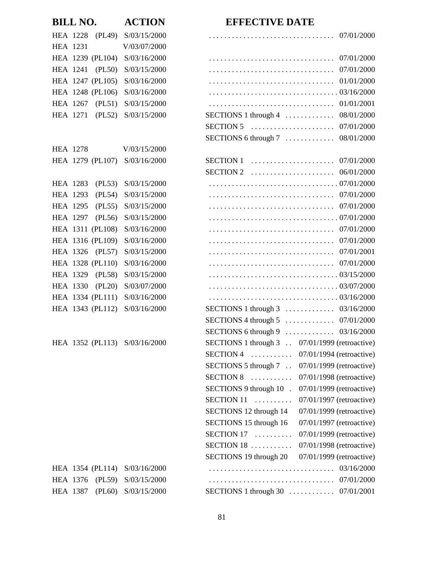| <b>BILL NO.</b>               | <b>ACTION</b>           | <b>EFFECTIVE DATE</b>                                                                                  |
|-------------------------------|-------------------------|--------------------------------------------------------------------------------------------------------|
| HEA 1228 (PL49)               | S/03/15/2000            |                                                                                                        |
| <b>HEA 1231</b>               | V/03/07/2000            |                                                                                                        |
| HEA 1239 (PL104)              | S/03/16/2000            | 07/01/2000                                                                                             |
| HEA 1241<br>(PL50)            | S/03/15/2000            | 07/01/2000                                                                                             |
| HEA 1247 (PL105)              | S/03/16/2000            |                                                                                                        |
| HEA 1248 (PL106)              | S/03/16/2000            |                                                                                                        |
| HEA 1267<br>(PL51)            | S/03/15/2000            | 01/01/2001                                                                                             |
| <b>HEA 1271</b><br>(PL52)     | S/03/15/2000            | SECTIONS 1 through $4$<br>08/01/2000                                                                   |
|                               |                         |                                                                                                        |
|                               |                         | SECTIONS 6 through $7 \ldots \ldots \ldots$<br>08/01/2000                                              |
| HEA 1278                      | V/03/15/2000            |                                                                                                        |
| HEA 1279 (PL107) S/03/16/2000 |                         |                                                                                                        |
|                               |                         | SECTION 2 $\ldots \ldots \ldots \ldots \ldots \ldots \ldots \ldots \ldots \ldots \ldots \ldots \ldots$ |
| (PL53)<br>HEA 1283            | S/03/15/2000            |                                                                                                        |
| (PL54)<br>HEA 1293            | S/03/15/2000            |                                                                                                        |
| (PL55)<br><b>HEA 1295</b>     | S/03/15/2000            | 07/01/2000                                                                                             |
| <b>HEA 1297</b><br>(PL56)     | S/03/15/2000            |                                                                                                        |
| HEA 1311 (PL108)              | S/03/16/2000            |                                                                                                        |
| HEA 1316 (PL109)              | S/03/16/2000            | 07/01/2000                                                                                             |
| HEA 1326 (PL57)               | S/03/15/2000            |                                                                                                        |
| HEA 1328 (PL110)              | S/03/16/2000            |                                                                                                        |
| HEA 1329<br>(PL58)            | S/03/15/2000            |                                                                                                        |
| HEA 1330<br>(PL20)            | S/03/07/2000            |                                                                                                        |
| HEA 1334 (PL111)              | S/03/16/2000            |                                                                                                        |
| HEA 1343 (PL112)              | S/03/16/2000            | SECTIONS 1 through $3$ 03/16/2000                                                                      |
|                               |                         |                                                                                                        |
|                               |                         | SECTIONS 6 through 9  03/16/2000                                                                       |
| HEA 1352 (PL113) S/03/16/2000 |                         | SECTIONS 1 through 3 . 07/01/1999 (retroactive)                                                        |
|                               |                         | $SECTION 4$<br>07/01/1994 (retroactive)                                                                |
|                               |                         | SECTIONS 5 through $7 \ldots$<br>07/01/1999 (retroactive)                                              |
|                               |                         | $SECTION 8$<br>07/01/1998 (retroactive)                                                                |
|                               |                         | SECTIONS 9 through 10.<br>07/01/1999 (retroactive)                                                     |
|                               |                         | SECTION $11$<br>07/01/1997 (retroactive)                                                               |
|                               |                         | SECTIONS 12 through 14<br>07/01/1999 (retroactive)                                                     |
|                               |                         | SECTIONS 15 through 16<br>$07/01/1997$ (retroactive)                                                   |
|                               |                         | $SECTION 17$<br>07/01/1999 (retroactive)                                                               |
|                               |                         | SECTION $18$<br>07/01/1998 (retroactive)                                                               |
|                               |                         | SECTIONS 19 through 20<br>07/01/1999 (retroactive)                                                     |
| HEA 1354 (PL114) S/03/16/2000 |                         |                                                                                                        |
| HEA 1376<br>(PL59)            | S/03/15/2000            |                                                                                                        |
| HEA 1387                      | $(PL60)$ $S/03/15/2000$ | SECTIONS 1 through $30$ 07/01/2001                                                                     |
|                               |                         |                                                                                                        |